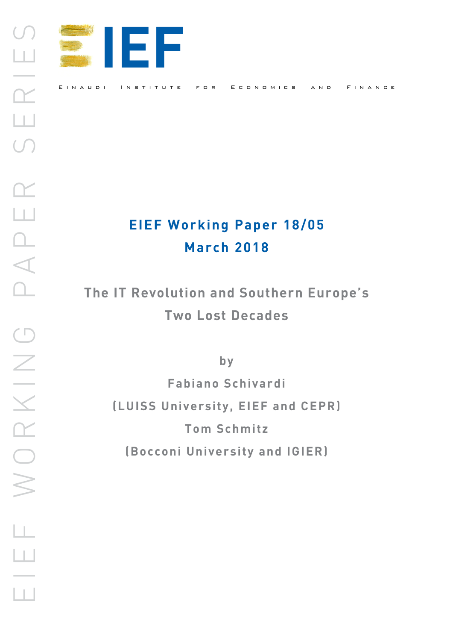

# **EIEF Working Paper 18/05 March 2018**

**The IT Revolution and Southern Europe's Two Lost Decades** 

**by**

**Fabiano Schivardi (LUISS University, EIEF and CEPR) Tom Schmitz (Bocconi University and IGIER)**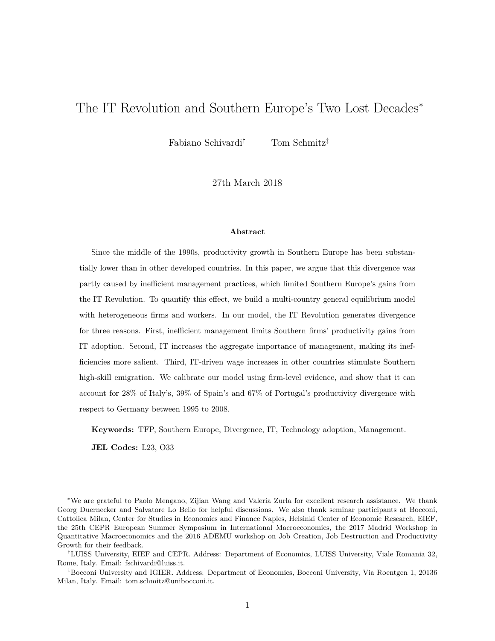## The IT Revolution and Southern Europe's Two Lost Decades<sup>∗</sup>

Fabiano Schivardi† Tom Schmitz‡

27th March 2018

#### **Abstract**

Since the middle of the 1990s, productivity growth in Southern Europe has been substantially lower than in other developed countries. In this paper, we argue that this divergence was partly caused by inefficient management practices, which limited Southern Europe's gains from the IT Revolution. To quantify this effect, we build a multi-country general equilibrium model with heterogeneous firms and workers. In our model, the IT Revolution generates divergence for three reasons. First, inefficient management limits Southern firms' productivity gains from IT adoption. Second, IT increases the aggregate importance of management, making its inefficiencies more salient. Third, IT-driven wage increases in other countries stimulate Southern high-skill emigration. We calibrate our model using firm-level evidence, and show that it can account for 28% of Italy's, 39% of Spain's and 67% of Portugal's productivity divergence with respect to Germany between 1995 to 2008.

**Keywords:** TFP, Southern Europe, Divergence, IT, Technology adoption, Management.

**JEL Codes:** L23, O33

<sup>∗</sup>We are grateful to Paolo Mengano, Zijian Wang and Valeria Zurla for excellent research assistance. We thank Georg Duernecker and Salvatore Lo Bello for helpful discussions. We also thank seminar participants at Bocconi, Cattolica Milan, Center for Studies in Economics and Finance Naples, Helsinki Center of Economic Research, EIEF, the 25th CEPR European Summer Symposium in International Macroeconomics, the 2017 Madrid Workshop in Quantitative Macroeconomics and the 2016 ADEMU workshop on Job Creation, Job Destruction and Productivity Growth for their feedback.

<sup>†</sup>LUISS University, EIEF and CEPR. Address: Department of Economics, LUISS University, Viale Romania 32, Rome, Italy. Email: fschivardi@luiss.it.

<sup>‡</sup>Bocconi University and IGIER. Address: Department of Economics, Bocconi University, Via Roentgen 1, 20136 Milan, Italy. Email: tom.schmitz@unibocconi.it.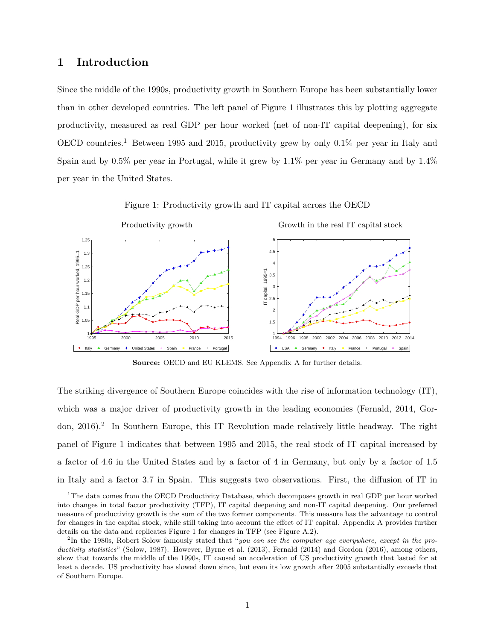## **1 Introduction**

Since the middle of the 1990s, productivity growth in Southern Europe has been substantially lower than in other developed countries. The left panel of Figure 1 illustrates this by plotting aggregate productivity, measured as real GDP per hour worked (net of non-IT capital deepening), for six OECD countries.<sup>1</sup> Between 1995 and 2015, productivity grew by only  $0.1\%$  per year in Italy and Spain and by 0.5% per year in Portugal, while it grew by 1.1% per year in Germany and by 1.4% per year in the United States.



Figure 1: Productivity growth and IT capital across the OECD

**Source:** OECD and EU KLEMS. See Appendix A for further details.

The striking divergence of Southern Europe coincides with the rise of information technology (IT), which was a major driver of productivity growth in the leading economies (Fernald, 2014, Gordon, 2016).<sup>2</sup> In Southern Europe, this IT Revolution made relatively little headway. The right panel of Figure 1 indicates that between 1995 and 2015, the real stock of IT capital increased by a factor of 4.6 in the United States and by a factor of 4 in Germany, but only by a factor of 1.5 in Italy and a factor 3.7 in Spain. This suggests two observations. First, the diffusion of IT in

<sup>&</sup>lt;sup>1</sup>The data comes from the OECD Productivity Database, which decomposes growth in real GDP per hour worked into changes in total factor productivity (TFP), IT capital deepening and non-IT capital deepening. Our preferred measure of productivity growth is the sum of the two former components. This measure has the advantage to control for changes in the capital stock, while still taking into account the effect of IT capital. Appendix A provides further details on the data and replicates Figure 1 for changes in TFP (see Figure A.2).

<sup>2</sup> In the 1980s, Robert Solow famously stated that "*you can see the computer age everywhere, except in the productivity statistics*" (Solow, 1987). However, Byrne et al. (2013), Fernald (2014) and Gordon (2016), among others, show that towards the middle of the 1990s, IT caused an acceleration of US productivity growth that lasted for at least a decade. US productivity has slowed down since, but even its low growth after 2005 substantially exceeds that of Southern Europe.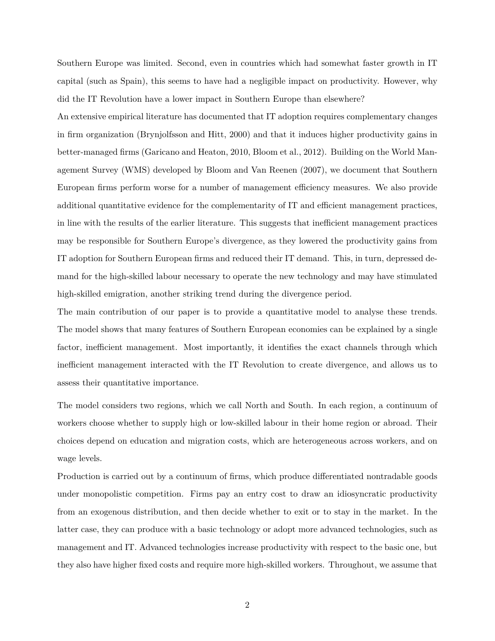Southern Europe was limited. Second, even in countries which had somewhat faster growth in IT capital (such as Spain), this seems to have had a negligible impact on productivity. However, why did the IT Revolution have a lower impact in Southern Europe than elsewhere?

An extensive empirical literature has documented that IT adoption requires complementary changes in firm organization (Brynjolfsson and Hitt, 2000) and that it induces higher productivity gains in better-managed firms (Garicano and Heaton, 2010, Bloom et al., 2012). Building on the World Management Survey (WMS) developed by Bloom and Van Reenen (2007), we document that Southern European firms perform worse for a number of management efficiency measures. We also provide additional quantitative evidence for the complementarity of IT and efficient management practices, in line with the results of the earlier literature. This suggests that inefficient management practices may be responsible for Southern Europe's divergence, as they lowered the productivity gains from IT adoption for Southern European firms and reduced their IT demand. This, in turn, depressed demand for the high-skilled labour necessary to operate the new technology and may have stimulated high-skilled emigration, another striking trend during the divergence period.

The main contribution of our paper is to provide a quantitative model to analyse these trends. The model shows that many features of Southern European economies can be explained by a single factor, inefficient management. Most importantly, it identifies the exact channels through which inefficient management interacted with the IT Revolution to create divergence, and allows us to assess their quantitative importance.

The model considers two regions, which we call North and South. In each region, a continuum of workers choose whether to supply high or low-skilled labour in their home region or abroad. Their choices depend on education and migration costs, which are heterogeneous across workers, and on wage levels.

Production is carried out by a continuum of firms, which produce differentiated nontradable goods under monopolistic competition. Firms pay an entry cost to draw an idiosyncratic productivity from an exogenous distribution, and then decide whether to exit or to stay in the market. In the latter case, they can produce with a basic technology or adopt more advanced technologies, such as management and IT. Advanced technologies increase productivity with respect to the basic one, but they also have higher fixed costs and require more high-skilled workers. Throughout, we assume that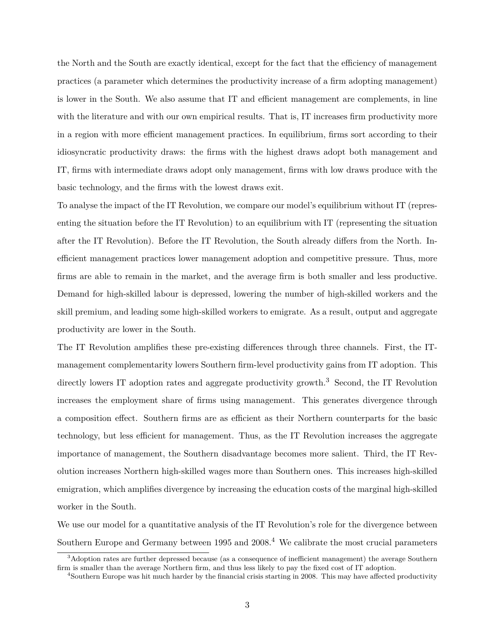the North and the South are exactly identical, except for the fact that the efficiency of management practices (a parameter which determines the productivity increase of a firm adopting management) is lower in the South. We also assume that IT and efficient management are complements, in line with the literature and with our own empirical results. That is, IT increases firm productivity more in a region with more efficient management practices. In equilibrium, firms sort according to their idiosyncratic productivity draws: the firms with the highest draws adopt both management and IT, firms with intermediate draws adopt only management, firms with low draws produce with the basic technology, and the firms with the lowest draws exit.

To analyse the impact of the IT Revolution, we compare our model's equilibrium without IT (representing the situation before the IT Revolution) to an equilibrium with IT (representing the situation after the IT Revolution). Before the IT Revolution, the South already differs from the North. Inefficient management practices lower management adoption and competitive pressure. Thus, more firms are able to remain in the market, and the average firm is both smaller and less productive. Demand for high-skilled labour is depressed, lowering the number of high-skilled workers and the skill premium, and leading some high-skilled workers to emigrate. As a result, output and aggregate productivity are lower in the South.

The IT Revolution amplifies these pre-existing differences through three channels. First, the ITmanagement complementarity lowers Southern firm-level productivity gains from IT adoption. This directly lowers IT adoption rates and aggregate productivity growth.<sup>3</sup> Second, the IT Revolution increases the employment share of firms using management. This generates divergence through a composition effect. Southern firms are as efficient as their Northern counterparts for the basic technology, but less efficient for management. Thus, as the IT Revolution increases the aggregate importance of management, the Southern disadvantage becomes more salient. Third, the IT Revolution increases Northern high-skilled wages more than Southern ones. This increases high-skilled emigration, which amplifies divergence by increasing the education costs of the marginal high-skilled worker in the South.

We use our model for a quantitative analysis of the IT Revolution's role for the divergence between Southern Europe and Germany between  $1995$  and  $2008<sup>4</sup>$  We calibrate the most crucial parameters

<sup>3</sup>Adoption rates are further depressed because (as a consequence of inefficient management) the average Southern firm is smaller than the average Northern firm, and thus less likely to pay the fixed cost of IT adoption.

<sup>4</sup>Southern Europe was hit much harder by the financial crisis starting in 2008. This may have affected productivity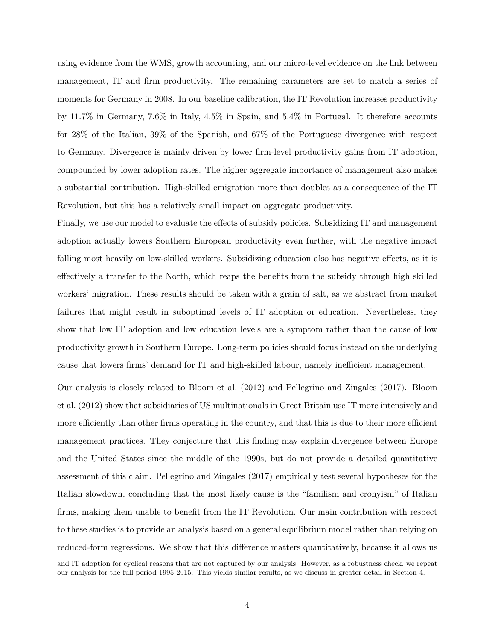using evidence from the WMS, growth accounting, and our micro-level evidence on the link between management, IT and firm productivity. The remaining parameters are set to match a series of moments for Germany in 2008. In our baseline calibration, the IT Revolution increases productivity by 11.7% in Germany, 7.6% in Italy, 4.5% in Spain, and 5.4% in Portugal. It therefore accounts for 28% of the Italian, 39% of the Spanish, and 67% of the Portuguese divergence with respect to Germany. Divergence is mainly driven by lower firm-level productivity gains from IT adoption, compounded by lower adoption rates. The higher aggregate importance of management also makes a substantial contribution. High-skilled emigration more than doubles as a consequence of the IT Revolution, but this has a relatively small impact on aggregate productivity.

Finally, we use our model to evaluate the effects of subsidy policies. Subsidizing IT and management adoption actually lowers Southern European productivity even further, with the negative impact falling most heavily on low-skilled workers. Subsidizing education also has negative effects, as it is effectively a transfer to the North, which reaps the benefits from the subsidy through high skilled workers' migration. These results should be taken with a grain of salt, as we abstract from market failures that might result in suboptimal levels of IT adoption or education. Nevertheless, they show that low IT adoption and low education levels are a symptom rather than the cause of low productivity growth in Southern Europe. Long-term policies should focus instead on the underlying cause that lowers firms' demand for IT and high-skilled labour, namely inefficient management.

Our analysis is closely related to Bloom et al. (2012) and Pellegrino and Zingales (2017). Bloom et al. (2012) show that subsidiaries of US multinationals in Great Britain use IT more intensively and more efficiently than other firms operating in the country, and that this is due to their more efficient management practices. They conjecture that this finding may explain divergence between Europe and the United States since the middle of the 1990s, but do not provide a detailed quantitative assessment of this claim. Pellegrino and Zingales (2017) empirically test several hypotheses for the Italian slowdown, concluding that the most likely cause is the "familism and cronyism" of Italian firms, making them unable to benefit from the IT Revolution. Our main contribution with respect to these studies is to provide an analysis based on a general equilibrium model rather than relying on reduced-form regressions. We show that this difference matters quantitatively, because it allows us

and IT adoption for cyclical reasons that are not captured by our analysis. However, as a robustness check, we repeat our analysis for the full period 1995-2015. This yields similar results, as we discuss in greater detail in Section 4.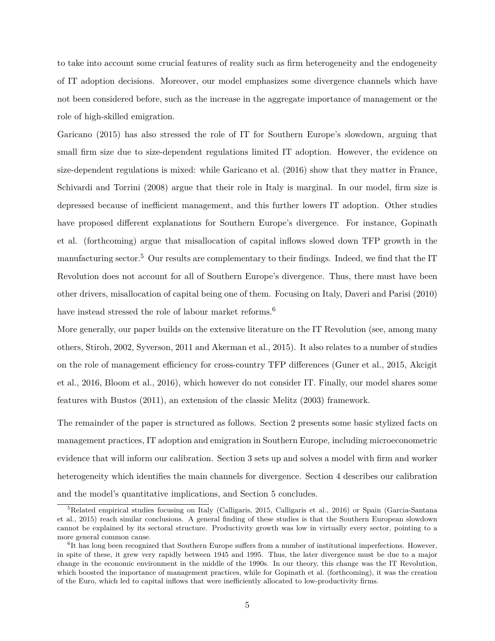to take into account some crucial features of reality such as firm heterogeneity and the endogeneity of IT adoption decisions. Moreover, our model emphasizes some divergence channels which have not been considered before, such as the increase in the aggregate importance of management or the role of high-skilled emigration.

Garicano (2015) has also stressed the role of IT for Southern Europe's slowdown, arguing that small firm size due to size-dependent regulations limited IT adoption. However, the evidence on size-dependent regulations is mixed: while Garicano et al. (2016) show that they matter in France, Schivardi and Torrini (2008) argue that their role in Italy is marginal. In our model, firm size is depressed because of inefficient management, and this further lowers IT adoption. Other studies have proposed different explanations for Southern Europe's divergence. For instance, Gopinath et al. (forthcoming) argue that misallocation of capital inflows slowed down TFP growth in the manufacturing sector.<sup>5</sup> Our results are complementary to their findings. Indeed, we find that the IT Revolution does not account for all of Southern Europe's divergence. Thus, there must have been other drivers, misallocation of capital being one of them. Focusing on Italy, Daveri and Parisi (2010) have instead stressed the role of labour market reforms.<sup>6</sup>

More generally, our paper builds on the extensive literature on the IT Revolution (see, among many others, Stiroh, 2002, Syverson, 2011 and Akerman et al., 2015). It also relates to a number of studies on the role of management efficiency for cross-country TFP differences (Guner et al., 2015, Akcigit et al., 2016, Bloom et al., 2016), which however do not consider IT. Finally, our model shares some features with Bustos (2011), an extension of the classic Melitz (2003) framework.

The remainder of the paper is structured as follows. Section 2 presents some basic stylized facts on management practices, IT adoption and emigration in Southern Europe, including microeconometric evidence that will inform our calibration. Section 3 sets up and solves a model with firm and worker heterogeneity which identifies the main channels for divergence. Section 4 describes our calibration and the model's quantitative implications, and Section 5 concludes.

<sup>&</sup>lt;sup>5</sup>Related empirical studies focusing on Italy (Calligaris, 2015, Calligaris et al., 2016) or Spain (Garcia-Santana et al., 2015) reach similar conclusions. A general finding of these studies is that the Southern European slowdown cannot be explained by its sectoral structure. Productivity growth was low in virtually every sector, pointing to a more general common cause.

<sup>&</sup>lt;sup>6</sup>It has long been recognized that Southern Europe suffers from a number of institutional imperfections. However, in spite of these, it grew very rapidly between 1945 and 1995. Thus, the later divergence must be due to a major change in the economic environment in the middle of the 1990s. In our theory, this change was the IT Revolution, which boosted the importance of management practices, while for Gopinath et al. (forthcoming), it was the creation of the Euro, which led to capital inflows that were inefficiently allocated to low-productivity firms.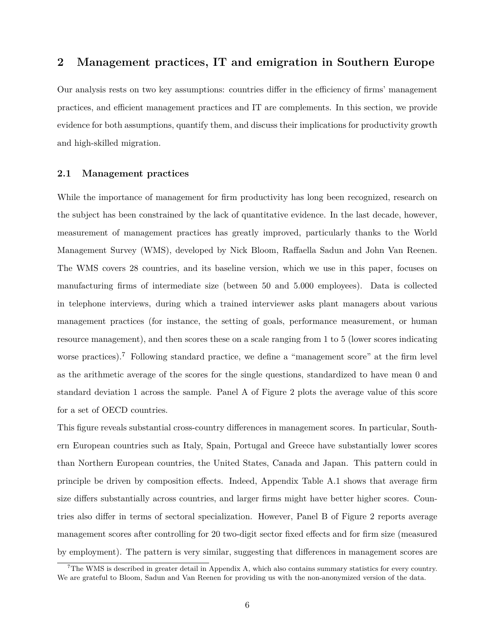## **2 Management practices, IT and emigration in Southern Europe**

Our analysis rests on two key assumptions: countries differ in the efficiency of firms' management practices, and efficient management practices and IT are complements. In this section, we provide evidence for both assumptions, quantify them, and discuss their implications for productivity growth and high-skilled migration.

#### **2.1 Management practices**

While the importance of management for firm productivity has long been recognized, research on the subject has been constrained by the lack of quantitative evidence. In the last decade, however, measurement of management practices has greatly improved, particularly thanks to the World Management Survey (WMS), developed by Nick Bloom, Raffaella Sadun and John Van Reenen. The WMS covers 28 countries, and its baseline version, which we use in this paper, focuses on manufacturing firms of intermediate size (between 50 and 5.000 employees). Data is collected in telephone interviews, during which a trained interviewer asks plant managers about various management practices (for instance, the setting of goals, performance measurement, or human resource management), and then scores these on a scale ranging from 1 to 5 (lower scores indicating worse practices).<sup>7</sup> Following standard practice, we define a "management score" at the firm level as the arithmetic average of the scores for the single questions, standardized to have mean 0 and standard deviation 1 across the sample. Panel A of Figure 2 plots the average value of this score for a set of OECD countries.

This figure reveals substantial cross-country differences in management scores. In particular, Southern European countries such as Italy, Spain, Portugal and Greece have substantially lower scores than Northern European countries, the United States, Canada and Japan. This pattern could in principle be driven by composition effects. Indeed, Appendix Table A.1 shows that average firm size differs substantially across countries, and larger firms might have better higher scores. Countries also differ in terms of sectoral specialization. However, Panel B of Figure 2 reports average management scores after controlling for 20 two-digit sector fixed effects and for firm size (measured by employment). The pattern is very similar, suggesting that differences in management scores are

 $7$ The WMS is described in greater detail in Appendix A, which also contains summary statistics for every country. We are grateful to Bloom, Sadun and Van Reenen for providing us with the non-anonymized version of the data.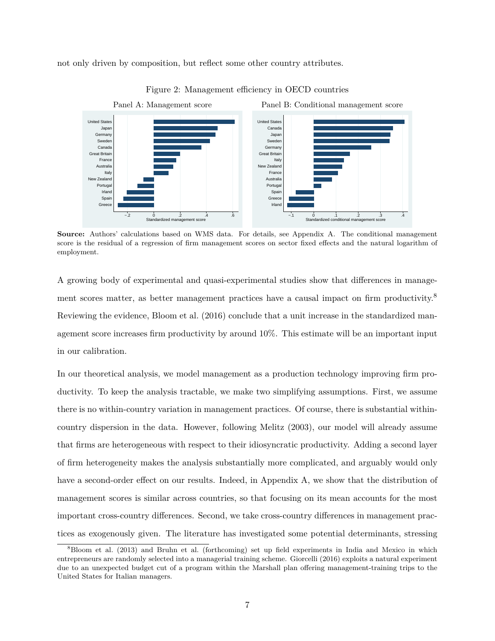not only driven by composition, but reflect some other country attributes.





**Source:** Authors' calculations based on WMS data. For details, see Appendix A. The conditional management score is the residual of a regression of firm management scores on sector fixed effects and the natural logarithm of employment.

A growing body of experimental and quasi-experimental studies show that differences in management scores matter, as better management practices have a causal impact on firm productivity.<sup>8</sup> Reviewing the evidence, Bloom et al. (2016) conclude that a unit increase in the standardized management score increases firm productivity by around 10%. This estimate will be an important input in our calibration.

In our theoretical analysis, we model management as a production technology improving firm productivity. To keep the analysis tractable, we make two simplifying assumptions. First, we assume there is no within-country variation in management practices. Of course, there is substantial withincountry dispersion in the data. However, following Melitz (2003), our model will already assume that firms are heterogeneous with respect to their idiosyncratic productivity. Adding a second layer of firm heterogeneity makes the analysis substantially more complicated, and arguably would only have a second-order effect on our results. Indeed, in Appendix A, we show that the distribution of management scores is similar across countries, so that focusing on its mean accounts for the most important cross-country differences. Second, we take cross-country differences in management practices as exogenously given. The literature has investigated some potential determinants, stressing

<sup>8</sup>Bloom et al. (2013) and Bruhn et al. (forthcoming) set up field experiments in India and Mexico in which entrepreneurs are randomly selected into a managerial training scheme. Giorcelli (2016) exploits a natural experiment due to an unexpected budget cut of a program within the Marshall plan offering management-training trips to the United States for Italian managers.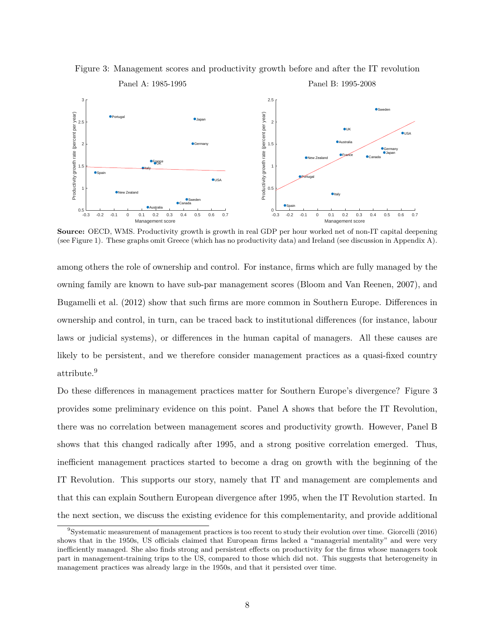

Figure 3: Management scores and productivity growth before and after the IT revolution

**Source:** OECD, WMS. Productivity growth is growth in real GDP per hour worked net of non-IT capital deepening (see Figure 1). These graphs omit Greece (which has no productivity data) and Ireland (see discussion in Appendix A).

among others the role of ownership and control. For instance, firms which are fully managed by the owning family are known to have sub-par management scores (Bloom and Van Reenen, 2007), and Bugamelli et al. (2012) show that such firms are more common in Southern Europe. Differences in ownership and control, in turn, can be traced back to institutional differences (for instance, labour laws or judicial systems), or differences in the human capital of managers. All these causes are likely to be persistent, and we therefore consider management practices as a quasi-fixed country attribute.<sup>9</sup>

Do these differences in management practices matter for Southern Europe's divergence? Figure 3 provides some preliminary evidence on this point. Panel A shows that before the IT Revolution, there was no correlation between management scores and productivity growth. However, Panel B shows that this changed radically after 1995, and a strong positive correlation emerged. Thus, inefficient management practices started to become a drag on growth with the beginning of the IT Revolution. This supports our story, namely that IT and management are complements and that this can explain Southern European divergence after 1995, when the IT Revolution started. In the next section, we discuss the existing evidence for this complementarity, and provide additional

<sup>9</sup>Systematic measurement of management practices is too recent to study their evolution over time. Giorcelli (2016) shows that in the 1950s, US officials claimed that European firms lacked a "managerial mentality" and were very inefficiently managed. She also finds strong and persistent effects on productivity for the firms whose managers took part in management-training trips to the US, compared to those which did not. This suggests that heterogeneity in management practices was already large in the 1950s, and that it persisted over time.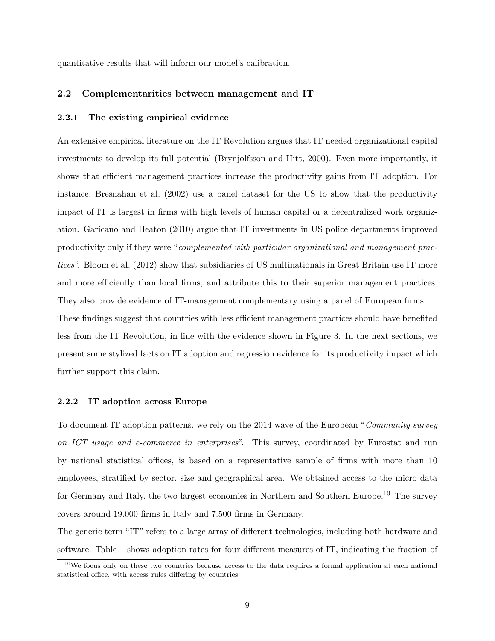quantitative results that will inform our model's calibration.

#### **2.2 Complementarities between management and IT**

#### **2.2.1 The existing empirical evidence**

An extensive empirical literature on the IT Revolution argues that IT needed organizational capital investments to develop its full potential (Brynjolfsson and Hitt, 2000). Even more importantly, it shows that efficient management practices increase the productivity gains from IT adoption. For instance, Bresnahan et al. (2002) use a panel dataset for the US to show that the productivity impact of IT is largest in firms with high levels of human capital or a decentralized work organization. Garicano and Heaton (2010) argue that IT investments in US police departments improved productivity only if they were "*complemented with particular organizational and management practices*". Bloom et al. (2012) show that subsidiaries of US multinationals in Great Britain use IT more and more efficiently than local firms, and attribute this to their superior management practices. They also provide evidence of IT-management complementary using a panel of European firms. These findings suggest that countries with less efficient management practices should have benefited less from the IT Revolution, in line with the evidence shown in Figure 3. In the next sections, we present some stylized facts on IT adoption and regression evidence for its productivity impact which further support this claim.

#### **2.2.2 IT adoption across Europe**

To document IT adoption patterns, we rely on the 2014 wave of the European "*Community survey on ICT usage and e-commerce in enterprises*". This survey, coordinated by Eurostat and run by national statistical offices, is based on a representative sample of firms with more than 10 employees, stratified by sector, size and geographical area. We obtained access to the micro data for Germany and Italy, the two largest economies in Northern and Southern Europe.<sup>10</sup> The survey covers around 19.000 firms in Italy and 7.500 firms in Germany.

The generic term "IT" refers to a large array of different technologies, including both hardware and software. Table 1 shows adoption rates for four different measures of IT, indicating the fraction of

 $10$ We focus only on these two countries because access to the data requires a formal application at each national statistical office, with access rules differing by countries.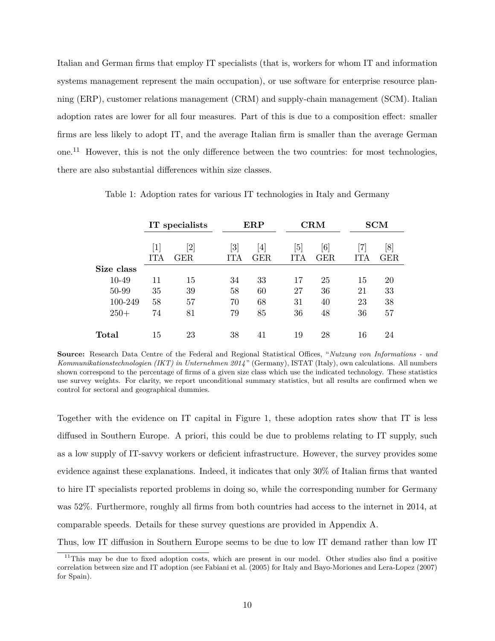Italian and German firms that employ IT specialists (that is, workers for whom IT and information systems management represent the main occupation), or use software for enterprise resource planning (ERP), customer relations management (CRM) and supply-chain management (SCM). Italian adoption rates are lower for all four measures. Part of this is due to a composition effect: smaller firms are less likely to adopt IT, and the average Italian firm is smaller than the average German one.<sup>11</sup> However, this is not the only difference between the two countries: for most technologies, there are also substantial differences within size classes.

|            | IT specialists                             |           | ${\rm ERP}$                         |                             |            | $_{\rm CRM}$                   |                  | <b>SCM</b>       |
|------------|--------------------------------------------|-----------|-------------------------------------|-----------------------------|------------|--------------------------------|------------------|------------------|
|            | $\left\lceil 1 \right\rceil$<br><b>ITA</b> | 2 <br>GER | $\left\lceil 3 \right\rceil$<br>ITA | $\overline{4}$<br>$\rm GER$ | [5]<br>ITA | $\lceil 6 \rceil$<br>$\rm GER$ | 71<br><b>ITA</b> | [8]<br>$\rm GER$ |
| Size class |                                            |           |                                     |                             |            |                                |                  |                  |
| 10-49      | 11                                         | 15        | 34                                  | 33                          | 17         | 25                             | 15               | 20               |
| 50-99      | 35                                         | 39        | 58                                  | 60                          | 27         | 36                             | 21               | 33               |
| 100-249    | 58                                         | 57        | 70                                  | 68                          | 31         | 40                             | 23               | 38               |
| $250+$     | 74                                         | 81        | 79                                  | 85                          | 36         | 48                             | 36               | 57               |
| Total      | 15                                         | 23        | 38                                  | 41                          | 19         | 28                             | 16               | 24               |

Table 1: Adoption rates for various IT technologies in Italy and Germany

**Source:** Research Data Centre of the Federal and Regional Statistical Offices, "*Nutzung von Informations - und Kommunikationstechnologien (IKT) in Unternehmen 2014* " (Germany), ISTAT (Italy), own calculations. All numbers shown correspond to the percentage of firms of a given size class which use the indicated technology. These statistics use survey weights. For clarity, we report unconditional summary statistics, but all results are confirmed when we control for sectoral and geographical dummies.

Together with the evidence on IT capital in Figure 1, these adoption rates show that IT is less diffused in Southern Europe. A priori, this could be due to problems relating to IT supply, such as a low supply of IT-savvy workers or deficient infrastructure. However, the survey provides some evidence against these explanations. Indeed, it indicates that only 30% of Italian firms that wanted to hire IT specialists reported problems in doing so, while the corresponding number for Germany was 52%. Furthermore, roughly all firms from both countries had access to the internet in 2014, at comparable speeds. Details for these survey questions are provided in Appendix A.

Thus, low IT diffusion in Southern Europe seems to be due to low IT demand rather than low IT

<sup>&</sup>lt;sup>11</sup>This may be due to fixed adoption costs, which are present in our model. Other studies also find a positive correlation between size and IT adoption (see Fabiani et al. (2005) for Italy and Bayo-Moriones and Lera-Lopez (2007) for Spain).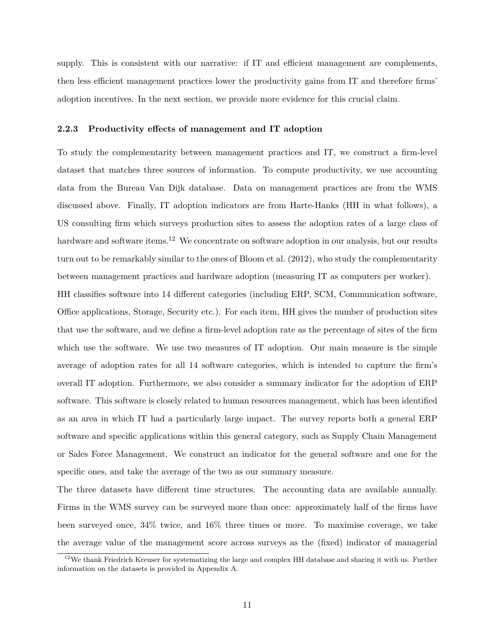supply. This is consistent with our narrative: if IT and efficient management are complements, then less efficient management practices lower the productivity gains from IT and therefore firms' adoption incentives. In the next section, we provide more evidence for this crucial claim.

#### **2.2.3 Productivity effects of management and IT adoption**

To study the complementarity between management practices and IT, we construct a firm-level dataset that matches three sources of information. To compute productivity, we use accounting data from the Bureau Van Dijk database. Data on management practices are from the WMS discussed above. Finally, IT adoption indicators are from Harte-Hanks (HH in what follows), a US consulting firm which surveys production sites to assess the adoption rates of a large class of hardware and software items.<sup>12</sup> We concentrate on software adoption in our analysis, but our results turn out to be remarkably similar to the ones of Bloom et al. (2012), who study the complementarity between management practices and hardware adoption (measuring IT as computers per worker).

HH classifies software into 14 different categories (including ERP, SCM, Communication software, Office applications, Storage, Security etc.). For each item, HH gives the number of production sites that use the software, and we define a firm-level adoption rate as the percentage of sites of the firm which use the software. We use two measures of IT adoption. Our main measure is the simple average of adoption rates for all 14 software categories, which is intended to capture the firm's overall IT adoption. Furthermore, we also consider a summary indicator for the adoption of ERP software. This software is closely related to human resources management, which has been identified as an area in which IT had a particularly large impact. The survey reports both a general ERP software and specific applications within this general category, such as Supply Chain Management or Sales Force Management. We construct an indicator for the general software and one for the specific ones, and take the average of the two as our summary measure.

The three datasets have different time structures. The accounting data are available annually. Firms in the WMS survey can be surveyed more than once: approximately half of the firms have been surveyed once, 34% twice, and 16% three times or more. To maximise coverage, we take the average value of the management score across surveys as the (fixed) indicator of managerial

 $12$ We thank Friedrich Kreuser for systematizing the large and complex HH database and sharing it with us. Further information on the datasets is provided in Appendix A.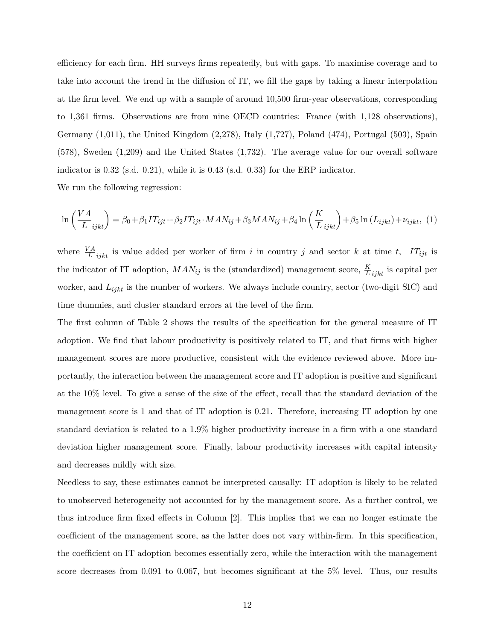efficiency for each firm. HH surveys firms repeatedly, but with gaps. To maximise coverage and to take into account the trend in the diffusion of IT, we fill the gaps by taking a linear interpolation at the firm level. We end up with a sample of around 10,500 firm-year observations, corresponding to 1,361 firms. Observations are from nine OECD countries: France (with 1,128 observations), Germany  $(1,011)$ , the United Kingdom  $(2,278)$ , Italy  $(1,727)$ , Poland  $(474)$ , Portugal  $(503)$ , Spain (578), Sweden (1,209) and the United States (1,732). The average value for our overall software indicator is 0.32 (s.d. 0.21), while it is 0.43 (s.d. 0.33) for the ERP indicator.

We run the following regression:

$$
\ln\left(\frac{VA}{L_{ijkl}}\right) = \beta_0 + \beta_1 IT_{ijt} + \beta_2 IT_{ijt} \cdot MAN_{ij} + \beta_3 MAN_{ij} + \beta_4 \ln\left(\frac{K}{L_{ijkl}}\right) + \beta_5 \ln\left(L_{ijkt}\right) + \nu_{ijkt}, \tag{1}
$$

where  $\frac{VA}{L}$  *ijkt* is value added per worker of firm *i* in country *j* and sector *k* at time *t*, *IT*<sub>*ijt*</sub> is the indicator of IT adoption,  $MAN_{ij}$  is the (standardized) management score,  $\frac{K}{L}$ <sub>*ijkt*</sub> is capital per worker, and *Lijkt* is the number of workers. We always include country, sector (two-digit SIC) and time dummies, and cluster standard errors at the level of the firm.

The first column of Table 2 shows the results of the specification for the general measure of IT adoption. We find that labour productivity is positively related to IT, and that firms with higher management scores are more productive, consistent with the evidence reviewed above. More importantly, the interaction between the management score and IT adoption is positive and significant at the 10% level. To give a sense of the size of the effect, recall that the standard deviation of the management score is 1 and that of IT adoption is 0.21. Therefore, increasing IT adoption by one standard deviation is related to a 1.9% higher productivity increase in a firm with a one standard deviation higher management score. Finally, labour productivity increases with capital intensity and decreases mildly with size.

Needless to say, these estimates cannot be interpreted causally: IT adoption is likely to be related to unobserved heterogeneity not accounted for by the management score. As a further control, we thus introduce firm fixed effects in Column [2]. This implies that we can no longer estimate the coefficient of the management score, as the latter does not vary within-firm. In this specification, the coefficient on IT adoption becomes essentially zero, while the interaction with the management score decreases from 0.091 to 0.067, but becomes significant at the 5% level. Thus, our results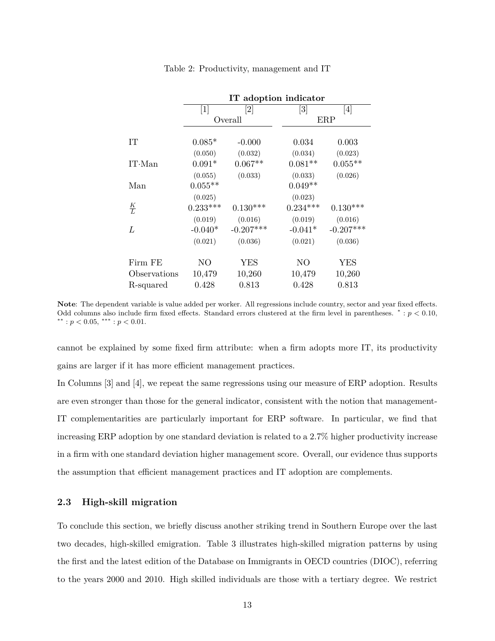|               |                                                                                                                                                                                                                                                     | IT adoption indicator        |                              |                                                                                                                                                                                                                                                                                                                                                                                                                                                                                                                                                                                                                                                                                                                                                                                                                                                                   |  |  |  |  |
|---------------|-----------------------------------------------------------------------------------------------------------------------------------------------------------------------------------------------------------------------------------------------------|------------------------------|------------------------------|-------------------------------------------------------------------------------------------------------------------------------------------------------------------------------------------------------------------------------------------------------------------------------------------------------------------------------------------------------------------------------------------------------------------------------------------------------------------------------------------------------------------------------------------------------------------------------------------------------------------------------------------------------------------------------------------------------------------------------------------------------------------------------------------------------------------------------------------------------------------|--|--|--|--|
|               | $[1] % \includegraphics[width=0.9\columnwidth]{figures/fig_10.pdf} \caption{The graph $\mathcal{N}_1$ is a function of the number of~\textit{N}_1$ (left) and the number of~\textit{N}_2$ (right) are shown in \cite{N}_1$ (right).} \label{fig:1}$ | $\left\lceil 2 \right\rceil$ | $\left\lceil 3 \right\rceil$ | $[4] % \includegraphics[width=0.9\columnwidth]{figures/fig_4} \caption{A graph shows a function of the number of times, in the left and right, in the right, the number of times, in the right, the number of times, in the right, the number of times, in the right, the number of times, in the right, the number of times, in the right, the number of times, in the right, the number of times, in the right, the number of times, in the right, the number of times, in the right, the number of times, in the right, the number of times, in the right, the number of times, in the right, the number of times, in the right, the number of times, in the right, the number of times, in the right, the number of times, in the right, the number of times, in the right, the number of times, in the right, the number of times, in the right, the number$ |  |  |  |  |
|               |                                                                                                                                                                                                                                                     | Overall                      |                              | ERP                                                                                                                                                                                                                                                                                                                                                                                                                                                                                                                                                                                                                                                                                                                                                                                                                                                               |  |  |  |  |
| IT            | $0.085*$                                                                                                                                                                                                                                            | $-0.000$                     | 0.034                        | 0.003                                                                                                                                                                                                                                                                                                                                                                                                                                                                                                                                                                                                                                                                                                                                                                                                                                                             |  |  |  |  |
|               | (0.050)                                                                                                                                                                                                                                             | (0.032)                      | (0.034)                      | (0.023)                                                                                                                                                                                                                                                                                                                                                                                                                                                                                                                                                                                                                                                                                                                                                                                                                                                           |  |  |  |  |
| $IT$ ·Man     | $0.091*$                                                                                                                                                                                                                                            | $0.067**$                    | $0.081**$                    | $0.055**$                                                                                                                                                                                                                                                                                                                                                                                                                                                                                                                                                                                                                                                                                                                                                                                                                                                         |  |  |  |  |
|               | (0.055)                                                                                                                                                                                                                                             | (0.033)                      | (0.033)                      | (0.026)                                                                                                                                                                                                                                                                                                                                                                                                                                                                                                                                                                                                                                                                                                                                                                                                                                                           |  |  |  |  |
| Man           | $0.055**$                                                                                                                                                                                                                                           |                              | $0.049**$                    |                                                                                                                                                                                                                                                                                                                                                                                                                                                                                                                                                                                                                                                                                                                                                                                                                                                                   |  |  |  |  |
|               | (0.025)                                                                                                                                                                                                                                             |                              | (0.023)                      |                                                                                                                                                                                                                                                                                                                                                                                                                                                                                                                                                                                                                                                                                                                                                                                                                                                                   |  |  |  |  |
| $\frac{K}{L}$ | $0.233***$                                                                                                                                                                                                                                          | $0.130***$                   | $0.234***$                   | $0.130***$                                                                                                                                                                                                                                                                                                                                                                                                                                                                                                                                                                                                                                                                                                                                                                                                                                                        |  |  |  |  |
|               | (0.019)                                                                                                                                                                                                                                             | (0.016)                      | (0.019)                      | (0.016)                                                                                                                                                                                                                                                                                                                                                                                                                                                                                                                                                                                                                                                                                                                                                                                                                                                           |  |  |  |  |
| L             | $-0.040*$                                                                                                                                                                                                                                           | $-0.207***$                  | $-0.041*$                    | $-0.207***$                                                                                                                                                                                                                                                                                                                                                                                                                                                                                                                                                                                                                                                                                                                                                                                                                                                       |  |  |  |  |
|               | (0.021)                                                                                                                                                                                                                                             | (0.036)                      | (0.021)                      | (0.036)                                                                                                                                                                                                                                                                                                                                                                                                                                                                                                                                                                                                                                                                                                                                                                                                                                                           |  |  |  |  |
| Firm FE       | NO                                                                                                                                                                                                                                                  | YES                          | N <sub>O</sub>               | <b>YES</b>                                                                                                                                                                                                                                                                                                                                                                                                                                                                                                                                                                                                                                                                                                                                                                                                                                                        |  |  |  |  |
| Observations  | 10,479                                                                                                                                                                                                                                              | 10,260                       | 10,479                       | 10,260                                                                                                                                                                                                                                                                                                                                                                                                                                                                                                                                                                                                                                                                                                                                                                                                                                                            |  |  |  |  |
| R-squared     | 0.428                                                                                                                                                                                                                                               | 0.813                        | 0.428                        | 0.813                                                                                                                                                                                                                                                                                                                                                                                                                                                                                                                                                                                                                                                                                                                                                                                                                                                             |  |  |  |  |

Table 2: Productivity, management and IT

**Note**: The dependent variable is value added per worker. All regressions include country, sector and year fixed effects. Odd columns also include firm fixed effects. Standard errors clustered at the firm level in parentheses. <sup>∗</sup> : *p <* 0*.*10, ∗∗ : *p <* 0*.*05, ∗∗∗ : *p <* 0*.*01.

cannot be explained by some fixed firm attribute: when a firm adopts more IT, its productivity gains are larger if it has more efficient management practices.

In Columns [3] and [4], we repeat the same regressions using our measure of ERP adoption. Results are even stronger than those for the general indicator, consistent with the notion that management-IT complementarities are particularly important for ERP software. In particular, we find that increasing ERP adoption by one standard deviation is related to a 2.7% higher productivity increase in a firm with one standard deviation higher management score. Overall, our evidence thus supports the assumption that efficient management practices and IT adoption are complements.

#### **2.3 High-skill migration**

To conclude this section, we briefly discuss another striking trend in Southern Europe over the last two decades, high-skilled emigration. Table 3 illustrates high-skilled migration patterns by using the first and the latest edition of the Database on Immigrants in OECD countries (DIOC), referring to the years 2000 and 2010. High skilled individuals are those with a tertiary degree. We restrict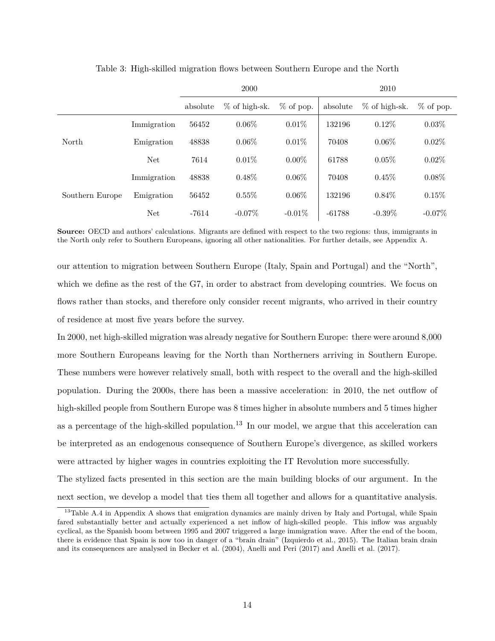|                 |             |          | 2000            |             | 2010     |                 |             |  |
|-----------------|-------------|----------|-----------------|-------------|----------|-----------------|-------------|--|
|                 |             | absolute | $%$ of high-sk. | $%$ of pop. | absolute | $%$ of high-sk. | $%$ of pop. |  |
|                 | Immigration | 56452    | $0.06\%$        | $0.01\%$    | 132196   | $0.12\%$        | $0.03\%$    |  |
| North           | Emigration  | 48838    | $0.06\%$        | 0.01%       | 70408    | $0.06\%$        | 0.02%       |  |
|                 | <b>Net</b>  | 7614     | 0.01%           | $0.00\%$    | 61788    | 0.05%           | $0.02\%$    |  |
|                 | Immigration | 48838    | $0.48\%$        | $0.06\%$    | 70408    | 0.45%           | $0.08\%$    |  |
| Southern Europe | Emigration  | 56452    | $0.55\%$        | $0.06\%$    | 132196   | $0.84\%$        | 0.15%       |  |
|                 | <b>Net</b>  | $-7614$  | $-0.07\%$       | $-0.01\%$   | $-61788$ | $-0.39\%$       | $-0.07\%$   |  |

Table 3: High-skilled migration flows between Southern Europe and the North

**Source:** OECD and authors' calculations. Migrants are defined with respect to the two regions: thus, immigrants in the North only refer to Southern Europeans, ignoring all other nationalities. For further details, see Appendix A.

our attention to migration between Southern Europe (Italy, Spain and Portugal) and the "North", which we define as the rest of the G7, in order to abstract from developing countries. We focus on flows rather than stocks, and therefore only consider recent migrants, who arrived in their country of residence at most five years before the survey.

In 2000, net high-skilled migration was already negative for Southern Europe: there were around 8,000 more Southern Europeans leaving for the North than Northerners arriving in Southern Europe. These numbers were however relatively small, both with respect to the overall and the high-skilled population. During the 2000s, there has been a massive acceleration: in 2010, the net outflow of high-skilled people from Southern Europe was 8 times higher in absolute numbers and 5 times higher as a percentage of the high-skilled population.<sup>13</sup> In our model, we argue that this acceleration can be interpreted as an endogenous consequence of Southern Europe's divergence, as skilled workers were attracted by higher wages in countries exploiting the IT Revolution more successfully.

The stylized facts presented in this section are the main building blocks of our argument. In the next section, we develop a model that ties them all together and allows for a quantitative analysis.

<sup>&</sup>lt;sup>13</sup>Table A.4 in Appendix A shows that emigration dynamics are mainly driven by Italy and Portugal, while Spain fared substantially better and actually experienced a net inflow of high-skilled people. This inflow was arguably cyclical, as the Spanish boom between 1995 and 2007 triggered a large immigration wave. After the end of the boom, there is evidence that Spain is now too in danger of a "brain drain" (Izquierdo et al., 2015). The Italian brain drain and its consequences are analysed in Becker et al. (2004), Anelli and Peri (2017) and Anelli et al. (2017).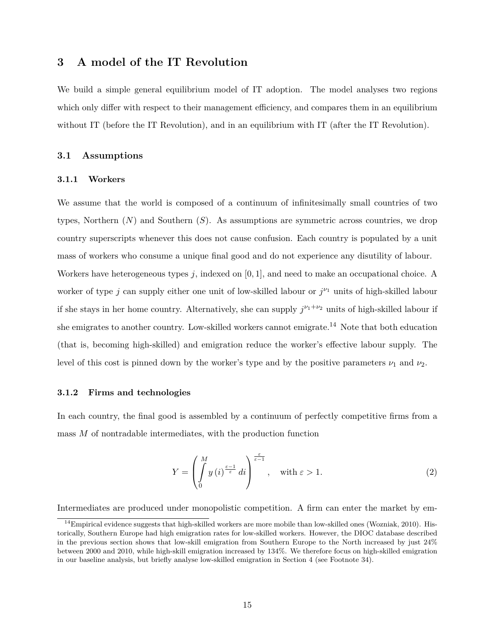## **3 A model of the IT Revolution**

We build a simple general equilibrium model of IT adoption. The model analyses two regions which only differ with respect to their management efficiency, and compares them in an equilibrium without IT (before the IT Revolution), and in an equilibrium with IT (after the IT Revolution).

#### **3.1 Assumptions**

#### **3.1.1 Workers**

We assume that the world is composed of a continuum of infinitesimally small countries of two types, Northern (*N*) and Southern (*S*). As assumptions are symmetric across countries, we drop country superscripts whenever this does not cause confusion. Each country is populated by a unit mass of workers who consume a unique final good and do not experience any disutility of labour. Workers have heterogeneous types *j*, indexed on [0*,* 1], and need to make an occupational choice. A worker of type *j* can supply either one unit of low-skilled labour or  $j^{\nu_1}$  units of high-skilled labour if she stays in her home country. Alternatively, she can supply  $j^{\nu_1+\nu_2}$  units of high-skilled labour if she emigrates to another country. Low-skilled workers cannot emigrate.<sup>14</sup> Note that both education (that is, becoming high-skilled) and emigration reduce the worker's effective labour supply. The level of this cost is pinned down by the worker's type and by the positive parameters  $\nu_1$  and  $\nu_2$ .

#### **3.1.2 Firms and technologies**

In each country, the final good is assembled by a continuum of perfectly competitive firms from a mass *M* of nontradable intermediates, with the production function

$$
Y = \left(\int_{0}^{M} y\left(i\right)^{\frac{\varepsilon-1}{\varepsilon}} di\right)^{\frac{\varepsilon}{\varepsilon-1}}, \quad \text{with } \varepsilon > 1.
$$
 (2)

Intermediates are produced under monopolistic competition. A firm can enter the market by em-

 $14$ Empirical evidence suggests that high-skilled workers are more mobile than low-skilled ones (Wozniak, 2010). Historically, Southern Europe had high emigration rates for low-skilled workers. However, the DIOC database described in the previous section shows that low-skill emigration from Southern Europe to the North increased by just 24% between 2000 and 2010, while high-skill emigration increased by 134%. We therefore focus on high-skilled emigration in our baseline analysis, but briefly analyse low-skilled emigration in Section 4 (see Footnote 34).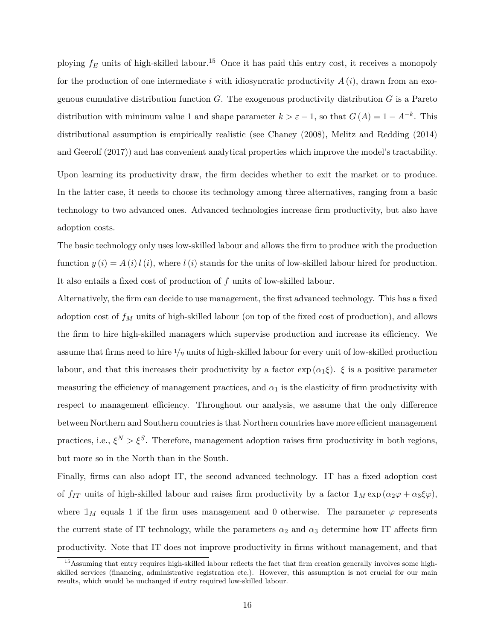ploying  $f_E$  units of high-skilled labour.<sup>15</sup> Once it has paid this entry cost, it receives a monopoly for the production of one intermediate *i* with idiosyncratic productivity  $A(i)$ , drawn from an exogenous cumulative distribution function *G*. The exogenous productivity distribution *G* is a Pareto distribution with minimum value 1 and shape parameter  $k > \varepsilon - 1$ , so that  $G(A) = 1 - A^{-k}$ . This distributional assumption is empirically realistic (see Chaney (2008), Melitz and Redding (2014) and Geerolf (2017)) and has convenient analytical properties which improve the model's tractability.

Upon learning its productivity draw, the firm decides whether to exit the market or to produce. In the latter case, it needs to choose its technology among three alternatives, ranging from a basic technology to two advanced ones. Advanced technologies increase firm productivity, but also have adoption costs.

The basic technology only uses low-skilled labour and allows the firm to produce with the production function  $y(i) = A(i) l(i)$ , where  $l(i)$  stands for the units of low-skilled labour hired for production. It also entails a fixed cost of production of *f* units of low-skilled labour.

Alternatively, the firm can decide to use management, the first advanced technology. This has a fixed adoption cost of  $f_M$  units of high-skilled labour (on top of the fixed cost of production), and allows the firm to hire high-skilled managers which supervise production and increase its efficiency. We assume that firms need to hire  $1/\eta$  units of high-skilled labour for every unit of low-skilled production labour, and that this increases their productivity by a factor  $\exp(\alpha_1\xi)$ .  $\xi$  is a positive parameter measuring the efficiency of management practices, and  $\alpha_1$  is the elasticity of firm productivity with respect to management efficiency. Throughout our analysis, we assume that the only difference between Northern and Southern countries is that Northern countries have more efficient management practices, i.e.,  $\xi^N > \xi^S$ . Therefore, management adoption raises firm productivity in both regions, but more so in the North than in the South.

Finally, firms can also adopt IT, the second advanced technology. IT has a fixed adoption cost of *f<sub>IT</sub>* units of high-skilled labour and raises firm productivity by a factor  $1_M \exp(\alpha_2 \varphi + \alpha_3 \xi \varphi)$ , where  $1_M$  equals 1 if the firm uses management and 0 otherwise. The parameter  $\varphi$  represents the current state of IT technology, while the parameters  $\alpha_2$  and  $\alpha_3$  determine how IT affects firm productivity. Note that IT does not improve productivity in firms without management, and that

<sup>&</sup>lt;sup>15</sup>Assuming that entry requires high-skilled labour reflects the fact that firm creation generally involves some highskilled services (financing, administrative registration etc.). However, this assumption is not crucial for our main results, which would be unchanged if entry required low-skilled labour.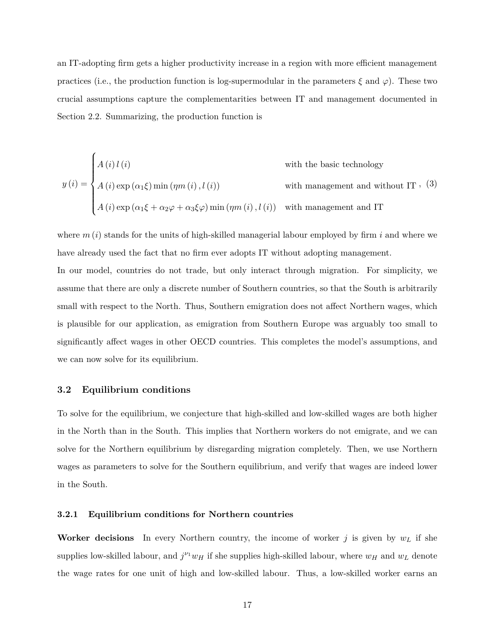an IT-adopting firm gets a higher productivity increase in a region with more efficient management practices (i.e., the production function is log-supermodular in the parameters *ξ* and *ϕ*). These two crucial assumptions capture the complementarities between IT and management documented in Section 2.2. Summarizing, the production function is

with the basic technology  
\n
$$
y(i) = \begin{cases} A(i) l(i) & \text{with the basic technology} \\ A(i) \exp(\alpha_1 \xi) \min(\eta m(i), l(i)) & \text{with management and without IT}, (3) \\ A(i) \exp(\alpha_1 \xi + \alpha_2 \varphi + \alpha_3 \xi \varphi) \min(\eta m(i), l(i)) & \text{with management and IT} \end{cases}
$$

where  $m(i)$  stands for the units of high-skilled managerial labour employed by firm  $i$  and where we have already used the fact that no firm ever adopts IT without adopting management.

In our model, countries do not trade, but only interact through migration. For simplicity, we assume that there are only a discrete number of Southern countries, so that the South is arbitrarily small with respect to the North. Thus, Southern emigration does not affect Northern wages, which is plausible for our application, as emigration from Southern Europe was arguably too small to significantly affect wages in other OECD countries. This completes the model's assumptions, and we can now solve for its equilibrium.

#### **3.2 Equilibrium conditions**

To solve for the equilibrium, we conjecture that high-skilled and low-skilled wages are both higher in the North than in the South. This implies that Northern workers do not emigrate, and we can solve for the Northern equilibrium by disregarding migration completely. Then, we use Northern wages as parameters to solve for the Southern equilibrium, and verify that wages are indeed lower in the South.

#### **3.2.1 Equilibrium conditions for Northern countries**

**Worker decisions** In every Northern country, the income of worker  $j$  is given by  $w<sub>L</sub>$  if she supplies low-skilled labour, and  $j^{\nu_1}w_H$  if she supplies high-skilled labour, where  $w_H$  and  $w_L$  denote the wage rates for one unit of high and low-skilled labour. Thus, a low-skilled worker earns an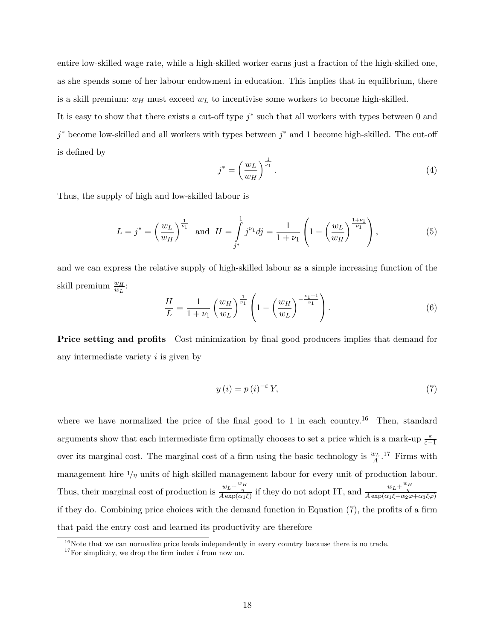entire low-skilled wage rate, while a high-skilled worker earns just a fraction of the high-skilled one, as she spends some of her labour endowment in education. This implies that in equilibrium, there is a skill premium:  $w_H$  must exceed  $w_L$  to incentivise some workers to become high-skilled.

It is easy to show that there exists a cut-off type  $j^*$  such that all workers with types between 0 and *j*<sup>\*</sup> become low-skilled and all workers with types between *j*<sup>\*</sup> and 1 become high-skilled. The cut-off is defined by

$$
j^* = \left(\frac{w_L}{w_H}\right)^{\frac{1}{\nu_1}}.\tag{4}
$$

Thus, the supply of high and low-skilled labour is

$$
L = j^* = \left(\frac{w_L}{w_H}\right)^{\frac{1}{\nu_1}} \text{ and } H = \int_{j^*}^{1} j^{\nu_1} dj = \frac{1}{1 + \nu_1} \left(1 - \left(\frac{w_L}{w_H}\right)^{\frac{1 + \nu_1}{\nu_1}}\right),\tag{5}
$$

and we can express the relative supply of high-skilled labour as a simple increasing function of the skill premium  $\frac{w_H}{w_L}$ :

$$
\frac{H}{L} = \frac{1}{1 + \nu_1} \left(\frac{w_H}{w_L}\right)^{\frac{1}{\nu_1}} \left(1 - \left(\frac{w_H}{w_L}\right)^{-\frac{\nu_1 + 1}{\nu_1}}\right).
$$
(6)

**Price setting and profits** Cost minimization by final good producers implies that demand for any intermediate variety *i* is given by

$$
y(i) = p(i)^{-\varepsilon} Y,\tag{7}
$$

where we have normalized the price of the final good to 1 in each country.<sup>16</sup> Then, standard arguments show that each intermediate firm optimally chooses to set a price which is a mark-up  $\frac{\varepsilon}{\varepsilon-1}$ over its marginal cost. The marginal cost of a firm using the basic technology is  $\frac{w_L}{A}$ .<sup>17</sup> Firms with management hire  $1/\eta$  units of high-skilled management labour for every unit of production labour. Thus, their marginal cost of production is  $\frac{w_L + \frac{w_H}{\eta}}{A \exp(\alpha_1 \xi)}$  if they do not adopt IT, and  $\frac{w_L + \frac{w_H}{\eta}}{A \exp(\alpha_1 \xi + \alpha_2 \varphi + \alpha_3 \xi \varphi)}$ if they do. Combining price choices with the demand function in Equation (7), the profits of a firm that paid the entry cost and learned its productivity are therefore

 $16$ Note that we can normalize price levels independently in every country because there is no trade.

<sup>17</sup>For simplicity, we drop the firm index *i* from now on.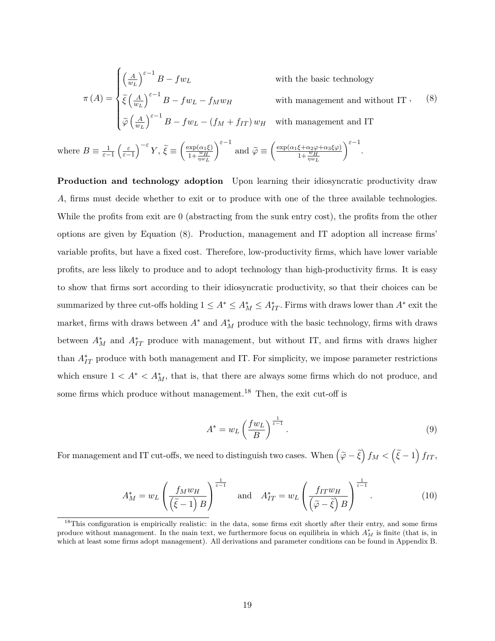$$
\pi(A) = \begin{cases}\n\left(\frac{A}{w_L}\right)^{\varepsilon - 1} B - f w_L & \text{with the basic technology} \\
\tilde{\xi} \left(\frac{A}{w_L}\right)^{\varepsilon - 1} B - f w_L - f_M w_H & \text{with management and without IT}, \\
\tilde{\varphi} \left(\frac{A}{w_L}\right)^{\varepsilon - 1} B - f w_L - (f_M + f_{IT}) w_H & \text{with management and IT}\n\end{cases}
$$
\n(8)

where  $B \equiv \frac{1}{\varepsilon - 1} \left( \frac{\varepsilon}{\varepsilon - 1} \right)^{-\varepsilon} Y$ ,  $\tilde{\xi} \equiv \left( \frac{\exp(\alpha_1 \xi)}{1 + \frac{w_H}{\eta w_L}} \right)$ *ε*−<sup>1</sup> and  $\widetilde{\varphi} \equiv \left( \frac{\exp(\alpha_1 \xi + \alpha_2 \varphi + \alpha_3 \xi \varphi)}{1 + \frac{w_H}{\eta w_L}} \right)$  $\Big)^{\varepsilon-1}$ .

**Production and technology adoption** Upon learning their idiosyncratic productivity draw *A*, firms must decide whether to exit or to produce with one of the three available technologies. While the profits from exit are 0 (abstracting from the sunk entry cost), the profits from the other options are given by Equation (8). Production, management and IT adoption all increase firms' variable profits, but have a fixed cost. Therefore, low-productivity firms, which have lower variable profits, are less likely to produce and to adopt technology than high-productivity firms. It is easy to show that firms sort according to their idiosyncratic productivity, so that their choices can be summarized by three cut-offs holding  $1 \leq A^* \leq A_M^* \leq A_{IT}^*$ . Firms with draws lower than  $A^*$  exit the market, firms with draws between  $A^*$  and  $A_M^*$  produce with the basic technology, firms with draws between  $A_M^*$  and  $A_{IT}^*$  produce with management, but without IT, and firms with draws higher than  $A_{IT}^*$  produce with both management and IT. For simplicity, we impose parameter restrictions which ensure  $1 < A^* < A_M^*$ , that is, that there are always some firms which do not produce, and some firms which produce without management.<sup>18</sup> Then, the exit cut-off is

$$
A^* = w_L \left(\frac{fw_L}{B}\right)^{\frac{1}{\varepsilon - 1}}.
$$
\n(9)

For management and IT cut-offs, we need to distinguish two cases. When  $(\tilde{\varphi} - \tilde{\xi}) f_M < (\tilde{\xi} - 1) f_{IT}$ ,

$$
A_M^* = w_L \left( \frac{f_M w_H}{\left(\tilde{\xi} - 1\right) B} \right)^{\frac{1}{\varepsilon - 1}} \quad \text{and} \quad A_{IT}^* = w_L \left( \frac{f_{IT} w_H}{\left(\tilde{\varphi} - \tilde{\xi}\right) B} \right)^{\frac{1}{\varepsilon - 1}}. \tag{10}
$$

<sup>&</sup>lt;sup>18</sup>This configuration is empirically realistic: in the data, some firms exit shortly after their entry, and some firms produce without management. In the main text, we furthermore focus on equilibria in which  $A_M^*$  is finite (that is, in which at least some firms adopt management). All derivations and parameter conditions can be found in Appendix B.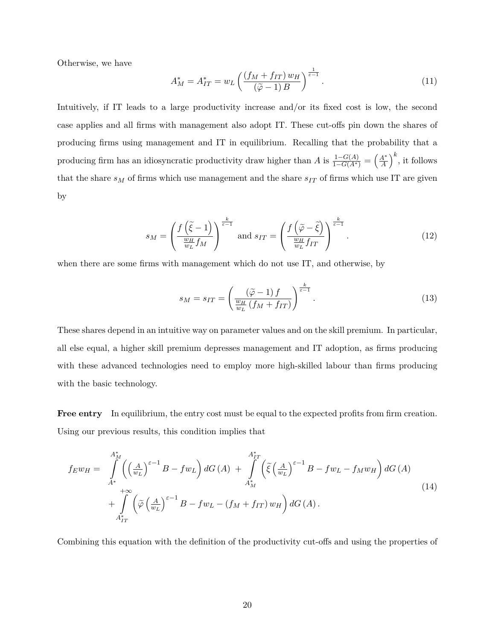Otherwise, we have

$$
A_M^* = A_{IT}^* = w_L \left( \frac{(f_M + f_{IT}) w_H}{(\tilde{\varphi} - 1) B} \right)^{\frac{1}{\varepsilon - 1}}.
$$
 (11)

Intuitively, if IT leads to a large productivity increase and/or its fixed cost is low, the second case applies and all firms with management also adopt IT. These cut-offs pin down the shares of producing firms using management and IT in equilibrium. Recalling that the probability that a producing firm has an idiosyncratic productivity draw higher than *A* is  $\frac{1-G(A)}{1-G(A^*)} = \left(\frac{A^*}{A}\right)^2$  $\left(\frac{A^*}{A}\right)^k$ , it follows that the share  $s_M$  of firms which use management and the share  $s_{IT}$  of firms which use IT are given by

$$
s_M = \left(\frac{f\left(\tilde{\xi} - 1\right)}{\frac{w_H}{w_L} f_M}\right)^{\frac{k}{\varepsilon - 1}} \text{ and } s_{IT} = \left(\frac{f\left(\tilde{\varphi} - \tilde{\xi}\right)}{\frac{w_H}{w_L} f_{IT}}\right)^{\frac{k}{\varepsilon - 1}}.
$$
 (12)

when there are some firms with management which do not use IT, and otherwise, by

$$
s_M = s_{IT} = \left(\frac{\left(\tilde{\varphi} - 1\right)f}{\frac{w_H}{w_L}\left(f_M + f_{IT}\right)}\right)^{\frac{k}{\varepsilon - 1}}.\tag{13}
$$

These shares depend in an intuitive way on parameter values and on the skill premium. In particular, all else equal, a higher skill premium depresses management and IT adoption, as firms producing with these advanced technologies need to employ more high-skilled labour than firms producing with the basic technology.

**Free entry** In equilibrium, the entry cost must be equal to the expected profits from firm creation. Using our previous results, this condition implies that

$$
f_E w_H = \int_{A^*}^{A_M^*} \left( \left(\frac{A}{w_L}\right)^{\varepsilon - 1} B - f w_L \right) dG \left( A \right) + \int_{A_M^*}^{A_{IT}^*} \left( \tilde{\xi} \left(\frac{A}{w_L}\right)^{\varepsilon - 1} B - f w_L - f_M w_H \right) dG \left( A \right) + \int_{A_{IT}^*}^{+\infty} \left( \tilde{\varphi} \left(\frac{A}{w_L}\right)^{\varepsilon - 1} B - f w_L - \left( f_M + f_{IT} \right) w_H \right) dG \left( A \right).
$$
\n(14)

Combining this equation with the definition of the productivity cut-offs and using the properties of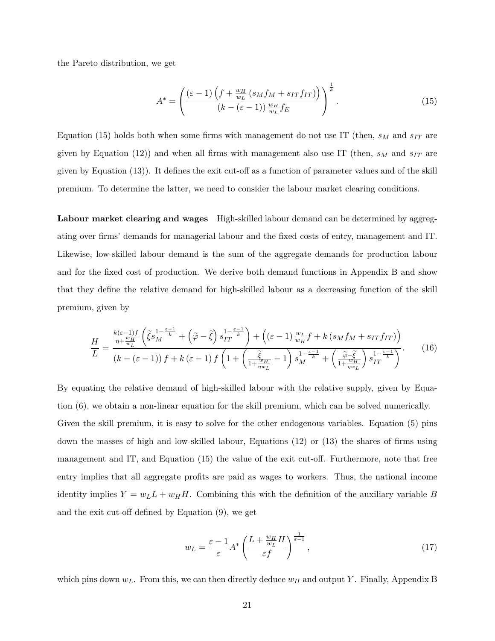the Pareto distribution, we get

$$
A^* = \left(\frac{(\varepsilon - 1)\left(f + \frac{w_H}{w_L}\left(s_Mf_M + s_{IT}f_{IT}\right)\right)}{(k - (\varepsilon - 1))\frac{w_H}{w_L}f_E}\right)^{\frac{1}{k}}.\tag{15}
$$

Equation (15) holds both when some firms with management do not use IT (then,  $s_M$  and  $s_{IT}$  are given by Equation (12)) and when all firms with management also use IT (then,  $s_M$  and  $s_{IT}$  are given by Equation (13)). It defines the exit cut-off as a function of parameter values and of the skill premium. To determine the latter, we need to consider the labour market clearing conditions.

**Labour market clearing and wages** High-skilled labour demand can be determined by aggregating over firms' demands for managerial labour and the fixed costs of entry, management and IT. Likewise, low-skilled labour demand is the sum of the aggregate demands for production labour and for the fixed cost of production. We derive both demand functions in Appendix B and show that they define the relative demand for high-skilled labour as a decreasing function of the skill premium, given by

$$
\frac{H}{L} = \frac{\frac{k(\varepsilon - 1)f}{\eta + \frac{w_H}{w_L}} \left(\tilde{\xi} s_M^{\frac{1 - \varepsilon - 1}{k}} + \left(\tilde{\varphi} - \tilde{\xi}\right) s_{IT}^{\frac{1 - \varepsilon - 1}{k}}\right) + \left((\varepsilon - 1)\frac{w_L}{w_H} f + k\left(s_M f_M + s_{IT} f_{IT}\right)\right)}{(k - (\varepsilon - 1))f + k(\varepsilon - 1)f\left(1 + \left(\frac{\tilde{\xi}}{1 + \frac{w_H}{\eta w_L}} - 1\right) s_M^{\frac{1 - \varepsilon - 1}{k}} + \left(\frac{\tilde{\varphi} - \tilde{\xi}}{1 + \frac{w_H}{\eta w_L}}\right) s_{IT}^{\frac{1 - \varepsilon - 1}{k}}\right)}.
$$
(16)

By equating the relative demand of high-skilled labour with the relative supply, given by Equation (6), we obtain a non-linear equation for the skill premium, which can be solved numerically. Given the skill premium, it is easy to solve for the other endogenous variables. Equation (5) pins down the masses of high and low-skilled labour, Equations (12) or (13) the shares of firms using management and IT, and Equation (15) the value of the exit cut-off. Furthermore, note that free entry implies that all aggregate profits are paid as wages to workers. Thus, the national income identity implies  $Y = w_L L + w_H H$ . Combining this with the definition of the auxiliary variable *B* and the exit cut-off defined by Equation (9), we get

$$
w_L = \frac{\varepsilon - 1}{\varepsilon} A^* \left( \frac{L + \frac{w_H}{w_L} H}{\varepsilon f} \right)^{\frac{1}{\varepsilon - 1}},\tag{17}
$$

which pins down *wL*. From this, we can then directly deduce *w<sup>H</sup>* and output *Y* . Finally, Appendix B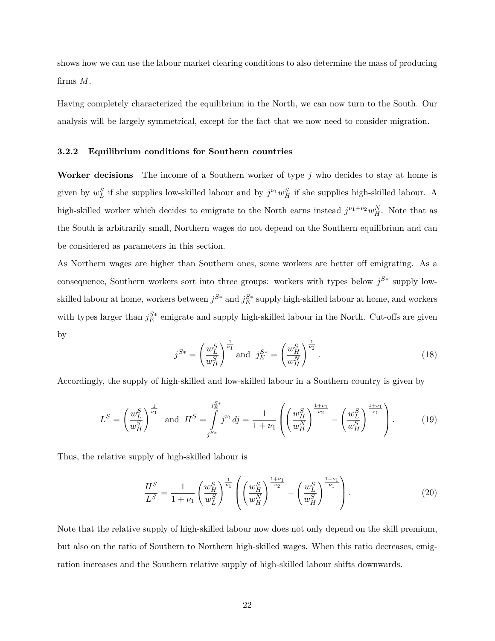shows how we can use the labour market clearing conditions to also determine the mass of producing firms *M*.

Having completely characterized the equilibrium in the North, we can now turn to the South. Our analysis will be largely symmetrical, except for the fact that we now need to consider migration.

#### **3.2.2 Equilibrium conditions for Southern countries**

**Worker decisions** The income of a Southern worker of type *j* who decides to stay at home is given by  $w_L^S$  if she supplies low-skilled labour and by  $j^{\nu_1}w_H^S$  if she supplies high-skilled labour. A high-skilled worker which decides to emigrate to the North earns instead  $j^{\nu_1+\nu_2}w_H^N$ . Note that as the South is arbitrarily small, Northern wages do not depend on the Southern equilibrium and can be considered as parameters in this section.

As Northern wages are higher than Southern ones, some workers are better off emigrating. As a consequence, Southern workers sort into three groups: workers with types below  $j^{S*}$  supply lowskilled labour at home, workers between  $j^{S*}$  and  $j_E^{S*}$  supply high-skilled labour at home, and workers with types larger than  $j_E^{S*}$  emigrate and supply high-skilled labour in the North. Cut-offs are given by

$$
j^{S*} = \left(\frac{w_L^S}{w_H^S}\right)^{\frac{1}{\nu_1}} \text{and } j_E^{S*} = \left(\frac{w_H^S}{w_H^N}\right)^{\frac{1}{\nu_2}}.
$$
 (18)

Accordingly, the supply of high-skilled and low-skilled labour in a Southern country is given by

$$
L^{S} = \left(\frac{w_{L}^{S}}{w_{H}^{S}}\right)^{\frac{1}{\nu_{1}}} \text{ and } H^{S} = \int_{j^{S*}}^{j_{E}^{S*}} j^{\nu_{1}} d j = \frac{1}{1+\nu_{1}} \left( \left(\frac{w_{H}^{S}}{w_{H}^{N}}\right)^{\frac{1+\nu_{1}}{\nu_{2}}} - \left(\frac{w_{L}^{S}}{w_{H}^{S}}\right)^{\frac{1+\nu_{1}}{\nu_{1}}} \right). \tag{19}
$$

Thus, the relative supply of high-skilled labour is

$$
\frac{H^S}{L^S} = \frac{1}{1+\nu_1} \left(\frac{w_H^S}{w_L^S}\right)^{\frac{1}{\nu_1}} \left(\left(\frac{w_H^S}{w_H^N}\right)^{\frac{1+\nu_1}{\nu_2}} - \left(\frac{w_L^S}{w_H^S}\right)^{\frac{1+\nu_1}{\nu_1}}\right).
$$
(20)

Note that the relative supply of high-skilled labour now does not only depend on the skill premium, but also on the ratio of Southern to Northern high-skilled wages. When this ratio decreases, emigration increases and the Southern relative supply of high-skilled labour shifts downwards.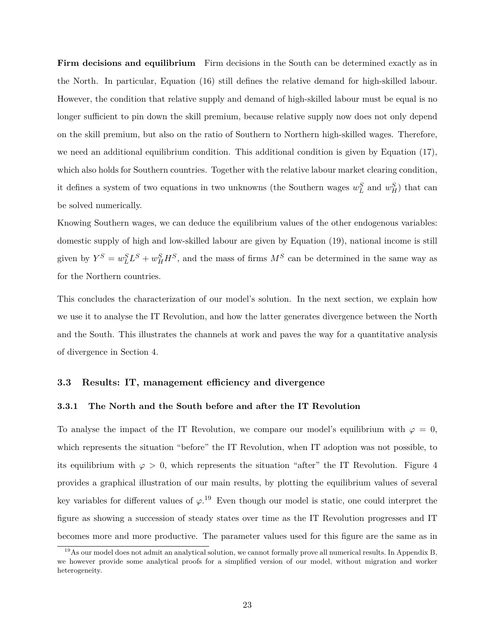**Firm decisions and equilibrium** Firm decisions in the South can be determined exactly as in the North. In particular, Equation (16) still defines the relative demand for high-skilled labour. However, the condition that relative supply and demand of high-skilled labour must be equal is no longer sufficient to pin down the skill premium, because relative supply now does not only depend on the skill premium, but also on the ratio of Southern to Northern high-skilled wages. Therefore, we need an additional equilibrium condition. This additional condition is given by Equation (17), which also holds for Southern countries. Together with the relative labour market clearing condition, it defines a system of two equations in two unknowns (the Southern wages  $w<sub>L</sub><sup>S</sup>$  and  $w<sub>H</sub><sup>S</sup>$ ) that can be solved numerically.

Knowing Southern wages, we can deduce the equilibrium values of the other endogenous variables: domestic supply of high and low-skilled labour are given by Equation (19), national income is still given by  $Y^S = w_L^S L^S + w_H^S H^S$ , and the mass of firms  $M^S$  can be determined in the same way as for the Northern countries.

This concludes the characterization of our model's solution. In the next section, we explain how we use it to analyse the IT Revolution, and how the latter generates divergence between the North and the South. This illustrates the channels at work and paves the way for a quantitative analysis of divergence in Section 4.

#### **3.3 Results: IT, management efficiency and divergence**

#### **3.3.1 The North and the South before and after the IT Revolution**

To analyse the impact of the IT Revolution, we compare our model's equilibrium with  $\varphi = 0$ , which represents the situation "before" the IT Revolution, when IT adoption was not possible, to its equilibrium with  $\varphi > 0$ , which represents the situation "after" the IT Revolution. Figure 4 provides a graphical illustration of our main results, by plotting the equilibrium values of several key variables for different values of  $\varphi$ <sup>19</sup>. Even though our model is static, one could interpret the figure as showing a succession of steady states over time as the IT Revolution progresses and IT becomes more and more productive. The parameter values used for this figure are the same as in

<sup>&</sup>lt;sup>19</sup>As our model does not admit an analytical solution, we cannot formally prove all numerical results. In Appendix B, we however provide some analytical proofs for a simplified version of our model, without migration and worker heterogeneity.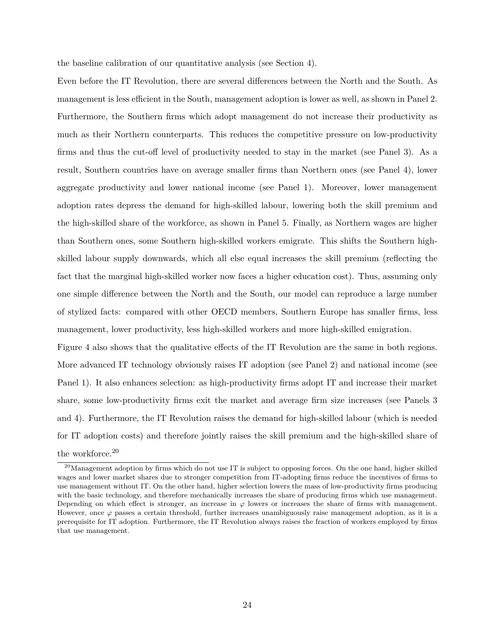the baseline calibration of our quantitative analysis (see Section 4).

Even before the IT Revolution, there are several differences between the North and the South. As management is less efficient in the South, management adoption is lower as well, as shown in Panel 2. Furthermore, the Southern firms which adopt management do not increase their productivity as much as their Northern counterparts. This reduces the competitive pressure on low-productivity firms and thus the cut-off level of productivity needed to stay in the market (see Panel 3). As a result, Southern countries have on average smaller firms than Northern ones (see Panel 4), lower aggregate productivity and lower national income (see Panel 1). Moreover, lower management adoption rates depress the demand for high-skilled labour, lowering both the skill premium and the high-skilled share of the workforce, as shown in Panel 5. Finally, as Northern wages are higher than Southern ones, some Southern high-skilled workers emigrate. This shifts the Southern highskilled labour supply downwards, which all else equal increases the skill premium (reflecting the fact that the marginal high-skilled worker now faces a higher education cost). Thus, assuming only one simple difference between the North and the South, our model can reproduce a large number of stylized facts: compared with other OECD members, Southern Europe has smaller firms, less management, lower productivity, less high-skilled workers and more high-skilled emigration.

Figure 4 also shows that the qualitative effects of the IT Revolution are the same in both regions. More advanced IT technology obviously raises IT adoption (see Panel 2) and national income (see Panel 1). It also enhances selection: as high-productivity firms adopt IT and increase their market share, some low-productivity firms exit the market and average firm size increases (see Panels 3 and 4). Furthermore, the IT Revolution raises the demand for high-skilled labour (which is needed for IT adoption costs) and therefore jointly raises the skill premium and the high-skilled share of the workforce.<sup>20</sup>

 $^{20}$ Management adoption by firms which do not use IT is subject to opposing forces. On the one hand, higher skilled wages and lower market shares due to stronger competition from IT-adopting firms reduce the incentives of firms to use management without IT. On the other hand, higher selection lowers the mass of low-productivity firms producing with the basic technology, and therefore mechanically increases the share of producing firms which use management. Depending on which effect is stronger, an increase in  $\varphi$  lowers or increases the share of firms with management. However, once *ϕ* passes a certain threshold, further increases unambiguously raise management adoption, as it is a prerequisite for IT adoption. Furthermore, the IT Revolution always raises the fraction of workers employed by firms that use management.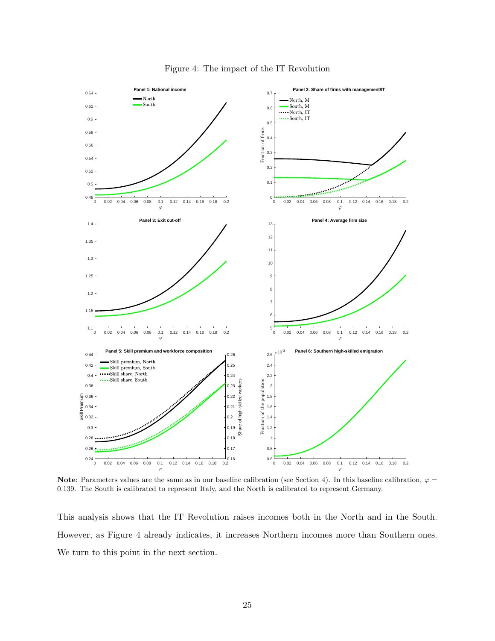

Figure 4: The impact of the IT Revolution

**Note**: Parameters values are the same as in our baseline calibration (see Section 4). In this baseline calibration,  $\varphi$ 0*.*139. The South is calibrated to represent Italy, and the North is calibrated to represent Germany.

This analysis shows that the IT Revolution raises incomes both in the North and in the South. However, as Figure 4 already indicates, it increases Northern incomes more than Southern ones. We turn to this point in the next section.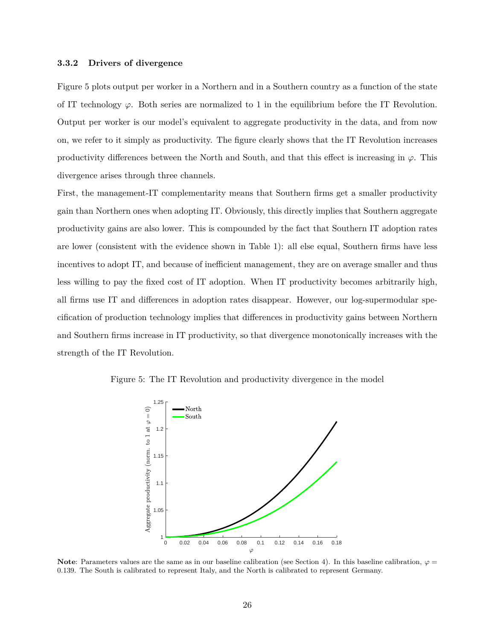#### **3.3.2 Drivers of divergence**

Figure 5 plots output per worker in a Northern and in a Southern country as a function of the state of IT technology  $\varphi$ . Both series are normalized to 1 in the equilibrium before the IT Revolution. Output per worker is our model's equivalent to aggregate productivity in the data, and from now on, we refer to it simply as productivity. The figure clearly shows that the IT Revolution increases productivity differences between the North and South, and that this effect is increasing in  $\varphi$ . This divergence arises through three channels.

First, the management-IT complementarity means that Southern firms get a smaller productivity gain than Northern ones when adopting IT. Obviously, this directly implies that Southern aggregate productivity gains are also lower. This is compounded by the fact that Southern IT adoption rates are lower (consistent with the evidence shown in Table 1): all else equal, Southern firms have less incentives to adopt IT, and because of inefficient management, they are on average smaller and thus less willing to pay the fixed cost of IT adoption. When IT productivity becomes arbitrarily high, all firms use IT and differences in adoption rates disappear. However, our log-supermodular specification of production technology implies that differences in productivity gains between Northern and Southern firms increase in IT productivity, so that divergence monotonically increases with the strength of the IT Revolution.

Figure 5: The IT Revolution and productivity divergence in the model



**Note**: Parameters values are the same as in our baseline calibration (see Section 4). In this baseline calibration,  $\varphi$ 0*.*139. The South is calibrated to represent Italy, and the North is calibrated to represent Germany.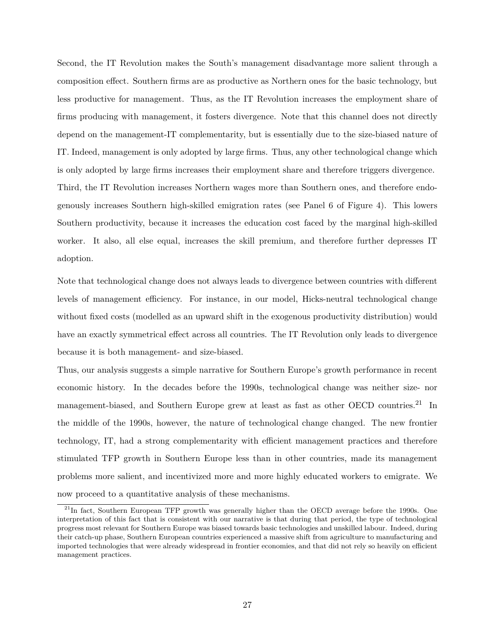Second, the IT Revolution makes the South's management disadvantage more salient through a composition effect. Southern firms are as productive as Northern ones for the basic technology, but less productive for management. Thus, as the IT Revolution increases the employment share of firms producing with management, it fosters divergence. Note that this channel does not directly depend on the management-IT complementarity, but is essentially due to the size-biased nature of IT. Indeed, management is only adopted by large firms. Thus, any other technological change which is only adopted by large firms increases their employment share and therefore triggers divergence. Third, the IT Revolution increases Northern wages more than Southern ones, and therefore endogenously increases Southern high-skilled emigration rates (see Panel 6 of Figure 4). This lowers Southern productivity, because it increases the education cost faced by the marginal high-skilled worker. It also, all else equal, increases the skill premium, and therefore further depresses IT adoption.

Note that technological change does not always leads to divergence between countries with different levels of management efficiency. For instance, in our model, Hicks-neutral technological change without fixed costs (modelled as an upward shift in the exogenous productivity distribution) would have an exactly symmetrical effect across all countries. The IT Revolution only leads to divergence because it is both management- and size-biased.

Thus, our analysis suggests a simple narrative for Southern Europe's growth performance in recent economic history. In the decades before the 1990s, technological change was neither size- nor management-biased, and Southern Europe grew at least as fast as other OECD countries.<sup>21</sup> In the middle of the 1990s, however, the nature of technological change changed. The new frontier technology, IT, had a strong complementarity with efficient management practices and therefore stimulated TFP growth in Southern Europe less than in other countries, made its management problems more salient, and incentivized more and more highly educated workers to emigrate. We now proceed to a quantitative analysis of these mechanisms.

<sup>&</sup>lt;sup>21</sup>In fact, Southern European TFP growth was generally higher than the OECD average before the 1990s. One interpretation of this fact that is consistent with our narrative is that during that period, the type of technological progress most relevant for Southern Europe was biased towards basic technologies and unskilled labour. Indeed, during their catch-up phase, Southern European countries experienced a massive shift from agriculture to manufacturing and imported technologies that were already widespread in frontier economies, and that did not rely so heavily on efficient management practices.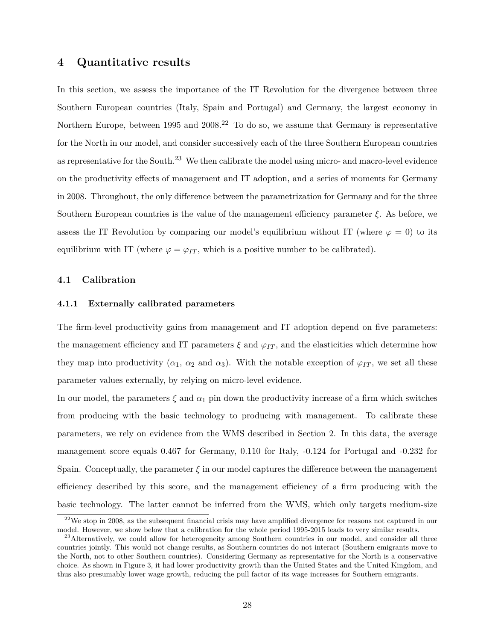### **4 Quantitative results**

In this section, we assess the importance of the IT Revolution for the divergence between three Southern European countries (Italy, Spain and Portugal) and Germany, the largest economy in Northern Europe, between 1995 and  $2008<sup>22</sup>$  To do so, we assume that Germany is representative for the North in our model, and consider successively each of the three Southern European countries as representative for the South.<sup>23</sup> We then calibrate the model using micro- and macro-level evidence on the productivity effects of management and IT adoption, and a series of moments for Germany in 2008. Throughout, the only difference between the parametrization for Germany and for the three Southern European countries is the value of the management efficiency parameter *ξ*. As before, we assess the IT Revolution by comparing our model's equilibrium without IT (where  $\varphi = 0$ ) to its equilibrium with IT (where  $\varphi = \varphi_{IT}$ , which is a positive number to be calibrated).

#### **4.1 Calibration**

#### **4.1.1 Externally calibrated parameters**

The firm-level productivity gains from management and IT adoption depend on five parameters: the management efficiency and IT parameters  $\xi$  and  $\varphi_{IT}$ , and the elasticities which determine how they map into productivity  $(\alpha_1, \alpha_2 \text{ and } \alpha_3)$ . With the notable exception of  $\varphi_{IT}$ , we set all these parameter values externally, by relying on micro-level evidence.

In our model, the parameters  $\xi$  and  $\alpha_1$  pin down the productivity increase of a firm which switches from producing with the basic technology to producing with management. To calibrate these parameters, we rely on evidence from the WMS described in Section 2. In this data, the average management score equals 0.467 for Germany, 0.110 for Italy, -0.124 for Portugal and -0.232 for Spain. Conceptually, the parameter  $\xi$  in our model captures the difference between the management efficiency described by this score, and the management efficiency of a firm producing with the basic technology. The latter cannot be inferred from the WMS, which only targets medium-size

 $22$ We stop in 2008, as the subsequent financial crisis may have amplified divergence for reasons not captured in our model. However, we show below that a calibration for the whole period 1995-2015 leads to very similar results.

<sup>&</sup>lt;sup>23</sup>Alternatively, we could allow for heterogeneity among Southern countries in our model, and consider all three countries jointly. This would not change results, as Southern countries do not interact (Southern emigrants move to the North, not to other Southern countries). Considering Germany as representative for the North is a conservative choice. As shown in Figure 3, it had lower productivity growth than the United States and the United Kingdom, and thus also presumably lower wage growth, reducing the pull factor of its wage increases for Southern emigrants.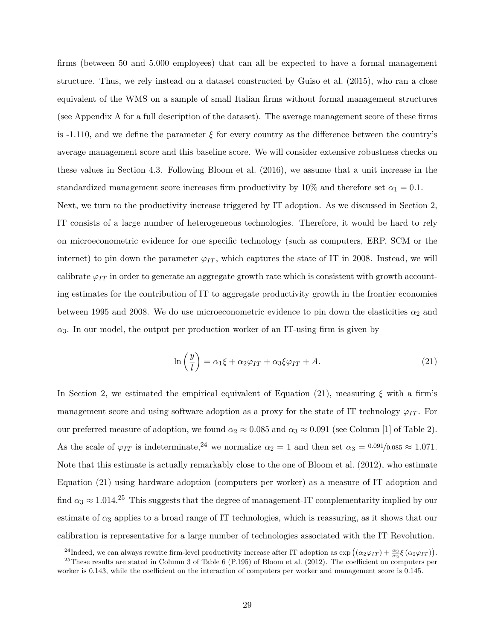firms (between 50 and 5.000 employees) that can all be expected to have a formal management structure. Thus, we rely instead on a dataset constructed by Guiso et al. (2015), who ran a close equivalent of the WMS on a sample of small Italian firms without formal management structures (see Appendix A for a full description of the dataset). The average management score of these firms is -1.110, and we define the parameter *ξ* for every country as the difference between the country's average management score and this baseline score. We will consider extensive robustness checks on these values in Section 4.3. Following Bloom et al. (2016), we assume that a unit increase in the standardized management score increases firm productivity by 10% and therefore set  $\alpha_1 = 0.1$ . Next, we turn to the productivity increase triggered by IT adoption. As we discussed in Section 2, IT consists of a large number of heterogeneous technologies. Therefore, it would be hard to rely on microeconometric evidence for one specific technology (such as computers, ERP, SCM or the internet) to pin down the parameter  $\varphi_{IT}$ , which captures the state of IT in 2008. Instead, we will calibrate  $\varphi_{IT}$  in order to generate an aggregate growth rate which is consistent with growth accounting estimates for the contribution of IT to aggregate productivity growth in the frontier economies between 1995 and 2008. We do use microeconometric evidence to pin down the elasticities  $\alpha_2$  and  $\alpha_3$ . In our model, the output per production worker of an IT-using firm is given by

$$
\ln\left(\frac{y}{l}\right) = \alpha_1 \xi + \alpha_2 \varphi_{IT} + \alpha_3 \xi \varphi_{IT} + A. \tag{21}
$$

In Section 2, we estimated the empirical equivalent of Equation (21), measuring *ξ* with a firm's management score and using software adoption as a proxy for the state of IT technology  $\varphi_{IT}$ . For our preferred measure of adoption, we found  $\alpha_2 \approx 0.085$  and  $\alpha_3 \approx 0.091$  (see Column [1] of Table 2). As the scale of  $\varphi_{IT}$  is indeterminate,<sup>24</sup> we normalize  $\alpha_2 = 1$  and then set  $\alpha_3 = 0.091/0.085 \approx 1.071$ . Note that this estimate is actually remarkably close to the one of Bloom et al. (2012), who estimate Equation (21) using hardware adoption (computers per worker) as a measure of IT adoption and find  $\alpha_3 \approx 1.014$ <sup>25</sup> This suggests that the degree of management-IT complementarity implied by our estimate of  $\alpha_3$  applies to a broad range of IT technologies, which is reassuring, as it shows that our calibration is representative for a large number of technologies associated with the IT Revolution.

<sup>&</sup>lt;sup>24</sup>Indeed, we can always rewrite firm-level productivity increase after IT adoption as  $\exp\left((\alpha_2\varphi_{IT}) + \frac{\alpha_3}{\alpha_2}\xi(\alpha_2\varphi_{IT})\right)$ .

 $^{25}$ These results are stated in Column 3 of Table 6 (P.195) of Bloom et al. (2012). The coefficient on computers per worker is 0.143, while the coefficient on the interaction of computers per worker and management score is 0.145.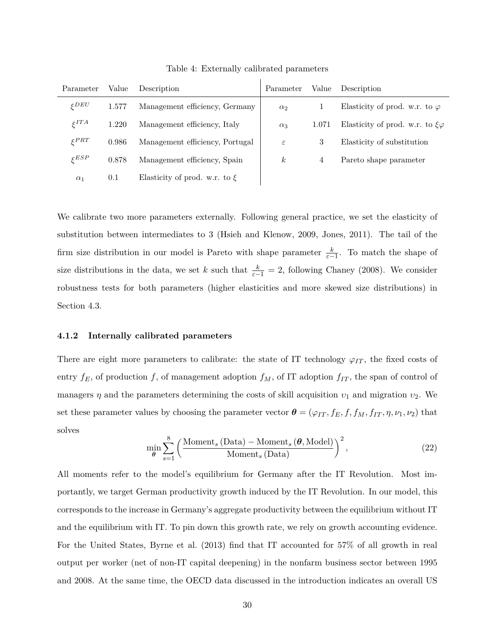| Parameter         | Value | Description                       | Parameter        | Value | Description                              |
|-------------------|-------|-----------------------------------|------------------|-------|------------------------------------------|
| $\zeta$ DEU       | 1.577 | Management efficiency, Germany    | $\alpha_2$       |       | Elasticity of prod. w.r. to $\varphi$    |
| $\zeta ITA$       | 1.220 | Management efficiency, Italy      | $\alpha_3$       | 1.071 | Elasticity of prod. w.r. to $\xi\varphi$ |
| $\xi$ PRT         | 0.986 | Management efficiency, Portugal   | $\varepsilon$    | 3     | Elasticity of substitution               |
| $\varepsilon$ ESP | 0.878 | Management efficiency, Spain      | $\boldsymbol{k}$ | 4     | Pareto shape parameter                   |
| $\alpha_1$        | 0.1   | Elasticity of prod. w.r. to $\xi$ |                  |       |                                          |

Table 4: Externally calibrated parameters

We calibrate two more parameters externally. Following general practice, we set the elasticity of substitution between intermediates to 3 (Hsieh and Klenow, 2009, Jones, 2011). The tail of the firm size distribution in our model is Pareto with shape parameter  $\frac{k}{\varepsilon-1}$ . To match the shape of size distributions in the data, we set *k* such that  $\frac{k}{\varepsilon-1} = 2$ , following Chaney (2008). We consider robustness tests for both parameters (higher elasticities and more skewed size distributions) in Section 4.3.

#### **4.1.2 Internally calibrated parameters**

There are eight more parameters to calibrate: the state of IT technology  $\varphi_{IT}$ , the fixed costs of entry  $f_E$ , of production  $f$ , of management adoption  $f_M$ , of IT adoption  $f_{IT}$ , the span of control of managers  $\eta$  and the parameters determining the costs of skill acquisition  $v_1$  and migration  $v_2$ . We set these parameter values by choosing the parameter vector  $\theta = (\varphi_{IT}, f_E, f, f_M, f_{IT}, \eta, \nu_1, \nu_2)$  that solves

$$
\min_{\theta} \sum_{s=1}^{8} \left( \frac{\text{Moment}_s \left( \text{Data} \right) - \text{Moment}_s \left( \theta, \text{Model} \right)}{\text{Moment}_s \left( \text{Data} \right)} \right)^2, \tag{22}
$$

All moments refer to the model's equilibrium for Germany after the IT Revolution. Most importantly, we target German productivity growth induced by the IT Revolution. In our model, this corresponds to the increase in Germany's aggregate productivity between the equilibrium without IT and the equilibrium with IT. To pin down this growth rate, we rely on growth accounting evidence. For the United States, Byrne et al. (2013) find that IT accounted for 57% of all growth in real output per worker (net of non-IT capital deepening) in the nonfarm business sector between 1995 and 2008. At the same time, the OECD data discussed in the introduction indicates an overall US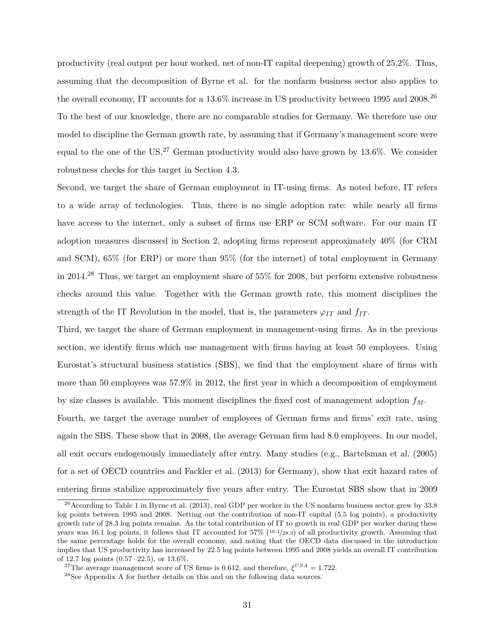productivity (real output per hour worked, net of non-IT capital deepening) growth of 25.2%. Thus, assuming that the decomposition of Byrne et al. for the nonfarm business sector also applies to the overall economy, IT accounts for a 13.6% increase in US productivity between 1995 and 2008.<sup>26</sup> To the best of our knowledge, there are no comparable studies for Germany. We therefore use our model to discipline the German growth rate, by assuming that if Germany's management score were equal to the one of the US,<sup>27</sup> German productivity would also have grown by 13.6%. We consider robustness checks for this target in Section 4.3.

Second, we target the share of German employment in IT-using firms. As noted before, IT refers to a wide array of technologies. Thus, there is no single adoption rate: while nearly all firms have access to the internet, only a subset of firms use ERP or SCM software. For our main IT adoption measures discussed in Section 2, adopting firms represent approximately 40% (for CRM and SCM), 65% (for ERP) or more than 95% (for the internet) of total employment in Germany in 2014.<sup>28</sup> Thus, we target an employment share of 55% for 2008, but perform extensive robustness checks around this value. Together with the German growth rate, this moment disciplines the strength of the IT Revolution in the model, that is, the parameters  $\varphi_{IT}$  and  $f_{IT}$ .

Third, we target the share of German employment in management-using firms. As in the previous section, we identify firms which use management with firms having at least 50 employees. Using Eurostat's structural business statistics (SBS), we find that the employment share of firms with more than 50 employees was 57.9% in 2012, the first year in which a decomposition of employment by size classes is available. This moment disciplines the fixed cost of management adoption *fM*. Fourth, we target the average number of employees of German firms and firms' exit rate, using

again the SBS. These show that in 2008, the average German firm had 8.0 employees. In our model, all exit occurs endogenously immediately after entry. Many studies (e.g., Bartelsman et al. (2005) for a set of OECD countries and Fackler et al. (2013) for Germany), show that exit hazard rates of entering firms stabilize approximately five years after entry. The Eurostat SBS show that in 2009

 $^{26}$  According to Table 1 in Byrne et al. (2013), real GDP per worker in the US nonfarm business sector grew by 33.8 log points between 1995 and 2008. Netting out the contribution of non-IT capital (5.5 log points), a productivity growth rate of 28.3 log points remains. As the total contribution of IT to growth in real GDP per worker during these years was 16.1 log points, it follows that IT accounted for 57% (16*.*1*/*28*.*3) of all productivity growth. Assuming that the same percentage holds for the overall economy, and noting that the OECD data discussed in the introduction implies that US productivity has increased by 22.5 log points between 1995 and 2008 yields an overall IT contribution of 12.7 log points (0*.*57 · 22*.*5), or 13.6%.

<sup>&</sup>lt;sup>27</sup>The average management score of US firms is 0.612, and therefore,  $\xi^{USA} = 1.722$ .

<sup>28</sup>See Appendix A for further details on this and on the following data sources.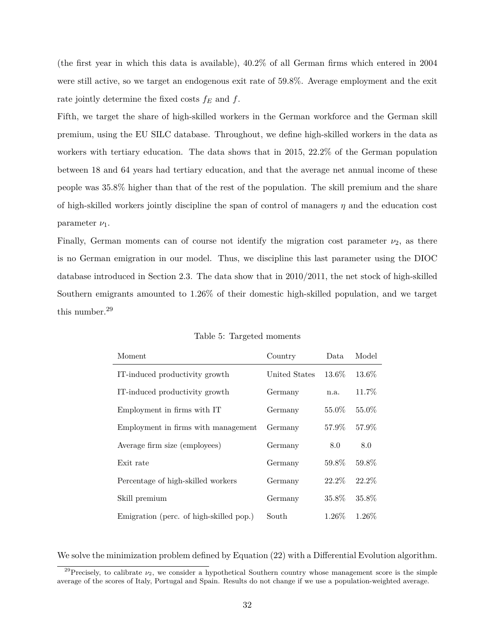(the first year in which this data is available), 40.2% of all German firms which entered in 2004 were still active, so we target an endogenous exit rate of 59.8%. Average employment and the exit rate jointly determine the fixed costs *f<sup>E</sup>* and *f*.

Fifth, we target the share of high-skilled workers in the German workforce and the German skill premium, using the EU SILC database. Throughout, we define high-skilled workers in the data as workers with tertiary education. The data shows that in 2015, 22.2% of the German population between 18 and 64 years had tertiary education, and that the average net annual income of these people was 35.8% higher than that of the rest of the population. The skill premium and the share of high-skilled workers jointly discipline the span of control of managers *η* and the education cost parameter  $\nu_1$ .

Finally, German moments can of course not identify the migration cost parameter  $\nu_2$ , as there is no German emigration in our model. Thus, we discipline this last parameter using the DIOC database introduced in Section 2.3. The data show that in 2010/2011, the net stock of high-skilled Southern emigrants amounted to 1.26% of their domestic high-skilled population, and we target this number.<sup>29</sup>

| Moment                                  | Country       | Data     | Model  |
|-----------------------------------------|---------------|----------|--------|
| IT-induced productivity growth          | United States | 13.6%    | 13.6%  |
| IT-induced productivity growth          | Germany       | n.a.     | 11.7%  |
| Employment in firms with IT             | Germany       | 55.0%    | 55.0%  |
| Employment in firms with management     | Germany       | 57.9%    | 57.9%  |
| Average firm size (employees)           | Germany       | 8.0      | 8.0    |
| Exit rate                               | Germany       | 59.8%    | 59.8%  |
| Percentage of high-skilled workers      | Germany       | 22.2\%   | 22.2%  |
| Skill premium                           | Germany       | 35.8%    | 35.8%  |
| Emigration (perc. of high-skilled pop.) | South         | $1.26\%$ | 1.26\% |

Table 5: Targeted moments

We solve the minimization problem defined by Equation (22) with a Differential Evolution algorithm.

<sup>&</sup>lt;sup>29</sup>Precisely, to calibrate  $\nu_2$ , we consider a hypothetical Southern country whose management score is the simple average of the scores of Italy, Portugal and Spain. Results do not change if we use a population-weighted average.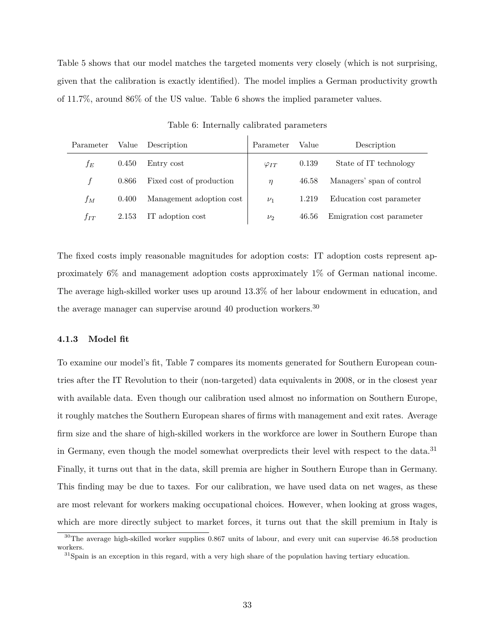Table 5 shows that our model matches the targeted moments very closely (which is not surprising, given that the calibration is exactly identified). The model implies a German productivity growth of 11.7%, around 86% of the US value. Table 6 shows the implied parameter values.

| Parameter | Value | Description              | Parameter      | Value | Description               |
|-----------|-------|--------------------------|----------------|-------|---------------------------|
| İΕ        | 0.450 | Entry cost               | $\varphi_{IT}$ | 0.139 | State of IT technology    |
| f         | 0.866 | Fixed cost of production | $\eta$         | 46.58 | Managers' span of control |
| fм        | 0.400 | Management adoption cost | $\nu_1$        | 1.219 | Education cost parameter  |
| $f_{IT}$  | 2.153 | IT adoption cost         | $\nu_2$        | 46.56 | Emigration cost parameter |

Table 6: Internally calibrated parameters

The fixed costs imply reasonable magnitudes for adoption costs: IT adoption costs represent approximately 6% and management adoption costs approximately 1% of German national income. The average high-skilled worker uses up around 13.3% of her labour endowment in education, and the average manager can supervise around 40 production workers.<sup>30</sup>

#### **4.1.3 Model fit**

To examine our model's fit, Table 7 compares its moments generated for Southern European countries after the IT Revolution to their (non-targeted) data equivalents in 2008, or in the closest year with available data. Even though our calibration used almost no information on Southern Europe, it roughly matches the Southern European shares of firms with management and exit rates. Average firm size and the share of high-skilled workers in the workforce are lower in Southern Europe than in Germany, even though the model somewhat overpredicts their level with respect to the data.<sup>31</sup> Finally, it turns out that in the data, skill premia are higher in Southern Europe than in Germany. This finding may be due to taxes. For our calibration, we have used data on net wages, as these are most relevant for workers making occupational choices. However, when looking at gross wages, which are more directly subject to market forces, it turns out that the skill premium in Italy is

<sup>&</sup>lt;sup>30</sup>The average high-skilled worker supplies 0.867 units of labour, and every unit can supervise 46.58 production workers.

 $31$ Spain is an exception in this regard, with a very high share of the population having tertiary education.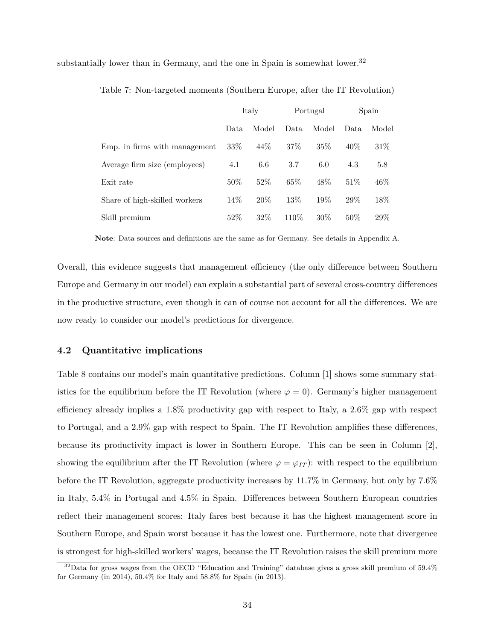substantially lower than in Germany, and the one in Spain is somewhat lower.<sup>32</sup>

|                               | Italy |        |       | Portugal | Spain |        |
|-------------------------------|-------|--------|-------|----------|-------|--------|
|                               | Data  | Model  | Data. | Model    | Data  | Model  |
| Emp. in firms with management | 33\%  | $44\%$ | 37\%  | $35\%$   | 40\%  | $31\%$ |
| Average firm size (employees) | 4.1   | 6.6    | 3.7   | 6.0      | 4.3   | 5.8    |
| Exit rate                     | 50%   | 52%    | 65%   | 48\%     | 51\%  | 46%    |
| Share of high-skilled workers | 14\%  | 20%    | 13\%  | 19%      | 29\%  | 18%    |
| Skill premium                 | 52%   | 32\%   | 110\% | $30\%$   | 50%   | 29%    |

Table 7: Non-targeted moments (Southern Europe, after the IT Revolution)

**Note**: Data sources and definitions are the same as for Germany. See details in Appendix A.

Overall, this evidence suggests that management efficiency (the only difference between Southern Europe and Germany in our model) can explain a substantial part of several cross-country differences in the productive structure, even though it can of course not account for all the differences. We are now ready to consider our model's predictions for divergence.

#### **4.2 Quantitative implications**

Table 8 contains our model's main quantitative predictions. Column [1] shows some summary statistics for the equilibrium before the IT Revolution (where  $\varphi = 0$ ). Germany's higher management efficiency already implies a 1.8% productivity gap with respect to Italy, a 2.6% gap with respect to Portugal, and a 2.9% gap with respect to Spain. The IT Revolution amplifies these differences, because its productivity impact is lower in Southern Europe. This can be seen in Column [2], showing the equilibrium after the IT Revolution (where  $\varphi = \varphi_{IT}$ ): with respect to the equilibrium before the IT Revolution, aggregate productivity increases by 11.7% in Germany, but only by 7.6% in Italy, 5.4% in Portugal and 4.5% in Spain. Differences between Southern European countries reflect their management scores: Italy fares best because it has the highest management score in Southern Europe, and Spain worst because it has the lowest one. Furthermore, note that divergence is strongest for high-skilled workers' wages, because the IT Revolution raises the skill premium more

<sup>&</sup>lt;sup>32</sup>Data for gross wages from the OECD "Education and Training" database gives a gross skill premium of 59.4% for Germany (in 2014), 50.4% for Italy and 58.8% for Spain (in 2013).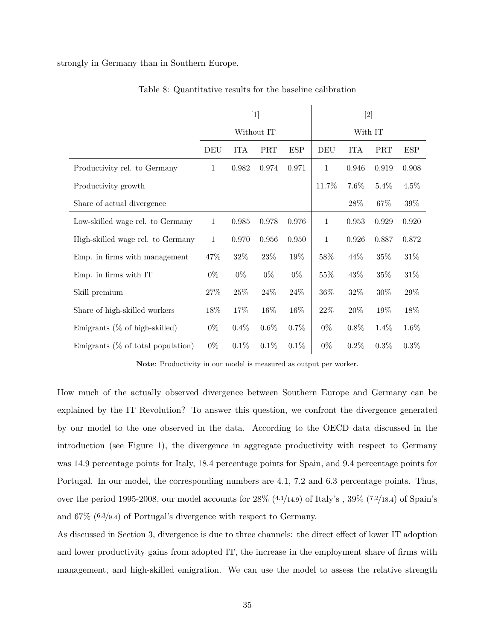strongly in Germany than in Southern Europe.

|                                      |              |            | [1]        |            | $[2]$        |            |            |            |
|--------------------------------------|--------------|------------|------------|------------|--------------|------------|------------|------------|
|                                      |              |            | Without IT |            | With IT      |            |            |            |
|                                      | DEU          | <b>ITA</b> | <b>PRT</b> | <b>ESP</b> | DEU          | <b>ITA</b> | <b>PRT</b> | <b>ESP</b> |
| Productivity rel. to Germany         | $\mathbf{1}$ | 0.982      | 0.974      | 0.971      | $\mathbf{1}$ | 0.946      | 0.919      | 0.908      |
| Productivity growth                  |              |            |            |            | 11.7%        | $7.6\%$    | $5.4\%$    | $4.5\%$    |
| Share of actual divergence           |              |            |            |            |              | 28\%       | 67%        | $39\%$     |
| Low-skilled wage rel. to Germany     | $\mathbf{1}$ | 0.985      | 0.978      | 0.976      | $\mathbf{1}$ | 0.953      | 0.929      | 0.920      |
| High-skilled wage rel. to Germany    | $\mathbf{1}$ | 0.970      | 0.956      | 0.950      | $\mathbf{1}$ | 0.926      | 0.887      | 0.872      |
| Emp. in firms with management        | 47%          | $32\%$     | 23\%       | 19%        | 58%          | 44%        | 35%        | 31\%       |
| Emp. in firms with IT                | $0\%$        | $0\%$      | $0\%$      | $0\%$      | $55\%$       | 43\%       | 35%        | 31\%       |
| Skill premium                        | 27\%         | $25\%$     | 24\%       | 24\%       | 36%          | 32\%       | 30%        | 29%        |
| Share of high-skilled workers        | 18%          | 17%        | 16%        | 16\%       | 22%          | 20\%       | 19%        | 18%        |
| Emigrants $(\%$ of high-skilled)     | $0\%$        | $0.4\%$    | $0.6\%$    | 0.7%       | $0\%$        | $0.8\%$    | $1.4\%$    | $1.6\%$    |
| Emigrants $(\%$ of total population) | $0\%$        | 0.1%       | 0.1%       | 0.1%       | $0\%$        | $0.2\%$    | 0.3%       | $0.3\%$    |

#### Table 8: Quantitative results for the baseline calibration

 $\overline{1}$ 

**Note**: Productivity in our model is measured as output per worker.

How much of the actually observed divergence between Southern Europe and Germany can be explained by the IT Revolution? To answer this question, we confront the divergence generated by our model to the one observed in the data. According to the OECD data discussed in the introduction (see Figure 1), the divergence in aggregate productivity with respect to Germany was 14.9 percentage points for Italy, 18.4 percentage points for Spain, and 9.4 percentage points for Portugal. In our model, the corresponding numbers are 4.1, 7.2 and 6.3 percentage points. Thus, over the period 1995-2008, our model accounts for 28% (4*.*1*/*14*.*9) of Italy's , 39% (7*.*2*/*18*.*4) of Spain's and 67% (6*.*3*/*9*.*4) of Portugal's divergence with respect to Germany.

As discussed in Section 3, divergence is due to three channels: the direct effect of lower IT adoption and lower productivity gains from adopted IT, the increase in the employment share of firms with management, and high-skilled emigration. We can use the model to assess the relative strength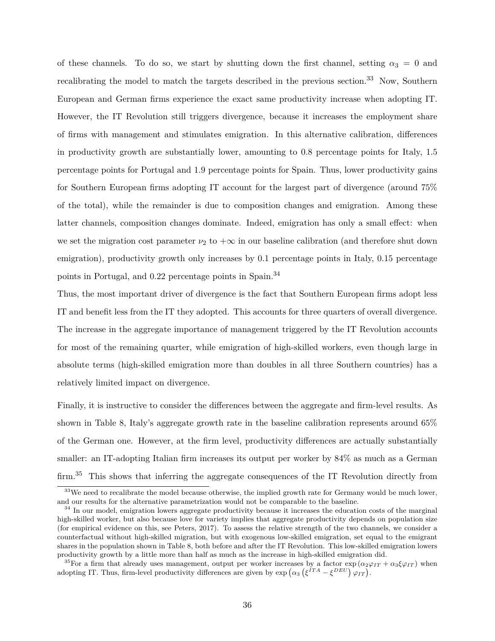of these channels. To do so, we start by shutting down the first channel, setting  $\alpha_3 = 0$  and recalibrating the model to match the targets described in the previous section.<sup>33</sup> Now, Southern European and German firms experience the exact same productivity increase when adopting IT. However, the IT Revolution still triggers divergence, because it increases the employment share of firms with management and stimulates emigration. In this alternative calibration, differences in productivity growth are substantially lower, amounting to 0.8 percentage points for Italy, 1.5 percentage points for Portugal and 1.9 percentage points for Spain. Thus, lower productivity gains for Southern European firms adopting IT account for the largest part of divergence (around 75% of the total), while the remainder is due to composition changes and emigration. Among these latter channels, composition changes dominate. Indeed, emigration has only a small effect: when we set the migration cost parameter  $\nu_2$  to  $+\infty$  in our baseline calibration (and therefore shut down emigration), productivity growth only increases by 0.1 percentage points in Italy, 0.15 percentage points in Portugal, and 0.22 percentage points in Spain.<sup>34</sup>

Thus, the most important driver of divergence is the fact that Southern European firms adopt less IT and benefit less from the IT they adopted. This accounts for three quarters of overall divergence. The increase in the aggregate importance of management triggered by the IT Revolution accounts for most of the remaining quarter, while emigration of high-skilled workers, even though large in absolute terms (high-skilled emigration more than doubles in all three Southern countries) has a relatively limited impact on divergence.

Finally, it is instructive to consider the differences between the aggregate and firm-level results. As shown in Table 8, Italy's aggregate growth rate in the baseline calibration represents around 65% of the German one. However, at the firm level, productivity differences are actually substantially smaller: an IT-adopting Italian firm increases its output per worker by 84% as much as a German firm.<sup>35</sup> This shows that inferring the aggregate consequences of the IT Revolution directly from

<sup>&</sup>lt;sup>33</sup>We need to recalibrate the model because otherwise, the implied growth rate for Germany would be much lower, and our results for the alternative parametrization would not be comparable to the baseline.

<sup>&</sup>lt;sup>34</sup> In our model, emigration lowers aggregate productivity because it increases the education costs of the marginal high-skilled worker, but also because love for variety implies that aggregate productivity depends on population size (for empirical evidence on this, see Peters, 2017). To assess the relative strength of the two channels, we consider a counterfactual without high-skilled migration, but with exogenous low-skilled emigration, set equal to the emigrant shares in the population shown in Table 8, both before and after the IT Revolution. This low-skilled emigration lowers productivity growth by a little more than half as much as the increase in high-skilled emigration did.

<sup>&</sup>lt;sup>35</sup>For a firm that already uses management, output per worker increases by a factor  $\exp(\alpha_2\varphi_{IT} + \alpha_3\xi\varphi_{IT})$  when adopting IT. Thus, firm-level productivity differences are given by  $\exp\left(\alpha_3\left(\xi^{ITA} - \xi^{DEU}\right)\varphi_{IT}\right)$ .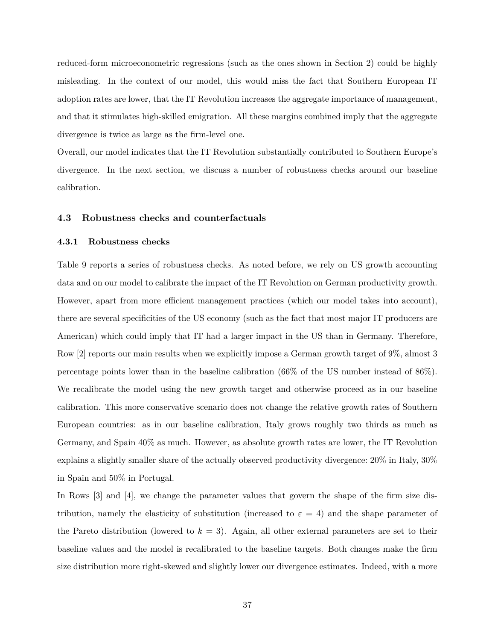reduced-form microeconometric regressions (such as the ones shown in Section 2) could be highly misleading. In the context of our model, this would miss the fact that Southern European IT adoption rates are lower, that the IT Revolution increases the aggregate importance of management, and that it stimulates high-skilled emigration. All these margins combined imply that the aggregate divergence is twice as large as the firm-level one.

Overall, our model indicates that the IT Revolution substantially contributed to Southern Europe's divergence. In the next section, we discuss a number of robustness checks around our baseline calibration.

#### **4.3 Robustness checks and counterfactuals**

#### **4.3.1 Robustness checks**

Table 9 reports a series of robustness checks. As noted before, we rely on US growth accounting data and on our model to calibrate the impact of the IT Revolution on German productivity growth. However, apart from more efficient management practices (which our model takes into account), there are several specificities of the US economy (such as the fact that most major IT producers are American) which could imply that IT had a larger impact in the US than in Germany. Therefore, Row [2] reports our main results when we explicitly impose a German growth target of 9%, almost 3 percentage points lower than in the baseline calibration (66% of the US number instead of 86%). We recalibrate the model using the new growth target and otherwise proceed as in our baseline calibration. This more conservative scenario does not change the relative growth rates of Southern European countries: as in our baseline calibration, Italy grows roughly two thirds as much as Germany, and Spain 40% as much. However, as absolute growth rates are lower, the IT Revolution explains a slightly smaller share of the actually observed productivity divergence: 20% in Italy, 30% in Spain and 50% in Portugal.

In Rows [3] and [4], we change the parameter values that govern the shape of the firm size distribution, namely the elasticity of substitution (increased to  $\varepsilon = 4$ ) and the shape parameter of the Pareto distribution (lowered to  $k = 3$ ). Again, all other external parameters are set to their baseline values and the model is recalibrated to the baseline targets. Both changes make the firm size distribution more right-skewed and slightly lower our divergence estimates. Indeed, with a more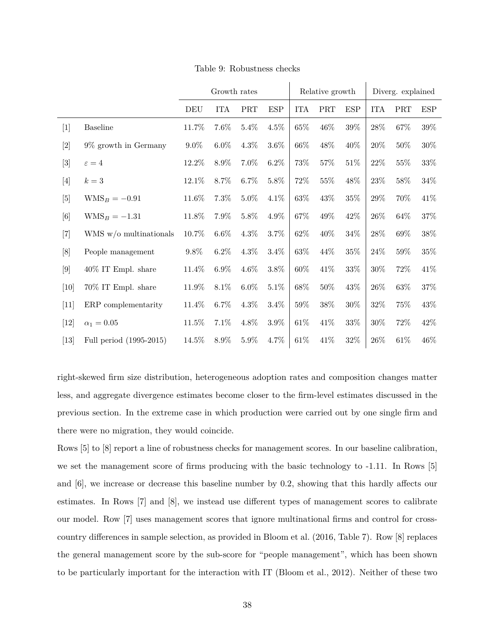|                                                                                                                                                                                                          |                          | Growth rates |            |                             |            | Relative growth |                             |        | Diverg. explained |        |        |
|----------------------------------------------------------------------------------------------------------------------------------------------------------------------------------------------------------|--------------------------|--------------|------------|-----------------------------|------------|-----------------|-----------------------------|--------|-------------------|--------|--------|
|                                                                                                                                                                                                          |                          | DEU          | <b>ITA</b> | $\ensuremath{\mathsf{PRT}}$ | <b>ESP</b> | <b>ITA</b>      | $\ensuremath{\mathsf{PRT}}$ | ESP    | <b>ITA</b>        | PRT    | ESP    |
| $[1]$                                                                                                                                                                                                    | <b>Baseline</b>          | 11.7%        | 7.6%       | $5.4\%$                     | $4.5\%$    | $65\%$          | 46\%                        | $39\%$ | 28\%              | $67\%$ | 39\%   |
|                                                                                                                                                                                                          | 9% growth in Germany     | $9.0\%$      | $6.0\%$    | $4.3\%$                     | $3.6\%$    | 66\%            | 48\%                        | 40%    | 20%               | $50\%$ | 30%    |
| $[3]$                                                                                                                                                                                                    | $\varepsilon = 4$        | 12.2%        | $8.9\%$    | 7.0%                        | $6.2\%$    | 73%             | $57\%$                      | $51\%$ | 22%               | $55\%$ | $33\%$ |
| $[4]$                                                                                                                                                                                                    | $k=3$                    | 12.1%        | 8.7%       | $6.7\%$                     | $5.8\%$    | 72%             | $55\%$                      | 48%    | 23\%              | $58\%$ | 34\%   |
| $[5]$                                                                                                                                                                                                    | $WMS_B = -0.91$          | 11.6%        | 7.3%       | $5.0\%$                     | 4.1%       | $63\%$          | 43\%                        | $35\%$ | $29\%$            | 70%    | 41\%   |
| $[6] % \includegraphics[width=0.9\columnwidth]{figures/fig_0a.pdf} \caption{A small number of samples in the left and right. The left and right is the number of samples in the right.} \label{fig:1} %$ | $WMS_B = -1.31$          | 11.8%        | 7.9%       | $5.8\%$                     | 4.9%       | 67%             | 49\%                        | 42%    | 26\%              | 64%    | $37\%$ |
| $[7]$                                                                                                                                                                                                    | WMS $w/o$ multinationals | 10.7%        | $6.6\%$    | $4.3\%$                     | $3.7\%$    | 62%             | 40\%                        | $34\%$ | 28\%              | $69\%$ | $38\%$ |
| [8]                                                                                                                                                                                                      | People management        | 9.8%         | $6.2\%$    | $4.3\%$                     | $3.4\%$    | $63\%$          | 44\%                        | $35\%$ | 24\%              | $59\%$ | $35\%$ |
| $[9]$                                                                                                                                                                                                    | $40\%$ IT Empl. share    | 11.4%        | $6.9\%$    | $4.6\%$                     | $3.8\%$    | 60%             | 41\%                        | $33\%$ | $30\%$            | 72%    | 41\%   |
| [10]                                                                                                                                                                                                     | 70% IT Empl. share       | 11.9%        | 8.1%       | $6.0\%$                     | 5.1%       | 68\%            | $50\%$                      | $43\%$ | 26\%              | $63\%$ | $37\%$ |
| $[11]$                                                                                                                                                                                                   | ERP complementarity      | 11.4%        | $6.7\%$    | $4.3\%$                     | 3.4%       | $59\%$          | $38\%$                      | $30\%$ | 32%               | 75%    | 43%    |
| $[12]$                                                                                                                                                                                                   | $\alpha_1=0.05$          | 11.5%        | 7.1%       | 4.8%                        | 3.9%       | 61\%            | 41\%                        | $33\%$ | $30\%$            | $72\%$ | 42\%   |
| $[13]$                                                                                                                                                                                                   | Full period (1995-2015)  | 14.5%        | 8.9%       | $5.9\%$                     | 4.7%       | $61\%$          | 41\%                        | $32\%$ | 26\%              | $61\%$ | 46\%   |

Table 9: Robustness checks

right-skewed firm size distribution, heterogeneous adoption rates and composition changes matter less, and aggregate divergence estimates become closer to the firm-level estimates discussed in the previous section. In the extreme case in which production were carried out by one single firm and there were no migration, they would coincide.

Rows [5] to [8] report a line of robustness checks for management scores. In our baseline calibration, we set the management score of firms producing with the basic technology to -1.11. In Rows [5] and [6], we increase or decrease this baseline number by 0.2, showing that this hardly affects our estimates. In Rows [7] and [8], we instead use different types of management scores to calibrate our model. Row [7] uses management scores that ignore multinational firms and control for crosscountry differences in sample selection, as provided in Bloom et al. (2016, Table 7). Row [8] replaces the general management score by the sub-score for "people management", which has been shown to be particularly important for the interaction with IT (Bloom et al., 2012). Neither of these two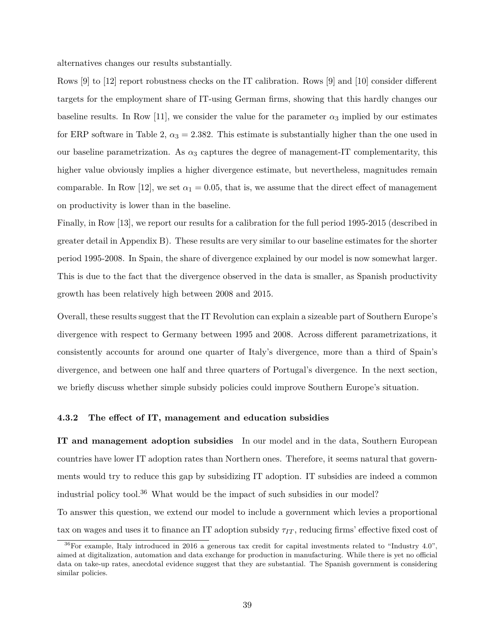alternatives changes our results substantially.

Rows [9] to [12] report robustness checks on the IT calibration. Rows [9] and [10] consider different targets for the employment share of IT-using German firms, showing that this hardly changes our baseline results. In Row [11], we consider the value for the parameter  $\alpha_3$  implied by our estimates for ERP software in Table 2,  $\alpha_3 = 2.382$ . This estimate is substantially higher than the one used in our baseline parametrization. As  $\alpha_3$  captures the degree of management-IT complementarity, this higher value obviously implies a higher divergence estimate, but nevertheless, magnitudes remain comparable. In Row [12], we set  $\alpha_1 = 0.05$ , that is, we assume that the direct effect of management on productivity is lower than in the baseline.

Finally, in Row [13], we report our results for a calibration for the full period 1995-2015 (described in greater detail in Appendix B). These results are very similar to our baseline estimates for the shorter period 1995-2008. In Spain, the share of divergence explained by our model is now somewhat larger. This is due to the fact that the divergence observed in the data is smaller, as Spanish productivity growth has been relatively high between 2008 and 2015.

Overall, these results suggest that the IT Revolution can explain a sizeable part of Southern Europe's divergence with respect to Germany between 1995 and 2008. Across different parametrizations, it consistently accounts for around one quarter of Italy's divergence, more than a third of Spain's divergence, and between one half and three quarters of Portugal's divergence. In the next section, we briefly discuss whether simple subsidy policies could improve Southern Europe's situation.

#### **4.3.2 The effect of IT, management and education subsidies**

**IT and management adoption subsidies** In our model and in the data, Southern European countries have lower IT adoption rates than Northern ones. Therefore, it seems natural that governments would try to reduce this gap by subsidizing IT adoption. IT subsidies are indeed a common industrial policy tool.<sup>36</sup> What would be the impact of such subsidies in our model? To answer this question, we extend our model to include a government which levies a proportional tax on wages and uses it to finance an IT adoption subsidy *τIT* , reducing firms' effective fixed cost of

 $36$  For example, Italy introduced in 2016 a generous tax credit for capital investments related to "Industry 4.0", aimed at digitalization, automation and data exchange for production in manufacturing. While there is yet no official data on take-up rates, anecdotal evidence suggest that they are substantial. The Spanish government is considering similar policies.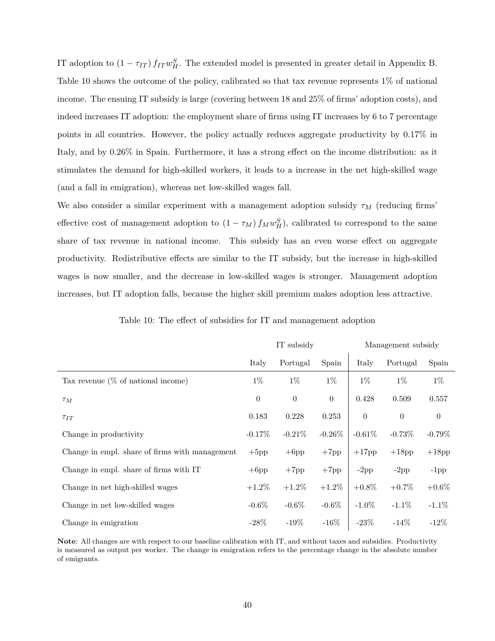IT adoption to  $(1 - \tau_{IT}) f_{IT} w_H^S$ . The extended model is presented in greater detail in Appendix B. Table 10 shows the outcome of the policy, calibrated so that tax revenue represents 1% of national income. The ensuing IT subsidy is large (covering between 18 and 25% of firms' adoption costs), and indeed increases IT adoption: the employment share of firms using IT increases by 6 to 7 percentage points in all countries. However, the policy actually reduces aggregate productivity by 0.17% in Italy, and by 0.26% in Spain. Furthermore, it has a strong effect on the income distribution: as it stimulates the demand for high-skilled workers, it leads to a increase in the net high-skilled wage (and a fall in emigration), whereas net low-skilled wages fall.

We also consider a similar experiment with a management adoption subsidy *τ<sup>M</sup>* (reducing firms' effective cost of management adoption to  $(1 - \tau_M) f_M w_H^S$ , calibrated to correspond to the same share of tax revenue in national income. This subsidy has an even worse effect on aggregate productivity. Redistributive effects are similar to the IT subsidy, but the increase in high-skilled wages is now smaller, and the decrease in low-skilled wages is stronger. Management adoption increases, but IT adoption falls, because the higher skill premium makes adoption less attractive.

|  | IT subsidy | Management |
|--|------------|------------|
|  |            |            |

subsidy

| Table 10: The effect of subsidies for IT and management adoption |  |  |  |
|------------------------------------------------------------------|--|--|--|
|------------------------------------------------------------------|--|--|--|

|                                                | Italy        | Portugal  | Spain          | Italy            | Portugal | Spain          |
|------------------------------------------------|--------------|-----------|----------------|------------------|----------|----------------|
| Tax revenue $(\%$ of national income)          | $1\%$        | $1\%$     | $1\%$          | $1\%$            | $1\%$    | $1\%$          |
| $\tau_M$                                       | $\theta$     | $\theta$  | $\overline{0}$ | 0.428            | 0.509    | 0.557          |
| $\tau_{IT}$                                    | 0.183        | 0.228     | 0.253          | $\boldsymbol{0}$ | $\theta$ | $\overline{0}$ |
| Change in productivity                         | $-0.17%$     | $-0.21\%$ | $-0.26%$       | $-0.61%$         | $-0.73%$ | $-0.79\%$      |
| Change in empl. share of firms with management | $+5{\rm pp}$ | $+6$ pp   | $+7pp$         | $+17$ pp         | $+18$ pp | $+18{\rm pp}$  |
| Change in empl. share of firms with IT         | $+6$ pp      | $+7$ pp   | $+7$ pp        | $-2\mathrm{pp}$  | $-2pp$   | $-1$ pp        |
| Change in net high-skilled wages               | $+1.2\%$     | $+1.2\%$  | $+1.2\%$       | $+0.8\%$         | $+0.7\%$ | $+0.6\%$       |
| Change in net low-skilled wages                | $-0.6\%$     | $-0.6\%$  | $-0.6\%$       | $-1.0\%$         | $-1.1\%$ | $-1.1\%$       |
| Change in emigration                           | $-28\%$      | $-19\%$   | $-16\%$        | $-23\%$          | $-14\%$  | $-12%$         |

**Note**: All changes are with respect to our baseline calibration with IT, and without taxes and subsidies. Productivity is measured as output per worker. The change in emigration refers to the percentage change in the absolute number of emigrants.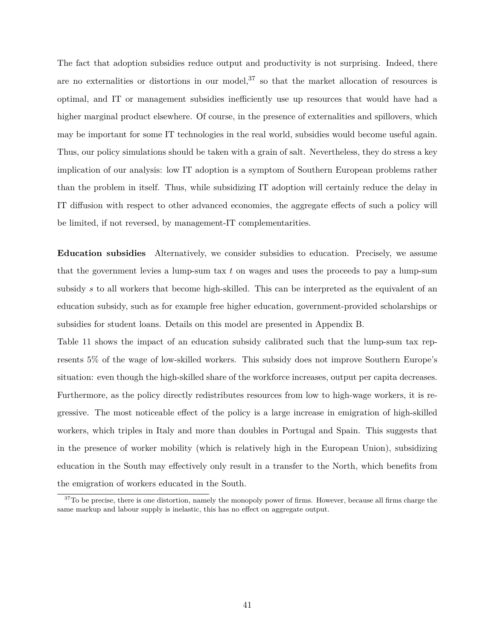The fact that adoption subsidies reduce output and productivity is not surprising. Indeed, there are no externalities or distortions in our model,  $37$  so that the market allocation of resources is optimal, and IT or management subsidies inefficiently use up resources that would have had a higher marginal product elsewhere. Of course, in the presence of externalities and spillovers, which may be important for some IT technologies in the real world, subsidies would become useful again. Thus, our policy simulations should be taken with a grain of salt. Nevertheless, they do stress a key implication of our analysis: low IT adoption is a symptom of Southern European problems rather than the problem in itself. Thus, while subsidizing IT adoption will certainly reduce the delay in IT diffusion with respect to other advanced economies, the aggregate effects of such a policy will be limited, if not reversed, by management-IT complementarities.

**Education subsidies** Alternatively, we consider subsidies to education. Precisely, we assume that the government levies a lump-sum tax *t* on wages and uses the proceeds to pay a lump-sum subsidy *s* to all workers that become high-skilled. This can be interpreted as the equivalent of an education subsidy, such as for example free higher education, government-provided scholarships or subsidies for student loans. Details on this model are presented in Appendix B.

Table 11 shows the impact of an education subsidy calibrated such that the lump-sum tax represents 5% of the wage of low-skilled workers. This subsidy does not improve Southern Europe's situation: even though the high-skilled share of the workforce increases, output per capita decreases. Furthermore, as the policy directly redistributes resources from low to high-wage workers, it is regressive. The most noticeable effect of the policy is a large increase in emigration of high-skilled workers, which triples in Italy and more than doubles in Portugal and Spain. This suggests that in the presence of worker mobility (which is relatively high in the European Union), subsidizing education in the South may effectively only result in a transfer to the North, which benefits from the emigration of workers educated in the South.

 $37T$ o be precise, there is one distortion, namely the monopoly power of firms. However, because all firms charge the same markup and labour supply is inelastic, this has no effect on aggregate output.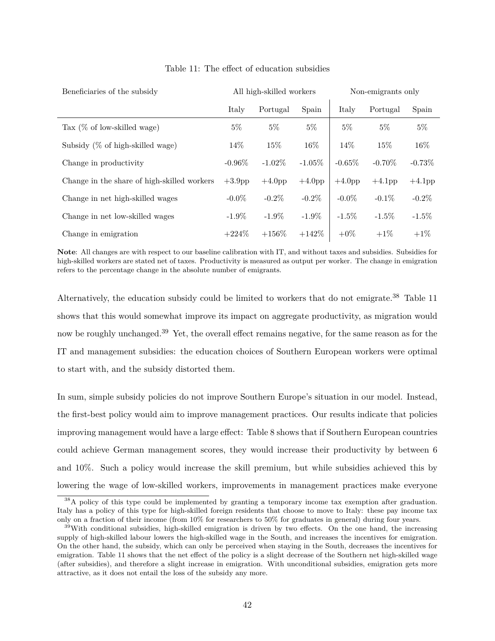| Beneficiaries of the subsidy                |           | All high-skilled workers |           |           | Non-emigrants only |           |  |  |
|---------------------------------------------|-----------|--------------------------|-----------|-----------|--------------------|-----------|--|--|
|                                             | Italy     | Portugal                 | Spain     | Italy     | Portugal           | Spain     |  |  |
| Tax $(\%$ of low-skilled wage)              | $5\%$     | $5\%$                    | $5\%$     | $5\%$     | $5\%$              | $5\%$     |  |  |
| Subsidy $(\%$ of high-skilled wage)         | 14%       | 15%                      | 16%       | 14\%      | 15%                | 16%       |  |  |
| Change in productivity                      | $-0.96\%$ | $-1.02\%$                | $-1.05%$  | $-0.65\%$ | $-0.70\%$          | $-0.73%$  |  |  |
| Change in the share of high-skilled workers | $+3.9$ pp | $+4.0pp$                 | $+4.0$ pp | $+4.0$ pp | $+4.1$ pp          | $+4.1$ pp |  |  |
| Change in net high-skilled wages            | $-0.0\%$  | $-0.2\%$                 | $-0.2\%$  | $-0.0\%$  | $-0.1\%$           | $-0.2\%$  |  |  |
| Change in net low-skilled wages             | $-1.9\%$  | $-1.9\%$                 | $-1.9\%$  | $-1.5\%$  | $-1.5\%$           | $-1.5\%$  |  |  |
| Change in emigration                        | $+224\%$  | $+156\%$                 | $+142%$   | $+0\%$    | $+1\%$             | $+1\%$    |  |  |

#### Table 11: The effect of education subsidies

**Note**: All changes are with respect to our baseline calibration with IT, and without taxes and subsidies. Subsidies for high-skilled workers are stated net of taxes. Productivity is measured as output per worker. The change in emigration refers to the percentage change in the absolute number of emigrants.

Alternatively, the education subsidy could be limited to workers that do not emigrate.<sup>38</sup> Table 11 shows that this would somewhat improve its impact on aggregate productivity, as migration would now be roughly unchanged.<sup>39</sup> Yet, the overall effect remains negative, for the same reason as for the IT and management subsidies: the education choices of Southern European workers were optimal to start with, and the subsidy distorted them.

In sum, simple subsidy policies do not improve Southern Europe's situation in our model. Instead, the first-best policy would aim to improve management practices. Our results indicate that policies improving management would have a large effect: Table 8 shows that if Southern European countries could achieve German management scores, they would increase their productivity by between 6 and 10%. Such a policy would increase the skill premium, but while subsidies achieved this by lowering the wage of low-skilled workers, improvements in management practices make everyone

<sup>&</sup>lt;sup>38</sup>A policy of this type could be implemented by granting a temporary income tax exemption after graduation. Italy has a policy of this type for high-skilled foreign residents that choose to move to Italy: these pay income tax only on a fraction of their income (from 10% for researchers to 50% for graduates in general) during four years.

 $39$ With conditional subsidies, high-skilled emigration is driven by two effects. On the one hand, the increasing supply of high-skilled labour lowers the high-skilled wage in the South, and increases the incentives for emigration. On the other hand, the subsidy, which can only be perceived when staying in the South, decreases the incentives for emigration. Table 11 shows that the net effect of the policy is a slight decrease of the Southern net high-skilled wage (after subsidies), and therefore a slight increase in emigration. With unconditional subsidies, emigration gets more attractive, as it does not entail the loss of the subsidy any more.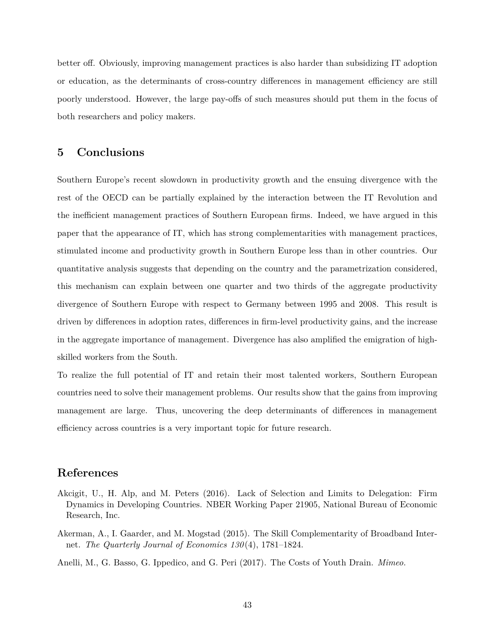better off. Obviously, improving management practices is also harder than subsidizing IT adoption or education, as the determinants of cross-country differences in management efficiency are still poorly understood. However, the large pay-offs of such measures should put them in the focus of both researchers and policy makers.

## **5 Conclusions**

Southern Europe's recent slowdown in productivity growth and the ensuing divergence with the rest of the OECD can be partially explained by the interaction between the IT Revolution and the inefficient management practices of Southern European firms. Indeed, we have argued in this paper that the appearance of IT, which has strong complementarities with management practices, stimulated income and productivity growth in Southern Europe less than in other countries. Our quantitative analysis suggests that depending on the country and the parametrization considered, this mechanism can explain between one quarter and two thirds of the aggregate productivity divergence of Southern Europe with respect to Germany between 1995 and 2008. This result is driven by differences in adoption rates, differences in firm-level productivity gains, and the increase in the aggregate importance of management. Divergence has also amplified the emigration of highskilled workers from the South.

To realize the full potential of IT and retain their most talented workers, Southern European countries need to solve their management problems. Our results show that the gains from improving management are large. Thus, uncovering the deep determinants of differences in management efficiency across countries is a very important topic for future research.

## **References**

- Akcigit, U., H. Alp, and M. Peters (2016). Lack of Selection and Limits to Delegation: Firm Dynamics in Developing Countries. NBER Working Paper 21905, National Bureau of Economic Research, Inc.
- Akerman, A., I. Gaarder, and M. Mogstad (2015). The Skill Complementarity of Broadband Internet. *The Quarterly Journal of Economics 130* (4), 1781–1824.
- Anelli, M., G. Basso, G. Ippedico, and G. Peri (2017). The Costs of Youth Drain. *Mimeo*.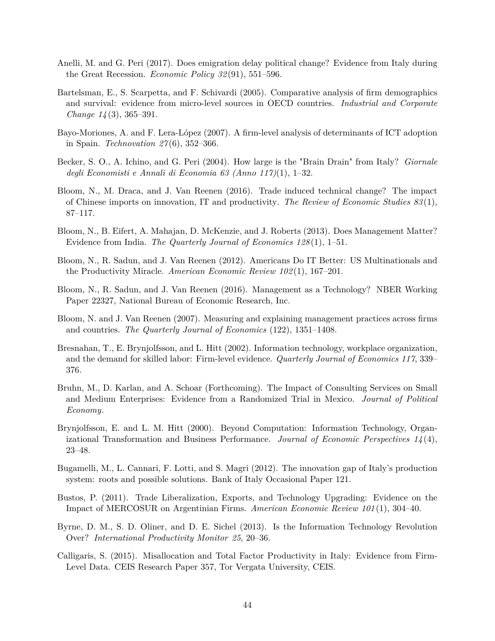- Anelli, M. and G. Peri (2017). Does emigration delay political change? Evidence from Italy during the Great Recession. *Economic Policy 32* (91), 551–596.
- Bartelsman, E., S. Scarpetta, and F. Schivardi (2005). Comparative analysis of firm demographics and survival: evidence from micro-level sources in OECD countries. *Industrial and Corporate Change 14* (3), 365–391.
- Bayo-Moriones, A. and F. Lera-López (2007). A firm-level analysis of determinants of ICT adoption in Spain. *Technovation 27* (6), 352–366.
- Becker, S. O., A. Ichino, and G. Peri (2004). How large is the "Brain Drain" from Italy? *Giornale degli Economisti e Annali di Economia 63 (Anno 117)*(1), 1–32.
- Bloom, N., M. Draca, and J. Van Reenen (2016). Trade induced technical change? The impact of Chinese imports on innovation, IT and productivity. *The Review of Economic Studies 83* (1), 87–117.
- Bloom, N., B. Eifert, A. Mahajan, D. McKenzie, and J. Roberts (2013). Does Management Matter? Evidence from India. *The Quarterly Journal of Economics 128* (1), 1–51.
- Bloom, N., R. Sadun, and J. Van Reenen (2012). Americans Do IT Better: US Multinationals and the Productivity Miracle. *American Economic Review 102* (1), 167–201.
- Bloom, N., R. Sadun, and J. Van Reenen (2016). Management as a Technology? NBER Working Paper 22327, National Bureau of Economic Research, Inc.
- Bloom, N. and J. Van Reenen (2007). Measuring and explaining management practices across firms and countries. *The Quarterly Journal of Economics* (122), 1351–1408.
- Bresnahan, T., E. Brynjolfsson, and L. Hitt (2002). Information technology, workplace organization, and the demand for skilled labor: Firm-level evidence. *Quarterly Journal of Economics 117*, 339– 376.
- Bruhn, M., D. Karlan, and A. Schoar (Forthcoming). The Impact of Consulting Services on Small and Medium Enterprises: Evidence from a Randomized Trial in Mexico. *Journal of Political Economy*.
- Brynjolfsson, E. and L. M. Hitt (2000). Beyond Computation: Information Technology, Organizational Transformation and Business Performance. *Journal of Economic Perspectives 14* (4), 23–48.
- Bugamelli, M., L. Cannari, F. Lotti, and S. Magri (2012). The innovation gap of Italy's production system: roots and possible solutions. Bank of Italy Occasional Paper 121.
- Bustos, P. (2011). Trade Liberalization, Exports, and Technology Upgrading: Evidence on the Impact of MERCOSUR on Argentinian Firms. *American Economic Review 101* (1), 304–40.
- Byrne, D. M., S. D. Oliner, and D. E. Sichel (2013). Is the Information Technology Revolution Over? *International Productivity Monitor 25*, 20–36.
- Calligaris, S. (2015). Misallocation and Total Factor Productivity in Italy: Evidence from Firm-Level Data. CEIS Research Paper 357, Tor Vergata University, CEIS.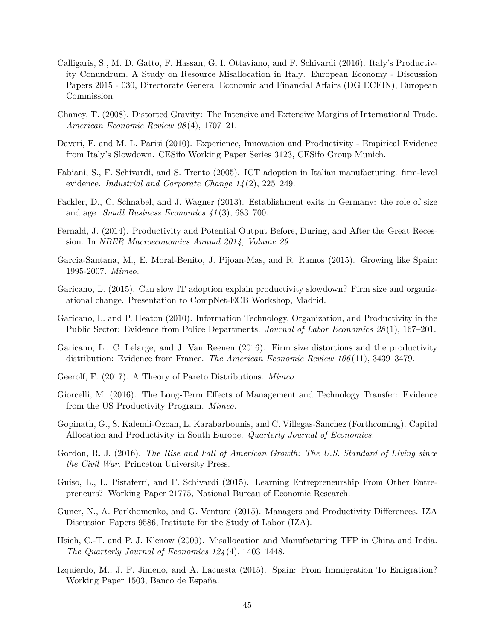- Calligaris, S., M. D. Gatto, F. Hassan, G. I. Ottaviano, and F. Schivardi (2016). Italy's Productivity Conundrum. A Study on Resource Misallocation in Italy. European Economy - Discussion Papers 2015 - 030, Directorate General Economic and Financial Affairs (DG ECFIN), European Commission.
- Chaney, T. (2008). Distorted Gravity: The Intensive and Extensive Margins of International Trade. *American Economic Review 98* (4), 1707–21.
- Daveri, F. and M. L. Parisi (2010). Experience, Innovation and Productivity Empirical Evidence from Italy's Slowdown. CESifo Working Paper Series 3123, CESifo Group Munich.
- Fabiani, S., F. Schivardi, and S. Trento (2005). ICT adoption in Italian manufacturing: firm-level evidence. *Industrial and Corporate Change 14* (2), 225–249.
- Fackler, D., C. Schnabel, and J. Wagner (2013). Establishment exits in Germany: the role of size and age. *Small Business Economics 41* (3), 683–700.
- Fernald, J. (2014). Productivity and Potential Output Before, During, and After the Great Recession. In *NBER Macroeconomics Annual 2014, Volume 29*.
- Garcia-Santana, M., E. Moral-Benito, J. Pijoan-Mas, and R. Ramos (2015). Growing like Spain: 1995-2007. *Mimeo*.
- Garicano, L. (2015). Can slow IT adoption explain productivity slowdown? Firm size and organizational change. Presentation to CompNet-ECB Workshop, Madrid.
- Garicano, L. and P. Heaton (2010). Information Technology, Organization, and Productivity in the Public Sector: Evidence from Police Departments. *Journal of Labor Economics 28* (1), 167–201.
- Garicano, L., C. Lelarge, and J. Van Reenen (2016). Firm size distortions and the productivity distribution: Evidence from France. *The American Economic Review 106* (11), 3439–3479.
- Geerolf, F. (2017). A Theory of Pareto Distributions. *Mimeo*.
- Giorcelli, M. (2016). The Long-Term Effects of Management and Technology Transfer: Evidence from the US Productivity Program. *Mimeo*.
- Gopinath, G., S. Kalemli-Ozcan, L. Karabarbounis, and C. Villegas-Sanchez (Forthcoming). Capital Allocation and Productivity in South Europe. *Quarterly Journal of Economics*.
- Gordon, R. J. (2016). *The Rise and Fall of American Growth: The U.S. Standard of Living since the Civil War*. Princeton University Press.
- Guiso, L., L. Pistaferri, and F. Schivardi (2015). Learning Entrepreneurship From Other Entrepreneurs? Working Paper 21775, National Bureau of Economic Research.
- Guner, N., A. Parkhomenko, and G. Ventura (2015). Managers and Productivity Differences. IZA Discussion Papers 9586, Institute for the Study of Labor (IZA).
- Hsieh, C.-T. and P. J. Klenow (2009). Misallocation and Manufacturing TFP in China and India. *The Quarterly Journal of Economics 124* (4), 1403–1448.
- Izquierdo, M., J. F. Jimeno, and A. Lacuesta (2015). Spain: From Immigration To Emigration? Working Paper 1503, Banco de España.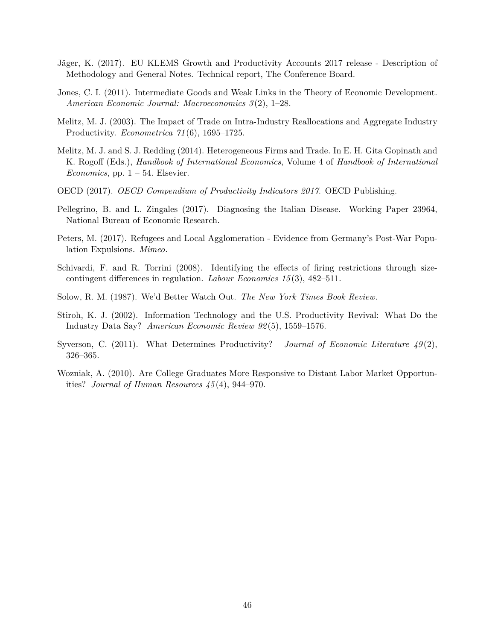- Jäger, K. (2017). EU KLEMS Growth and Productivity Accounts 2017 release Description of Methodology and General Notes. Technical report, The Conference Board.
- Jones, C. I. (2011). Intermediate Goods and Weak Links in the Theory of Economic Development. *American Economic Journal: Macroeconomics 3* (2), 1–28.
- Melitz, M. J. (2003). The Impact of Trade on Intra-Industry Reallocations and Aggregate Industry Productivity. *Econometrica 71* (6), 1695–1725.
- Melitz, M. J. and S. J. Redding (2014). Heterogeneous Firms and Trade. In E. H. Gita Gopinath and K. Rogoff (Eds.), *Handbook of International Economics*, Volume 4 of *Handbook of International Economics*, pp.  $1 - 54$ . Elsevier.
- OECD (2017). *OECD Compendium of Productivity Indicators 2017*. OECD Publishing.
- Pellegrino, B. and L. Zingales (2017). Diagnosing the Italian Disease. Working Paper 23964, National Bureau of Economic Research.
- Peters, M. (2017). Refugees and Local Agglomeration Evidence from Germany's Post-War Population Expulsions. *Mimeo*.
- Schivardi, F. and R. Torrini (2008). Identifying the effects of firing restrictions through sizecontingent differences in regulation. *Labour Economics 15* (3), 482–511.
- Solow, R. M. (1987). We'd Better Watch Out. *The New York Times Book Review*.
- Stiroh, K. J. (2002). Information Technology and the U.S. Productivity Revival: What Do the Industry Data Say? *American Economic Review 92* (5), 1559–1576.
- Syverson, C. (2011). What Determines Productivity? *Journal of Economic Literature 49* (2), 326–365.
- Wozniak, A. (2010). Are College Graduates More Responsive to Distant Labor Market Opportunities? *Journal of Human Resources 45* (4), 944–970.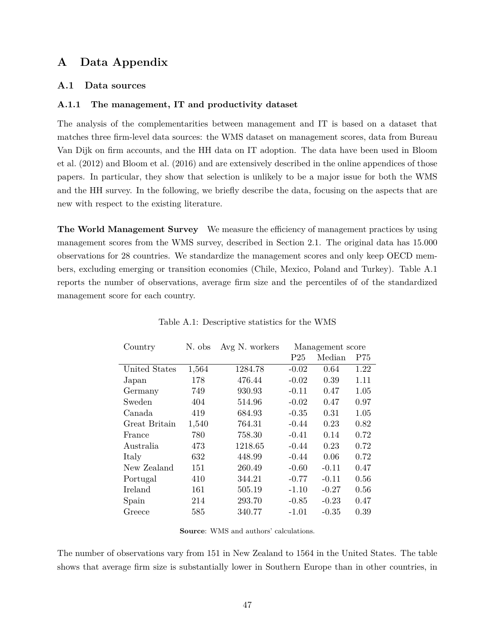## **A Data Appendix**

#### **A.1 Data sources**

#### **A.1.1 The management, IT and productivity dataset**

The analysis of the complementarities between management and IT is based on a dataset that matches three firm-level data sources: the WMS dataset on management scores, data from Bureau Van Dijk on firm accounts, and the HH data on IT adoption. The data have been used in Bloom et al. (2012) and Bloom et al. (2016) and are extensively described in the online appendices of those papers. In particular, they show that selection is unlikely to be a major issue for both the WMS and the HH survey. In the following, we briefly describe the data, focusing on the aspects that are new with respect to the existing literature.

**The World Management Survey** We measure the efficiency of management practices by using management scores from the WMS survey, described in Section 2.1. The original data has 15.000 observations for 28 countries. We standardize the management scores and only keep OECD members, excluding emerging or transition economies (Chile, Mexico, Poland and Turkey). Table A.1 reports the number of observations, average firm size and the percentiles of of the standardized management score for each country.

| Country       | N. obs | Avg N. workers | Management score |         |      |
|---------------|--------|----------------|------------------|---------|------|
|               |        |                | P <sub>25</sub>  | Median  | P75  |
| United States | 1,564  | 1284.78        | $-0.02$          | 0.64    | 1.22 |
| Japan         | 178    | 476.44         | $-0.02$          | 0.39    | 1.11 |
| Germany       | 749    | 930.93         | $-0.11$          | 0.47    | 1.05 |
| Sweden        | 404    | 514.96         | $-0.02$          | 0.47    | 0.97 |
| Canada        | 419    | 684.93         | $-0.35$          | 0.31    | 1.05 |
| Great Britain | 1,540  | 764.31         | $-0.44$          | 0.23    | 0.82 |
| France        | 780    | 758.30         | $-0.41$          | 0.14    | 0.72 |
| Australia     | 473    | 1218.65        | $-0.44$          | 0.23    | 0.72 |
| Italy         | 632    | 448.99         | $-0.44$          | 0.06    | 0.72 |
| New Zealand   | 151    | 260.49         | $-0.60$          | $-0.11$ | 0.47 |
| Portugal      | 410    | 344.21         | $-0.77$          | $-0.11$ | 0.56 |
| Ireland       | 161    | 505.19         | $-1.10$          | $-0.27$ | 0.56 |
| Spain         | 214    | 293.70         | $-0.85$          | $-0.23$ | 0.47 |
| Greece        | 585    | 340.77         | $-1.01$          | $-0.35$ | 0.39 |

Table A.1: Descriptive statistics for the WMS

**Source**: WMS and authors' calculations.

The number of observations vary from 151 in New Zealand to 1564 in the United States. The table shows that average firm size is substantially lower in Southern Europe than in other countries, in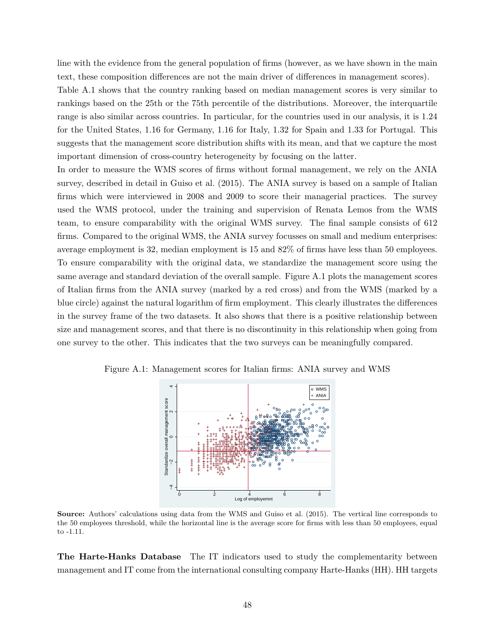line with the evidence from the general population of firms (however, as we have shown in the main text, these composition differences are not the main driver of differences in management scores).

Table A.1 shows that the country ranking based on median management scores is very similar to rankings based on the 25th or the 75th percentile of the distributions. Moreover, the interquartile range is also similar across countries. In particular, for the countries used in our analysis, it is 1.24 for the United States, 1.16 for Germany, 1.16 for Italy, 1.32 for Spain and 1.33 for Portugal. This suggests that the management score distribution shifts with its mean, and that we capture the most important dimension of cross-country heterogeneity by focusing on the latter.

In order to measure the WMS scores of firms without formal management, we rely on the ANIA survey, described in detail in Guiso et al. (2015). The ANIA survey is based on a sample of Italian firms which were interviewed in 2008 and 2009 to score their managerial practices. The survey used the WMS protocol, under the training and supervision of Renata Lemos from the WMS team, to ensure comparability with the original WMS survey. The final sample consists of 612 firms. Compared to the original WMS, the ANIA survey focusses on small and medium enterprises: average employment is 32, median employment is 15 and 82% of firms have less than 50 employees. To ensure comparability with the original data, we standardize the management score using the same average and standard deviation of the overall sample. Figure A.1 plots the management scores of Italian firms from the ANIA survey (marked by a red cross) and from the WMS (marked by a blue circle) against the natural logarithm of firm employment. This clearly illustrates the differences in the survey frame of the two datasets. It also shows that there is a positive relationship between size and management scores, and that there is no discontinuity in this relationship when going from one survey to the other. This indicates that the two surveys can be meaningfully compared.



Figure A.1: Management scores for Italian firms: ANIA survey and WMS

**Source:** Authors' calculations using data from the WMS and Guiso et al. (2015). The vertical line corresponds to the 50 employees threshold, while the horizontal line is the average score for firms with less than 50 employees, equal to -1.11.

**The Harte-Hanks Database** The IT indicators used to study the complementarity between management and IT come from the international consulting company Harte-Hanks (HH). HH targets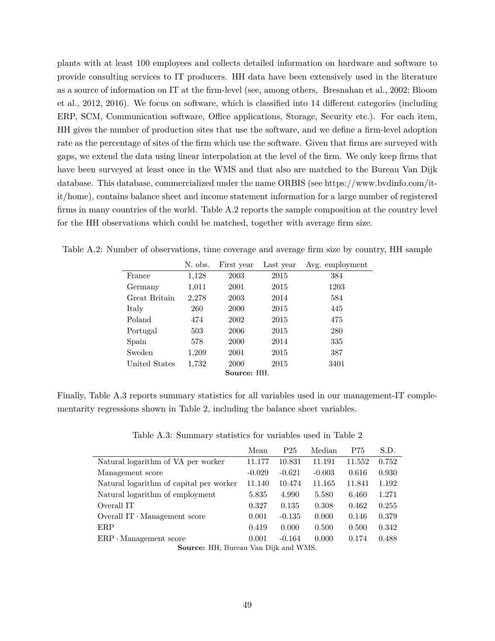plants with at least 100 employees and collects detailed information on hardware and software to provide consulting services to IT producers. HH data have been extensively used in the literature as a source of information on IT at the firm-level (see, among others, Bresnahan et al., 2002; Bloom et al., 2012, 2016). We focus on software, which is classified into 14 different categories (including ERP, SCM, Communication software, Office applications, Storage, Security etc.). For each item, HH gives the number of production sites that use the software, and we define a firm-level adoption rate as the percentage of sites of the firm which use the software. Given that firms are surveyed with gaps, we extend the data using linear interpolation at the level of the firm. We only keep firms that have been surveyed at least once in the WMS and that also are matched to the Bureau Van Dijk database. This database, commercialized under the name ORBIS (see https://www.bvdinfo.com/itit/home), contains balance sheet and income statement information for a large number of registered firms in many countries of the world. Table A.2 reports the sample composition at the country level for the HH observations which could be matched, together with average firm size.

|               | N. obs. | First year | Last year | Avg. employment |  |  |
|---------------|---------|------------|-----------|-----------------|--|--|
| France        | 1,128   | 2003       | 2015      | 384             |  |  |
| Germany       | 1,011   | 2001       | 2015      | 1203            |  |  |
| Great Britain | 2,278   | 2003       | 2014      | 584             |  |  |
| Italy         | 260     | 2000       | 2015      | 445             |  |  |
| Poland        | 474     | 2002       | 2015      | 475             |  |  |
| Portugal      | 503     | 2006       | 2015      | 280             |  |  |
| Spain         | 578     | 2000       | 2014      | 335             |  |  |
| Sweden        | 1,209   | 2001       | 2015      | 387             |  |  |
| United States | 1,732   | 2000       | 2015      | 3401            |  |  |
| Source: HH.   |         |            |           |                 |  |  |

Table A.2: Number of observations, time coverage and average firm size by country, HH sample

Finally, Table A.3 reports summary statistics for all variables used in our management-IT complementarity regressions shown in Table 2, including the balance sheet variables.

Table A.3: Summary statistics for variables used in Table 2

|                                             | Mean     | P <sub>25</sub> | Median   | P75    | S.D.  |  |
|---------------------------------------------|----------|-----------------|----------|--------|-------|--|
| Natural logarithm of VA per worker          | 11.177   | 10.831          | 11.191   | 11.552 | 0.752 |  |
| Management score                            | $-0.029$ | $-0.621$        | $-0.003$ | 0.616  | 0.930 |  |
| Natural logarithm of capital per worker     | 11.140   | 10.474          | 11.165   | 11.841 | 1.192 |  |
| Natural logarithm of employment             | 5.835    | 4.990           | 5.580    | 6.460  | 1.271 |  |
| Overall IT                                  | 0.327    | 0.135           | 0.308    | 0.462  | 0.255 |  |
| Overall $IT \cdot$ Management score         | 0.001    | $-0.135$        | 0.000    | 0.146  | 0.379 |  |
| ERP                                         | 0.419    | 0.000           | 0.500    | 0.500  | 0.342 |  |
| $ERP \cdot \text{Management score}$         | 0.001    | $-0.164$        | 0.000    | 0.174  | 0.488 |  |
| <b>Source:</b> HH, Bureau Van Dijk and WMS. |          |                 |          |        |       |  |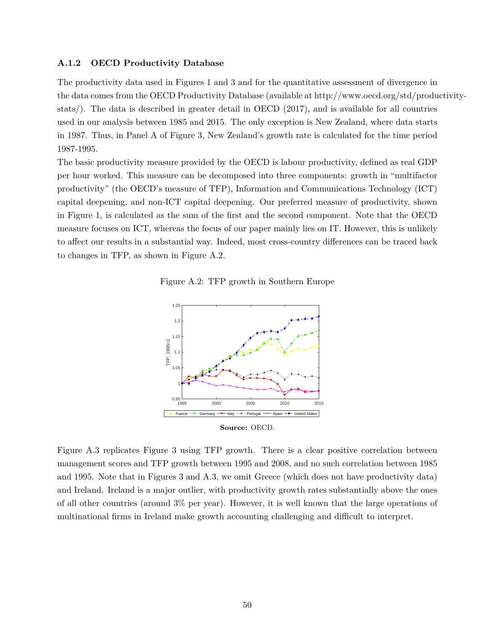#### **A.1.2 OECD Productivity Database**

The productivity data used in Figures 1 and 3 and for the quantitative assessment of divergence in the data comes from the OECD Productivity Database (available at http://www.oecd.org/std/productivitystats/). The data is described in greater detail in OECD (2017), and is available for all countries used in our analysis between 1985 and 2015. The only exception is New Zealand, where data starts in 1987. Thus, in Panel A of Figure 3, New Zealand's growth rate is calculated for the time period 1987-1995.

The basic productivity measure provided by the OECD is labour productivity, defined as real GDP per hour worked. This measure can be decomposed into three components: growth in "multifactor productivity" (the OECD's measure of TFP), Information and Communications Technology (ICT) capital deepening, and non-ICT capital deepening. Our preferred measure of productivity, shown in Figure 1, is calculated as the sum of the first and the second component. Note that the OECD measure focuses on ICT, whereas the focus of our paper mainly lies on IT. However, this is unlikely to affect our results in a substantial way. Indeed, most cross-country differences can be traced back to changes in TFP, as shown in Figure A.2.

Figure A.2: TFP growth in Southern Europe



Figure A.3 replicates Figure 3 using TFP growth. There is a clear positive correlation between management scores and TFP growth between 1995 and 2008, and no such correlation between 1985 and 1995. Note that in Figures 3 and A.3, we omit Greece (which does not have productivity data) and Ireland. Ireland is a major outlier, with productivity growth rates substantially above the ones of all other countries (around 3% per year). However, it is well known that the large operations of multinational firms in Ireland make growth accounting challenging and difficult to interpret.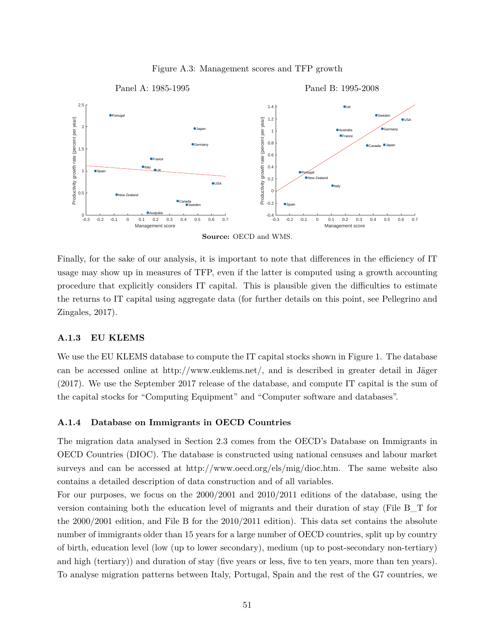

Figure A.3: Management scores and TFP growth

Finally, for the sake of our analysis, it is important to note that differences in the efficiency of IT usage may show up in measures of TFP, even if the latter is computed using a growth accounting procedure that explicitly considers IT capital. This is plausible given the difficulties to estimate the returns to IT capital using aggregate data (for further details on this point, see Pellegrino and Zingales, 2017).

#### **A.1.3 EU KLEMS**

We use the EU KLEMS database to compute the IT capital stocks shown in Figure 1. The database can be accessed online at http://www.euklems.net/, and is described in greater detail in Jäger (2017). We use the September 2017 release of the database, and compute IT capital is the sum of the capital stocks for "Computing Equipment" and "Computer software and databases".

#### **A.1.4 Database on Immigrants in OECD Countries**

The migration data analysed in Section 2.3 comes from the OECD's Database on Immigrants in OECD Countries (DIOC). The database is constructed using national censuses and labour market surveys and can be accessed at http://www.oecd.org/els/mig/dioc.htm. The same website also contains a detailed description of data construction and of all variables.

For our purposes, we focus on the 2000/2001 and 2010/2011 editions of the database, using the version containing both the education level of migrants and their duration of stay (File B\_T for the 2000/2001 edition, and File B for the 2010/2011 edition). This data set contains the absolute number of immigrants older than 15 years for a large number of OECD countries, split up by country of birth, education level (low (up to lower secondary), medium (up to post-secondary non-tertiary) and high (tertiary)) and duration of stay (five years or less, five to ten years, more than ten years). To analyse migration patterns between Italy, Portugal, Spain and the rest of the G7 countries, we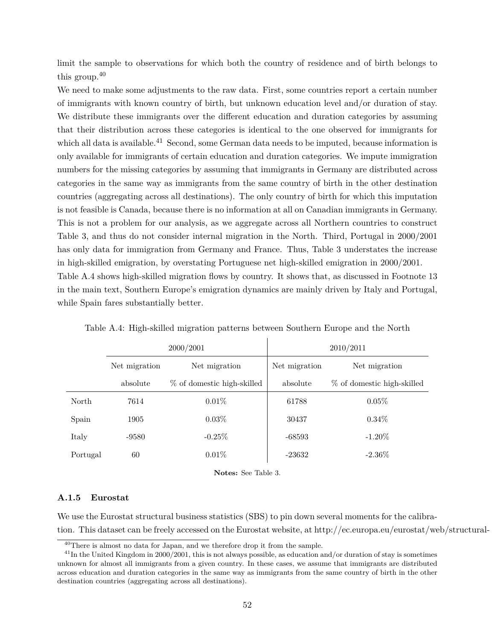limit the sample to observations for which both the country of residence and of birth belongs to this group. $40$ 

We need to make some adjustments to the raw data. First, some countries report a certain number of immigrants with known country of birth, but unknown education level and/or duration of stay. We distribute these immigrants over the different education and duration categories by assuming that their distribution across these categories is identical to the one observed for immigrants for which all data is available.<sup>41</sup> Second, some German data needs to be imputed, because information is only available for immigrants of certain education and duration categories. We impute immigration numbers for the missing categories by assuming that immigrants in Germany are distributed across categories in the same way as immigrants from the same country of birth in the other destination countries (aggregating across all destinations). The only country of birth for which this imputation is not feasible is Canada, because there is no information at all on Canadian immigrants in Germany. This is not a problem for our analysis, as we aggregate across all Northern countries to construct Table 3, and thus do not consider internal migration in the North. Third, Portugal in 2000/2001 has only data for immigration from Germany and France. Thus, Table 3 understates the increase in high-skilled emigration, by overstating Portuguese net high-skilled emigration in 2000/2001. Table A.4 shows high-skilled migration flows by country. It shows that, as discussed in Footnote 13 in the main text, Southern Europe's emigration dynamics are mainly driven by Italy and Portugal, while Spain fares substantially better.

|          |                                | 2000/2001                  | 2010/2011     |                            |  |  |
|----------|--------------------------------|----------------------------|---------------|----------------------------|--|--|
|          | Net migration<br>Net migration |                            | Net migration | Net migration              |  |  |
|          | absolute                       | % of domestic high-skilled | absolute      | % of domestic high-skilled |  |  |
| North    | 7614                           | $0.01\%$                   | 61788         | 0.05%                      |  |  |
| Spain    | 1905                           | $0.03\%$                   | 30437         | $0.34\%$                   |  |  |
| Italy    | -9580                          | $-0.25%$                   | $-68593$      | $-1.20\%$                  |  |  |
| Portugal | 60                             | $0.01\%$                   | $-23632$      | $-2.36\%$                  |  |  |

Table A.4: High-skilled migration patterns between Southern Europe and the North

**Notes:** See Table 3.

#### **A.1.5 Eurostat**

We use the Eurostat structural business statistics (SBS) to pin down several moments for the calibration. This dataset can be freely accessed on the Eurostat website, at http://ec.europa.eu/eurostat/web/structural-

<sup>&</sup>lt;sup>40</sup>There is almost no data for Japan, and we therefore drop it from the sample.

 $^{41}$ In the United Kingdom in 2000/2001, this is not always possible, as education and/or duration of stay is sometimes unknown for almost all immigrants from a given country. In these cases, we assume that immigrants are distributed across education and duration categories in the same way as immigrants from the same country of birth in the other destination countries (aggregating across all destinations).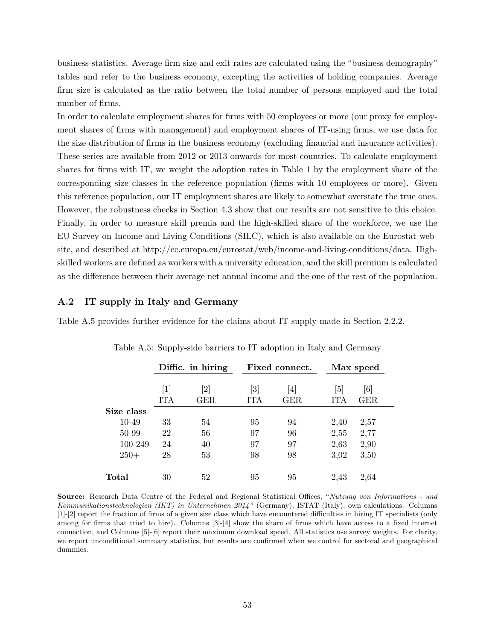business-statistics. Average firm size and exit rates are calculated using the "business demography" tables and refer to the business economy, excepting the activities of holding companies. Average firm size is calculated as the ratio between the total number of persons employed and the total number of firms.

In order to calculate employment shares for firms with 50 employees or more (our proxy for employment shares of firms with management) and employment shares of IT-using firms, we use data for the size distribution of firms in the business economy (excluding financial and insurance activities). These series are available from 2012 or 2013 onwards for most countries. To calculate employment shares for firms with IT, we weight the adoption rates in Table 1 by the employment share of the corresponding size classes in the reference population (firms with 10 employees or more). Given this reference population, our IT employment shares are likely to somewhat overstate the true ones. However, the robustness checks in Section 4.3 show that our results are not sensitive to this choice. Finally, in order to measure skill premia and the high-skilled share of the workforce, we use the EU Survey on Income and Living Conditions (SILC), which is also available on the Eurostat website, and described at http://ec.europa.eu/eurostat/web/income-and-living-conditions/data. Highskilled workers are defined as workers with a university education, and the skill premium is calculated as the difference between their average net annual income and the one of the rest of the population.

#### **A.2 IT supply in Italy and Germany**

Table A.5 provides further evidence for the claims about IT supply made in Section 2.2.2.

|             | Diffic. in hiring        |                          |                   | Fixed connect.  |            | Max speed  |
|-------------|--------------------------|--------------------------|-------------------|-----------------|------------|------------|
|             | $\lceil 1 \rceil$<br>ITA | $\left[ 2\right]$<br>GER | [3]<br><b>ITA</b> | 4<br><b>GER</b> | [5]<br>ITA | [6]<br>GER |
| Size class  |                          |                          |                   |                 |            |            |
| 10-49       | 33                       | 54                       | 95                | 94              | 2,40       | 2,57       |
| 50-99       | 22                       | 56                       | 97                | 96              | 2,55       | 2,77       |
| 100-249     | 24                       | 40                       | 97                | 97              | 2,63       | 2,90       |
| $250+$      | 28                       | 53                       | 98                | 98              | 3,02       | 3,50       |
| $\rm Total$ | 30                       | 52                       | 95                | 95              | 2,43       | 2,64       |

Table A.5: Supply-side barriers to IT adoption in Italy and Germany

**Source:** Research Data Centre of the Federal and Regional Statistical Offices, "*Nutzung von Informations - und Kommunikationstechnologien (IKT) in Unternehmen 2014* " (Germany), ISTAT (Italy), own calculations. Columns [1]-[2] report the fraction of firms of a given size class which have encountered difficulties in hiring IT specialists (only among for firms that tried to hire). Columns [3]-[4] show the share of firms which have access to a fixed internet connection, and Columns [5]-[6] report their maximum download speed. All statistics use survey weights. For clarity, we report unconditional summary statistics, but results are confirmed when we control for sectoral and geographical dummies.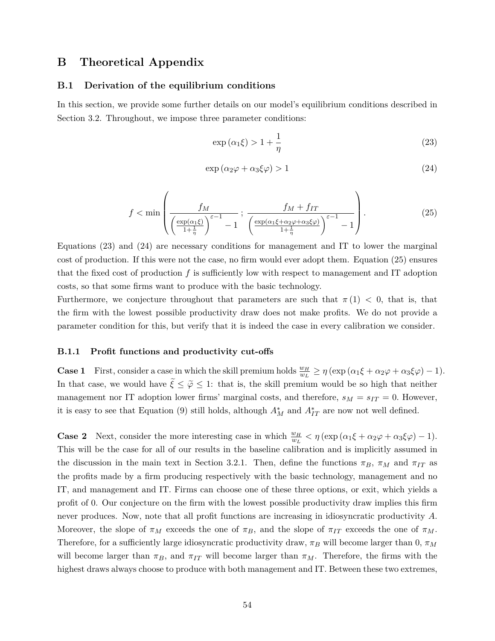## **B Theoretical Appendix**

#### **B.1 Derivation of the equilibrium conditions**

In this section, we provide some further details on our model's equilibrium conditions described in Section 3.2. Throughout, we impose three parameter conditions:

$$
\exp\left(\alpha_1\xi\right) > 1 + \frac{1}{\eta} \tag{23}
$$

$$
\exp\left(\alpha_2\varphi + \alpha_3\xi\varphi\right) > 1\tag{24}
$$

$$
f < \min\left(\frac{f_M}{\left(\frac{\exp(\alpha_1\xi)}{1 + \frac{1}{\eta}}\right)^{\varepsilon - 1} - 1}; \frac{f_M + f_{IT}}{\left(\frac{\exp(\alpha_1\xi + \alpha_2\varphi + \alpha_3\xi\varphi)}{1 + \frac{1}{\eta}}\right)^{\varepsilon - 1} - 1}\right).
$$
(25)

Equations (23) and (24) are necessary conditions for management and IT to lower the marginal cost of production. If this were not the case, no firm would ever adopt them. Equation (25) ensures that the fixed cost of production *f* is sufficiently low with respect to management and IT adoption costs, so that some firms want to produce with the basic technology.

Furthermore, we conjecture throughout that parameters are such that  $\pi(1) < 0$ , that is, that the firm with the lowest possible productivity draw does not make profits. We do not provide a parameter condition for this, but verify that it is indeed the case in every calibration we consider.

#### **B.1.1 Profit functions and productivity cut-offs**

**Case 1** First, consider a case in which the skill premium holds  $\frac{w_H}{w_L} \geq \eta \left( \exp \left( \alpha_1 \xi + \alpha_2 \varphi + \alpha_3 \xi \varphi \right) - 1 \right)$ . In that case, we would have  $\tilde{\xi} \leq \tilde{\varphi} \leq 1$ : that is, the skill premium would be so high that neither management nor IT adoption lower firms' marginal costs, and therefore,  $s_M = s_{IT} = 0$ . However, it is easy to see that Equation (9) still holds, although  $A_M^*$  and  $A_{IT}^*$  are now not well defined.

**Case 2** Next, consider the more interesting case in which  $\frac{w_H}{w_L} < \eta \left(\exp\left(\alpha_1 \xi + \alpha_2 \varphi + \alpha_3 \xi \varphi\right) - 1\right)$ . This will be the case for all of our results in the baseline calibration and is implicitly assumed in the discussion in the main text in Section 3.2.1. Then, define the functions  $\pi_B$ ,  $\pi_M$  and  $\pi_{IT}$  as the profits made by a firm producing respectively with the basic technology, management and no IT, and management and IT. Firms can choose one of these three options, or exit, which yields a profit of 0. Our conjecture on the firm with the lowest possible productivity draw implies this firm never produces. Now, note that all profit functions are increasing in idiosyncratic productivity *A*. Moreover, the slope of  $\pi_M$  exceeds the one of  $\pi_B$ , and the slope of  $\pi_{IT}$  exceeds the one of  $\pi_M$ . Therefore, for a sufficiently large idiosyncratic productivity draw, *π<sup>B</sup>* will become larger than 0, *π<sup>M</sup>* will become larger than  $\pi_B$ , and  $\pi_{IT}$  will become larger than  $\pi_M$ . Therefore, the firms with the highest draws always choose to produce with both management and IT. Between these two extremes,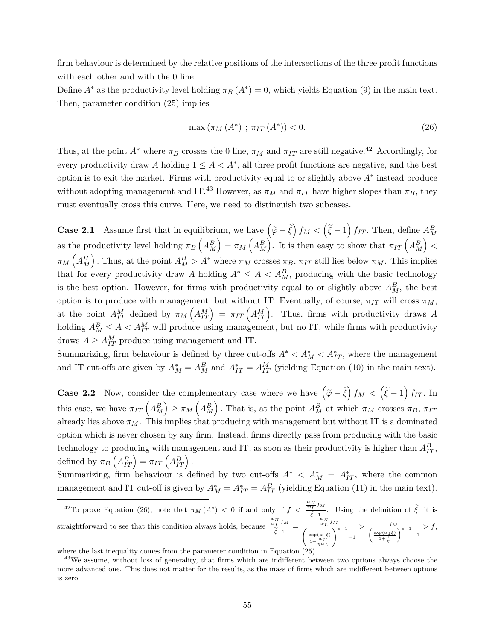firm behaviour is determined by the relative positions of the intersections of the three profit functions with each other and with the 0 line.

Define  $A^*$  as the productivity level holding  $\pi_B(A^*)=0$ , which yields Equation (9) in the main text. Then, parameter condition (25) implies

$$
\max(\pi_M(A^*); \pi_{IT}(A^*)) < 0.
$$
\n(26)

Thus, at the point  $A^*$  where  $\pi_B$  crosses the 0 line,  $\pi_M$  and  $\pi_{IT}$  are still negative.<sup>42</sup> Accordingly, for every productivity draw A holding  $1 \leq A < A^*$ , all three profit functions are negative, and the best option is to exit the market. Firms with productivity equal to or slightly above *A*<sup>∗</sup> instead produce without adopting management and IT.<sup>43</sup> However, as  $\pi_M$  and  $\pi_{IT}$  have higher slopes than  $\pi_B$ , they must eventually cross this curve. Here, we need to distinguish two subcases.

**Case 2.1** Assume first that in equilibrium, we have  $(\tilde{\varphi} - \tilde{\xi}) f_M < (\tilde{\xi} - 1) f_{IT}$ . Then, define  $A_M^B$ as the productivity level holding  $\pi_B\left(A_M^B\right) = \pi_M\left(A_M^B\right)$ . It is then easy to show that  $\pi_{IT}\left(A_M^B\right)$  <  $\pi_M(A_M^B)$ . Thus, at the point  $A_M^B > A^*$  where  $\pi_M$  crosses  $\pi_B$ ,  $\pi_{IT}$  still lies below  $\pi_M$ . This implies that for every productivity draw *A* holding  $A^* \leq A < A_M^B$ , producing with the basic technology is the best option. However, for firms with productivity equal to or slightly above  $A_M^B$ , the best option is to produce with management, but without IT. Eventually, of course,  $\pi_{IT}$  will cross  $\pi_M$ , at the point  $A_{IT}^M$  defined by  $\pi_M\left(A_{IT}^M\right) = \pi_{IT}\left(A_{IT}^M\right)$ . Thus, firms with productivity draws A holding  $A_M^B \leq A < A_{IT}^M$  will produce using management, but no IT, while firms with productivity draws  $A \geq A_{IT}^M$  produce using management and IT.

Summarizing, firm behaviour is defined by three cut-offs  $A^* < A_M^* < A_{IT}^*$ , where the management and IT cut-offs are given by  $A_M^* = A_M^B$  and  $A_{IT}^* = A_{IT}^M$  (yielding Equation (10) in the main text).

**Case 2.2** Now, consider the complementary case where we have  $(\tilde{\varphi} - \tilde{\xi}) f_M < (\tilde{\xi} - 1) f_{IT}$ . In this case, we have  $\pi_{IT}\left(A_M^B\right) \geq \pi_M\left(A_M^B\right)$ . That is, at the point  $A_M^B$  at which  $\pi_M$  crosses  $\pi_B$ ,  $\pi_{IT}$ already lies above  $\pi_M$ . This implies that producing with management but without IT is a dominated option which is never chosen by any firm. Instead, firms directly pass from producing with the basic technology to producing with management and IT, as soon as their productivity is higher than  $A_{IT}^B$ , defined by  $\pi_B\left(A_{IT}^B\right) = \pi_{IT}\left(A_{IT}^B\right)$ .

Summarizing, firm behaviour is defined by two cut-offs  $A^* \leq A_M^* = A_{IT}^*$ , where the common management and IT cut-off is given by  $A_M^* = A_{IT}^* = A_{IT}^B$  (yielding Equation (11) in the main text).

<sup>&</sup>lt;sup>42</sup>To prove Equation (26), note that  $\pi_M(A^*) < 0$  if and only if  $f < \frac{\frac{w_H}{w_L}f_M}{\frac{w_H}{w_L}}$  $\frac{f_L f_{\text{tot}}}{f_{\text{tot}}}$ . Using the definition of *ξ*, it is straightforward to see that this condition always holds, because  $\frac{w_H}{w_Z} f_M$  $\frac{w_H}{\xi} f_M = \frac{\frac{w_H}{w_L} f_M}{\left(\frac{\exp(\alpha_1 \xi)}{\pi \sqrt{w_H}}\right)}$  $\left(\frac{\exp(\alpha_1\xi)}{1+\frac{w_H}{\eta w_L}}\right)$  $\frac{f_M}{\sqrt{\frac{\varepsilon-1}{1-1}}} > \frac{f_M}{\sqrt{\frac{\exp(\alpha_1\xi)}{1+\frac{1}{1-1}}}}$  $\frac{\exp(\alpha_1\xi)}{1+\frac{1}{\eta}}$  $\int_{0}^{\varepsilon-1}$ <sub>-1</sub> *> f*,

where the last inequality comes from the parameter condition in Equation (25).

<sup>&</sup>lt;sup>43</sup>We assume, without loss of generality, that firms which are indifferent between two options always choose the more advanced one. This does not matter for the results, as the mass of firms which are indifferent between options is zero.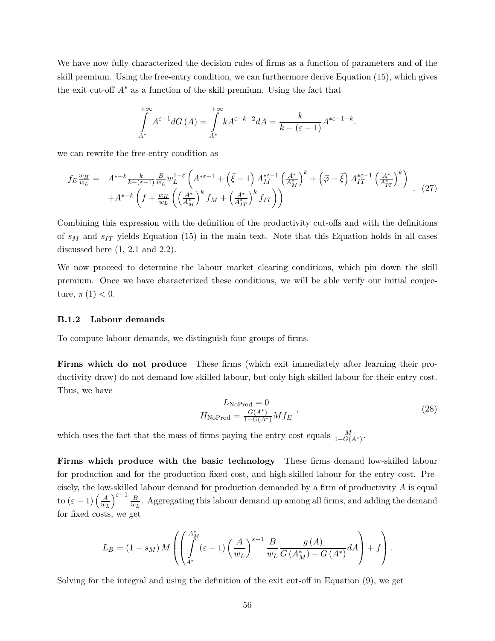We have now fully characterized the decision rules of firms as a function of parameters and of the skill premium. Using the free-entry condition, we can furthermore derive Equation (15), which gives the exit cut-off  $A^*$  as a function of the skill premium. Using the fact that

$$
\int_{A^*}^{+\infty} A^{\varepsilon-1} dG(A) = \int_{A^*}^{+\infty} k A^{\varepsilon-k-2} dA = \frac{k}{k - (\varepsilon - 1)} A^{*\varepsilon-1-k}.
$$

we can rewrite the free-entry condition as

$$
f_E \frac{w_H}{w_L} = A^{*-k} \frac{k}{k - (\varepsilon - 1)} \frac{B}{w_L} w_L^{1 - \varepsilon} \left( A^{*\varepsilon - 1} + \left( \tilde{\xi} - 1 \right) A_M^{*\varepsilon - 1} \left( \frac{A^*}{A_M^*} \right)^k + \left( \tilde{\varphi} - \tilde{\xi} \right) A_{IT}^{*\varepsilon - 1} \left( \frac{A^*}{A_{IT}^*} \right)^k \right) + A^{*-k} \left( f + \frac{w_H}{w_L} \left( \left( \frac{A^*}{A_M^*} \right)^k f_M + \left( \frac{A^*}{A_{IT}^*} \right)^k f_{IT} \right) \right)
$$
(27)

Combining this expression with the definition of the productivity cut-offs and with the definitions of *s<sup>M</sup>* and *sIT* yields Equation (15) in the main text. Note that this Equation holds in all cases discussed here  $(1, 2.1 \text{ and } 2.2)$ .

We now proceed to determine the labour market clearing conditions, which pin down the skill premium. Once we have characterized these conditions, we will be able verify our initial conjecture,  $\pi(1) < 0$ .

#### **B.1.2 Labour demands**

To compute labour demands, we distinguish four groups of firms.

**Firms which do not produce** These firms (which exit immediately after learning their productivity draw) do not demand low-skilled labour, but only high-skilled labour for their entry cost. Thus, we have

$$
L_{\text{NoProd}} = 0
$$
  
\n
$$
H_{\text{NoProd}} = \frac{G(A^*)}{1 - G(A^*)} M f_E
$$
\n(28)

which uses the fact that the mass of firms paying the entry cost equals  $\frac{M}{1-G(A^*)}$ .

**Firms which produce with the basic technology** These firms demand low-skilled labour for production and for the production fixed cost, and high-skilled labour for the entry cost. Precisely, the low-skilled labour demand for production demanded by a firm of productivity *A* is equal to  $(\varepsilon - 1) \left( \frac{A}{w} \right)$ *w<sup>L</sup>*  $\int^{\varepsilon-1}$  *B*  $\frac{B}{w_L}$ . Aggregating this labour demand up among all firms, and adding the demand for fixed costs, we get

$$
L_B = (1 - s_M) M \left( \left( \int_{A^*}^{A_M^*} (\varepsilon - 1) \left( \frac{A}{w_L} \right)^{\varepsilon - 1} \frac{B}{w_L} \frac{g(A)}{G(A_M^*) - G(A^*)} dA \right) + f \right).
$$

Solving for the integral and using the definition of the exit cut-off in Equation (9), we get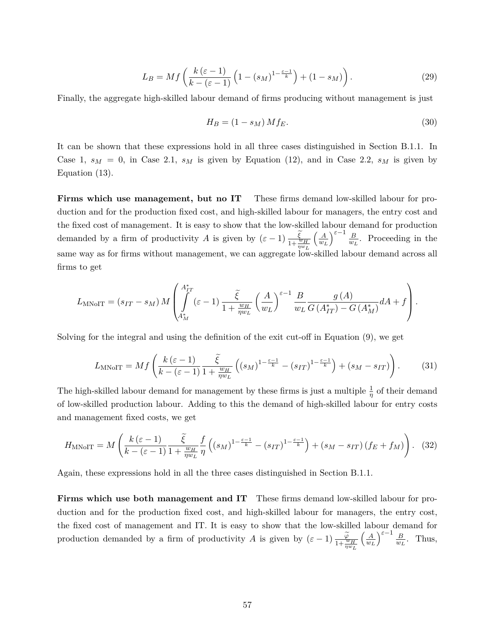$$
L_B = Mf\left(\frac{k\left(\varepsilon - 1\right)}{k - \left(\varepsilon - 1\right)}\left(1 - \left(s_M\right)^{1 - \frac{\varepsilon - 1}{k}}\right) + \left(1 - s_M\right)\right). \tag{29}
$$

Finally, the aggregate high-skilled labour demand of firms producing without management is just

$$
H_B = (1 - s_M) M f_E. \tag{30}
$$

It can be shown that these expressions hold in all three cases distinguished in Section B.1.1. In Case 1,  $s_M = 0$ , in Case 2.1,  $s_M$  is given by Equation (12), and in Case 2.2,  $s_M$  is given by Equation (13).

**Firms which use management, but no IT** These firms demand low-skilled labour for production and for the production fixed cost, and high-skilled labour for managers, the entry cost and the fixed cost of management. It is easy to show that the low-skilled labour demand for production demanded by a firm of productivity *A* is given by  $(\varepsilon - 1) \frac{\xi}{1 + \frac{w_H}{\eta w_L}}$  *A w<sup>L</sup>*  $\int^{\varepsilon-1} \underline{B}$  $\frac{B}{w_L}$ . Proceeding in the same way as for firms without management, we can aggregate low-skilled labour demand across all firms to get

$$
L_{\text{MNoIT}} = (s_{IT} - s_M) M \left( \int_{A_M^*}^{A_{IT}^*} (\varepsilon - 1) \frac{\tilde{\xi}}{1 + \frac{w_H}{\eta w_L}} \left( \frac{A}{w_L} \right)^{\varepsilon - 1} \frac{B}{w_L} \frac{g(A)}{G(A_{IT}^*) - G(A_M^*)} dA + f \right).
$$

Solving for the integral and using the definition of the exit cut-off in Equation (9), we get

$$
L_{\text{MNolT}} = Mf\left(\frac{k\left(\varepsilon - 1\right)}{k - \left(\varepsilon - 1\right)} \frac{\tilde{\xi}}{1 + \frac{w_H}{\eta w_L}} \left( (s_M)^{1 - \frac{\varepsilon - 1}{k}} - (s_{IT})^{1 - \frac{\varepsilon - 1}{k}} \right) + (s_M - s_{IT}) \right). \tag{31}
$$

The high-skilled labour demand for management by these firms is just a multiple  $\frac{1}{\eta}$  of their demand of low-skilled production labour. Adding to this the demand of high-skilled labour for entry costs and management fixed costs, we get

$$
H_{\text{MNolT}} = M\left(\frac{k\left(\varepsilon-1\right)}{k-\left(\varepsilon-1\right)}\frac{\tilde{\xi}}{1+\frac{w_H}{\eta w_L}}\frac{f}{\eta}\left((s_M)^{1-\frac{\varepsilon-1}{k}}-(s_{IT})^{1-\frac{\varepsilon-1}{k}}\right)+(s_M-s_{IT})(f_E+f_M)\right). \tag{32}
$$

Again, these expressions hold in all the three cases distinguished in Section B.1.1.

**Firms which use both management and IT** These firms demand low-skilled labour for production and for the production fixed cost, and high-skilled labour for managers, the entry cost, the fixed cost of management and IT. It is easy to show that the low-skilled labour demand for production demanded by a firm of productivity *A* is given by  $(\varepsilon - 1) \frac{\varphi}{1 + \frac{w_H}{\eta w_L}}$  *A w<sup>L</sup>*  $\int^{\varepsilon-1} \underline{B}$  $\frac{B}{w_L}$ . Thus,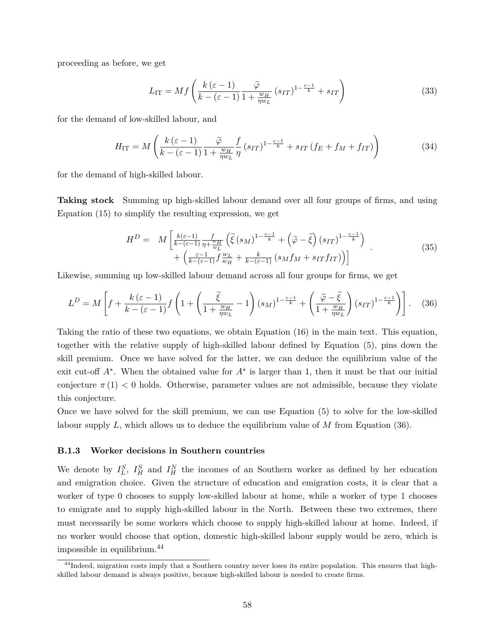proceeding as before, we get

$$
L_{\rm IT} = Mf\left(\frac{k\left(\varepsilon - 1\right)}{k - \left(\varepsilon - 1\right)}\frac{\tilde{\varphi}}{1 + \frac{w_H}{\eta w_L}}\left(s_{IT}\right)^{1 - \frac{\varepsilon - 1}{k}} + s_{IT}\right) \tag{33}
$$

for the demand of low-skilled labour, and

$$
H_{\rm IT} = M\left(\frac{k\left(\varepsilon - 1\right)}{k - \left(\varepsilon - 1\right)} \frac{\tilde{\varphi}}{1 + \frac{w_H}{\eta w_L}} \frac{f}{\eta} \left(s_{IT}\right)^{1 - \frac{\varepsilon - 1}{k}} + s_{IT} \left(f_E + f_M + f_{IT}\right)\right) \tag{34}
$$

for the demand of high-skilled labour.

**Taking stock** Summing up high-skilled labour demand over all four groups of firms, and using Equation (15) to simplify the resulting expression, we get

$$
H^{D} = M\left[\frac{k(\varepsilon-1)}{k-(\varepsilon-1)}\frac{f}{\eta + \frac{w_{H}}{w_{L}}}\left(\tilde{\xi}\left(s_{M}\right)^{1-\frac{\varepsilon-1}{k}} + \left(\tilde{\varphi} - \tilde{\xi}\right)\left(s_{IT}\right)^{1-\frac{\varepsilon-1}{k}}\right) + \left(\frac{\varepsilon-1}{k-(\varepsilon-1)}f\frac{w_{L}}{w_{H}} + \frac{k}{k-(\varepsilon-1)}\left(s_{M}f_{M} + s_{IT}f_{IT}\right)\right)\right]
$$
(35)

Likewise, summing up low-skilled labour demand across all four groups for firms, we get

$$
L^{D} = M\left[f + \frac{k\left(\varepsilon - 1\right)}{k - \left(\varepsilon - 1\right)} f\left(1 + \left(\frac{\tilde{\xi}}{1 + \frac{w_{H}}{\eta w_{L}}} - 1\right) \left(s_{M}\right)^{1 - \frac{\varepsilon - 1}{k}} + \left(\frac{\tilde{\varphi} - \tilde{\xi}}{1 + \frac{w_{H}}{\eta w_{L}}}\right) \left(s_{IT}\right)^{1 - \frac{\varepsilon - 1}{k}}\right)\right].
$$
 (36)

Taking the ratio of these two equations, we obtain Equation (16) in the main text. This equation, together with the relative supply of high-skilled labour defined by Equation (5), pins down the skill premium. Once we have solved for the latter, we can deduce the equilibrium value of the exit cut-off *A*<sup>∗</sup> . When the obtained value for *A*<sup>∗</sup> is larger than 1, then it must be that our initial conjecture  $\pi(1)$  < 0 holds. Otherwise, parameter values are not admissible, because they violate this conjecture.

Once we have solved for the skill premium, we can use Equation (5) to solve for the low-skilled labour supply *L*, which allows us to deduce the equilibrium value of *M* from Equation (36).

#### **B.1.3 Worker decisions in Southern countries**

We denote by  $I_L^S$ ,  $I_H^S$  and  $I_H^N$  the incomes of an Southern worker as defined by her education and emigration choice. Given the structure of education and emigration costs, it is clear that a worker of type 0 chooses to supply low-skilled labour at home, while a worker of type 1 chooses to emigrate and to supply high-skilled labour in the North. Between these two extremes, there must necessarily be some workers which choose to supply high-skilled labour at home. Indeed, if no worker would choose that option, domestic high-skilled labour supply would be zero, which is impossible in equilibrium.<sup>44</sup>

<sup>&</sup>lt;sup>44</sup>Indeed, migration costs imply that a Southern country never loses its entire population. This ensures that highskilled labour demand is always positive, because high-skilled labour is needed to create firms.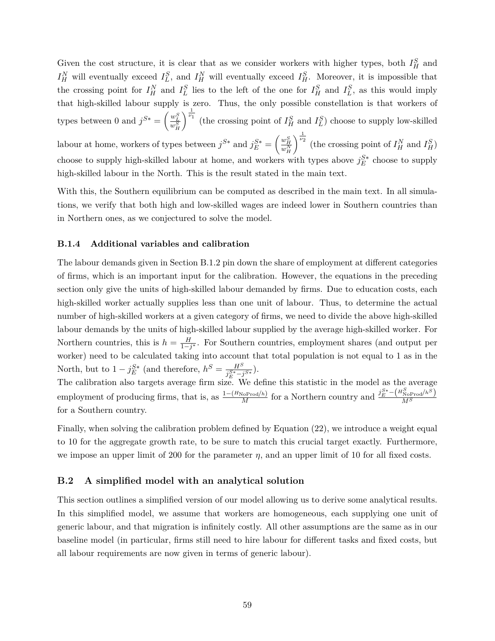Given the cost structure, it is clear that as we consider workers with higher types, both  $I_H^S$  and  $I_H^N$  will eventually exceed  $I_L^S$ , and  $I_H^N$  will eventually exceed  $I_H^S$ . Moreover, it is impossible that the crossing point for  $I_H^N$  and  $I_L^S$  lies to the left of the one for  $I_H^S$  and  $I_L^S$ , as this would imply that high-skilled labour supply is zero. Thus, the only possible constellation is that workers of types between 0 and  $j^{S*} = \left(\frac{w_L^S}{w_H^S}\right)$  $\int_{0}^{\frac{1}{\nu_1}}$  (the crossing point of  $I_H^S$  and  $I_L^S$ ) choose to supply low-skilled labour at home, workers of types between  $j^{S*}$  and  $j_E^{S*} = \begin{pmatrix} w_H^S \\ w_H^N \end{pmatrix}$  $\int_{0}^{\frac{1}{\nu_2}}$  (the crossing point of  $I_H^N$  and  $I_H^S$ ) choose to supply high-skilled labour at home, and workers with types above  $j_E^{S*}$  choose to supply high-skilled labour in the North. This is the result stated in the main text.

With this, the Southern equilibrium can be computed as described in the main text. In all simulations, we verify that both high and low-skilled wages are indeed lower in Southern countries than in Northern ones, as we conjectured to solve the model.

#### **B.1.4 Additional variables and calibration**

The labour demands given in Section B.1.2 pin down the share of employment at different categories of firms, which is an important input for the calibration. However, the equations in the preceding section only give the units of high-skilled labour demanded by firms. Due to education costs, each high-skilled worker actually supplies less than one unit of labour. Thus, to determine the actual number of high-skilled workers at a given category of firms, we need to divide the above high-skilled labour demands by the units of high-skilled labour supplied by the average high-skilled worker. For Northern countries, this is  $h = \frac{H}{1-j^*}$ . For Southern countries, employment shares (and output per worker) need to be calculated taking into account that total population is not equal to 1 as in the North, but to  $1 - j_E^{S*}$  (and therefore,  $h^S = \frac{H^S}{i_e^{S*} - i}$  $\frac{H^B}{j_E^{S*}-j^{S*}}$ .

The calibration also targets average firm size. We define this statistic in the model as the average employment of producing firms, that is, as  $\frac{1-(H_{\text{NoProd}}/h)}{M}$  for a Northern country and  $\frac{j_E^{S*}-(H_{\text{NoProd}}^S/h^S)}{M^S}$ *M<sup>S</sup>* for a Southern country.

Finally, when solving the calibration problem defined by Equation (22), we introduce a weight equal to 10 for the aggregate growth rate, to be sure to match this crucial target exactly. Furthermore, we impose an upper limit of 200 for the parameter  $\eta$ , and an upper limit of 10 for all fixed costs.

#### **B.2 A simplified model with an analytical solution**

This section outlines a simplified version of our model allowing us to derive some analytical results. In this simplified model, we assume that workers are homogeneous, each supplying one unit of generic labour, and that migration is infinitely costly. All other assumptions are the same as in our baseline model (in particular, firms still need to hire labour for different tasks and fixed costs, but all labour requirements are now given in terms of generic labour).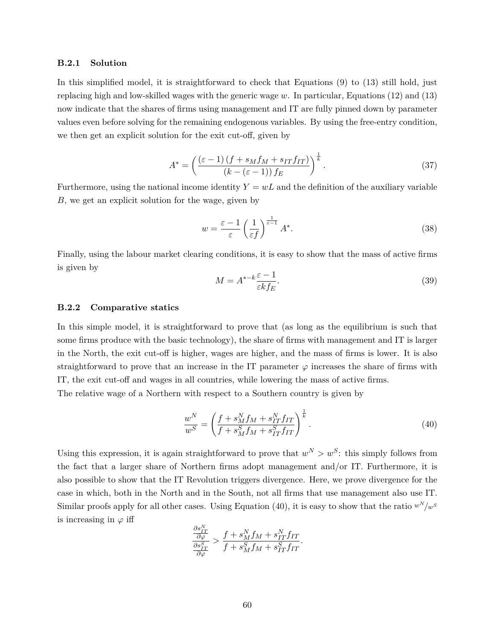#### **B.2.1 Solution**

In this simplified model, it is straightforward to check that Equations (9) to (13) still hold, just replacing high and low-skilled wages with the generic wage *w*. In particular, Equations (12) and (13) now indicate that the shares of firms using management and IT are fully pinned down by parameter values even before solving for the remaining endogenous variables. By using the free-entry condition, we then get an explicit solution for the exit cut-off, given by

$$
A^* = \left(\frac{(\varepsilon - 1)(f + s_M f_M + s_{IT} f_{IT})}{(k - (\varepsilon - 1)) f_E}\right)^{\frac{1}{k}}.
$$
\n(37)

Furthermore, using the national income identity  $Y = wL$  and the definition of the auxiliary variable *B*, we get an explicit solution for the wage, given by

$$
w = \frac{\varepsilon - 1}{\varepsilon} \left(\frac{1}{\varepsilon f}\right)^{\frac{1}{\varepsilon - 1}} A^*.
$$
 (38)

Finally, using the labour market clearing conditions, it is easy to show that the mass of active firms is given by

$$
M = A^{*-k} \frac{\varepsilon - 1}{\varepsilon k f_E}.\tag{39}
$$

#### **B.2.2 Comparative statics**

In this simple model, it is straightforward to prove that (as long as the equilibrium is such that some firms produce with the basic technology), the share of firms with management and IT is larger in the North, the exit cut-off is higher, wages are higher, and the mass of firms is lower. It is also straightforward to prove that an increase in the IT parameter  $\varphi$  increases the share of firms with IT, the exit cut-off and wages in all countries, while lowering the mass of active firms.

The relative wage of a Northern with respect to a Southern country is given by

$$
\frac{w^N}{w^S} = \left(\frac{f + s_M^N f_M + s_{IT}^N f_{IT}}{f + s_M^S f_M + s_{IT}^S f_{IT}}\right)^{\frac{1}{k}}.\tag{40}
$$

Using this expression, it is again straightforward to prove that  $w^N > w^S$ : this simply follows from the fact that a larger share of Northern firms adopt management and/or IT. Furthermore, it is also possible to show that the IT Revolution triggers divergence. Here, we prove divergence for the case in which, both in the North and in the South, not all firms that use management also use IT. Similar proofs apply for all other cases. Using Equation (40), it is easy to show that the ratio  $w^N/w^S$ is increasing in  $\varphi$  iff

$$
\frac{\frac{\partial s_{IT}^N}{\partial \varphi}}{\frac{\partial s_{IT}^S}{\partial \varphi}} > \frac{f + s_M^N f_M + s_{IT}^N f_{IT}}{f + s_M^S f_M + s_{IT}^S f_{IT}}.
$$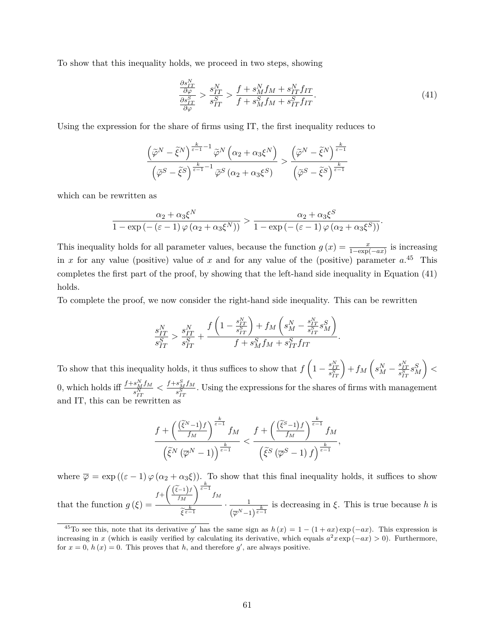To show that this inequality holds, we proceed in two steps, showing

$$
\frac{\frac{\partial s_{IT}^N}{\partial \varphi}}{\frac{\partial s_{IT}^S}{\partial \varphi}} > \frac{s_{IT}^N}{s_{IT}^S} > \frac{f + s_M^N f_M + s_{IT}^N f_{IT}}{f + s_M^S f_M + s_{IT}^S f_{IT}}.\tag{41}
$$

*.*

Using the expression for the share of firms using IT, the first inequality reduces to

$$
\frac{\left(\widetilde{\varphi}^N-\widetilde{\xi}^N\right)^{\frac{k}{\varepsilon-1}-1}\widetilde{\varphi}^N\left(\alpha_2+\alpha_3\xi^N\right)}{\left(\widetilde{\varphi}^S-\widetilde{\xi}^S\right)^{\frac{k}{\varepsilon-1}-1}\widetilde{\varphi}^S\left(\alpha_2+\alpha_3\xi^S\right)}>\frac{\left(\widetilde{\varphi}^N-\widetilde{\xi}^N\right)^{\frac{k}{\varepsilon-1}}}{\left(\widetilde{\varphi}^S-\widetilde{\xi}^S\right)^{\frac{k}{\varepsilon-1}}}
$$

which can be rewritten as

$$
\frac{\alpha_2 + \alpha_3 \xi^N}{1 - \exp(-(\varepsilon - 1)\varphi(\alpha_2 + \alpha_3 \xi^N))} > \frac{\alpha_2 + \alpha_3 \xi^S}{1 - \exp(-(\varepsilon - 1)\varphi(\alpha_2 + \alpha_3 \xi^S))}.
$$

This inequality holds for all parameter values, because the function  $g(x) = \frac{x}{1-\exp(-ax)}$  is increasing in *x* for any value (positive) value of *x* and for any value of the (positive) parameter *a*. <sup>45</sup> This completes the first part of the proof, by showing that the left-hand side inequality in Equation (41) holds.

To complete the proof, we now consider the right-hand side inequality. This can be rewritten

$$
\frac{s_{IT}^N}{s_{IT}^S} > \frac{s_{IT}^N}{s_{IT}^S} + \frac{f\left(1 - \frac{s_{IT}^N}{s_{IT}^S}\right) + f_M\left(s_M^N - \frac{s_{IT}^N}{s_{IT}^S}s_M^S\right)}{f + s_M^S f_M + s_{IT}^S f_{IT}}
$$

To show that this inequality holds, it thus suffices to show that  $f\left(1-\frac{s_{IT}^N}{s_{IT}^S}\right)+f_M\left(s_M^N-\frac{s_{IT}^N}{s_{IT}^S}s_M^S\right)$  *<* 0, which holds iff  $\frac{f+s_M^Nf_M}{N}$  $\frac{s_M^N f_M}{s_{IT}^N} < \frac{f + s_M^S f_M}{s_{IT}^S}$  $\frac{s_M f M}{s_{IT}^S}$ . Using the expressions for the shares of firms with management and IT, this can be rewritten as

$$
\frac{f + \left(\frac{(\tilde{\xi}^{N}-1)f}{f_M}\right)^{\frac{k}{\varepsilon-1}}f_M}{\left(\tilde{\xi}^{N}\left(\overline{\varphi}^{N}-1\right)\right)^{\frac{k}{\varepsilon-1}}} < \frac{f + \left(\frac{(\tilde{\xi}^{S}-1)f}{f_M}\right)^{\frac{k}{\varepsilon-1}}f_M}{\left(\tilde{\xi}^{S}\left(\overline{\varphi}^{S}-1\right)f\right)^{\frac{k}{\varepsilon-1}}},
$$

where  $\overline{\varphi} = \exp((\varepsilon - 1) \varphi (\alpha_2 + \alpha_3 \xi))$ . To show that this final inequality holds, it suffices to show  $f + \left(\frac{(\widetilde{\xi}-1)f}{f_M}\right)$  $\bigg\}^{\frac{k}{\varepsilon-1}} f_M$ 

that the function  $g(\xi) =$  $\frac{1}{\widetilde{\xi}^{\frac{k}{\varepsilon-1}}}$  ·  $\frac{1}{(\overline{\varphi}^N-1)}$  $\frac{1}{(\overline{\varphi}^N-1)^{\frac{k}{\varepsilon-1}}}$  is decreasing in  $\xi$ . This is true because *h* is

<sup>&</sup>lt;sup>45</sup>To see this, note that its derivative g' has the same sign as  $h(x) = 1 - (1 + ax) \exp(-ax)$ . This expression is increasing in *x* (which is easily verified by calculating its derivative, which equals  $a^2x \exp(-ax) > 0$ ). Furthermore, for  $x = 0$ ,  $h(x) = 0$ . This proves that *h*, and therefore  $g'$ , are always positive.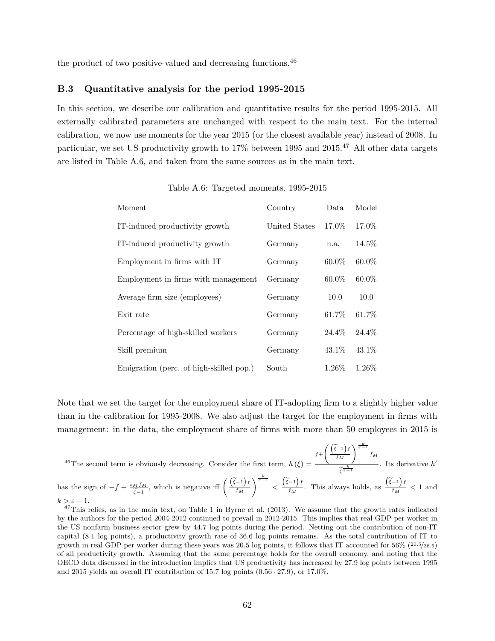the product of two positive-valued and decreasing functions.<sup>46</sup>

#### **B.3 Quantitative analysis for the period 1995-2015**

In this section, we describe our calibration and quantitative results for the period 1995-2015. All externally calibrated parameters are unchanged with respect to the main text. For the internal calibration, we now use moments for the year 2015 (or the closest available year) instead of 2008. In particular, we set US productivity growth to 17% between 1995 and 2015.<sup>47</sup> All other data targets are listed in Table A.6, and taken from the same sources as in the main text.

| Moment                                  | Country       | Data.    | Model    |
|-----------------------------------------|---------------|----------|----------|
| IT-induced productivity growth          | United States | 17.0\%   | 17.0%    |
| IT-induced productivity growth          | Germany       | n.a.     | $14.5\%$ |
| Employment in firms with IT             | Germany       | $60.0\%$ | $60.0\%$ |
| Employment in firms with management     | Germany       | $60.0\%$ | $60.0\%$ |
| Average firm size (employees)           | Germany       | 10.0     | 10.0     |
| Exit rate                               | Germany       | $61.7\%$ | 61.7%    |
| Percentage of high-skilled workers      | Germany       | 24.4\%   | 24.4\%   |
| Skill premium                           | Germany       | 43.1\%   | 43.1\%   |
| Emigration (perc. of high-skilled pop.) | South         | $1.26\%$ | $1.26\%$ |

Table A.6: Targeted moments, 1995-2015

Note that we set the target for the employment share of IT-adopting firm to a slightly higher value than in the calibration for 1995-2008. We also adjust the target for the employment in firms with management: in the data, the employment share of firms with more than 50 employees in 2015 is

$$
{}^{46}
$$
The second term is obviously decreasing. Consider the first term,  $h(\xi) = \frac{f + \left(\frac{\left(\tilde{\xi}-1\right)f}{f_M}\right)^{\frac{k}{\varepsilon-1}} f_M}{\tilde{\xi}^{\frac{k}{\varepsilon-1}}}$ . Its derivative  $h'$  has the sign of  $-f + \frac{s_M f_M}{\xi-1}$ , which is negative iff  $\left(\frac{\left(\tilde{\xi}-1\right)f}{f_M}\right)^{\frac{k}{\varepsilon-1}} < \frac{\left(\tilde{\xi}-1\right)f}{f_M}$ . This always holds, as  $\frac{\left(\tilde{\xi}-1\right)f}{f_M} < 1$  and  $k > \varepsilon - 1$ .

 $47$ This relies, as in the main text, on Table 1 in Byrne et al. (2013). We assume that the growth rates indicated by the authors for the period 2004-2012 continued to prevail in 2012-2015. This implies that real GDP per worker in the US nonfarm business sector grew by 44.7 log points during the period. Netting out the contribution of non-IT capital (8.1 log points), a productivity growth rate of 36.6 log points remains. As the total contribution of IT to growth in real GDP per worker during these years was 20.5 log points, it follows that IT accounted for 56% (20*.*5*/*36*.*6) of all productivity growth. Assuming that the same percentage holds for the overall economy, and noting that the OECD data discussed in the introduction implies that US productivity has increased by 27.9 log points between 1995 and 2015 yields an overall IT contribution of 15.7 log points (0*.*56 · 27*.*9), or 17.0%.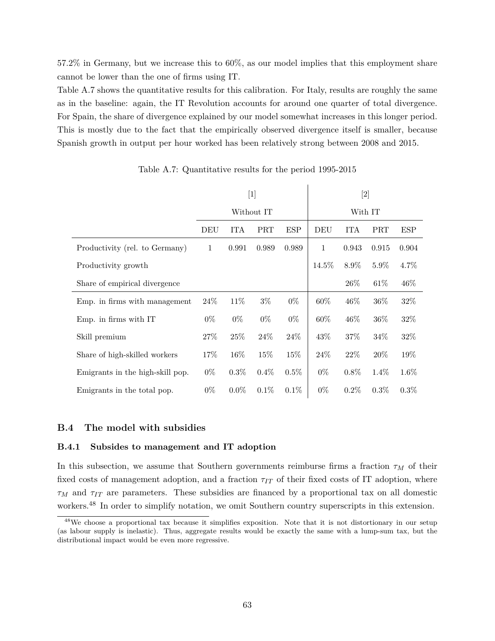57.2% in Germany, but we increase this to 60%, as our model implies that this employment share cannot be lower than the one of firms using IT.

Table A.7 shows the quantitative results for this calibration. For Italy, results are roughly the same as in the baseline: again, the IT Revolution accounts for around one quarter of total divergence. For Spain, the share of divergence explained by our model somewhat increases in this longer period. This is mostly due to the fact that the empirically observed divergence itself is smaller, because Spanish growth in output per hour worked has been relatively strong between 2008 and 2015.

|                                  | [1]          |         |            |         |         |         |         |         |
|----------------------------------|--------------|---------|------------|---------|---------|---------|---------|---------|
|                                  |              |         | Without IT |         | With IT |         |         |         |
|                                  | DEU          | ITA     | PRT        | ESP     | DEU     | ITA     | PRT     | ESP     |
| Productivity (rel. to Germany)   | $\mathbf{1}$ | 0.991   | 0.989      | 0.989   | 1       | 0.943   | 0.915   | 0.904   |
| Productivity growth              |              |         |            |         | 14.5%   | 8.9%    | 5.9%    | 4.7%    |
| Share of empirical divergence    |              |         |            |         |         | $26\%$  | 61\%    | 46%     |
| Emp. in firms with management    | $24\%$       | 11\%    | $3\%$      | $0\%$   | $60\%$  | $46\%$  | $36\%$  | 32%     |
| Emp. in firms with IT            | $0\%$        | $0\%$   | $0\%$      | $0\%$   | 60%     | $46\%$  | $36\%$  | 32%     |
| Skill premium                    | 27\%         | 25%     | 24\%       | 24\%    | 43\%    | $37\%$  | 34%     | 32%     |
| Share of high-skilled workers    | 17%          | 16%     | 15%        | 15%     | 24%     | $22\%$  | 20%     | 19%     |
| Emigrants in the high-skill pop. | $0\%$        | $0.3\%$ | $0.4\%$    | $0.5\%$ | $0\%$   | $0.8\%$ | $1.4\%$ | 1.6%    |
| Emigrants in the total pop.      | $0\%$        | $0.0\%$ | 0.1%       | $0.1\%$ | $0\%$   | $0.2\%$ | $0.3\%$ | $0.3\%$ |

Table A.7: Quantitative results for the period 1995-2015

#### **B.4 The model with subsidies**

#### **B.4.1 Subsides to management and IT adoption**

In this subsection, we assume that Southern governments reimburse firms a fraction  $\tau_M$  of their fixed costs of management adoption, and a fraction  $\tau_{IT}$  of their fixed costs of IT adoption, where *τ<sup>M</sup>* and *τIT* are parameters. These subsidies are financed by a proportional tax on all domestic workers.<sup>48</sup> In order to simplify notation, we omit Southern country superscripts in this extension.

<sup>48</sup>We choose a proportional tax because it simplifies exposition. Note that it is not distortionary in our setup (as labour supply is inelastic). Thus, aggregate results would be exactly the same with a lump-sum tax, but the distributional impact would be even more regressive.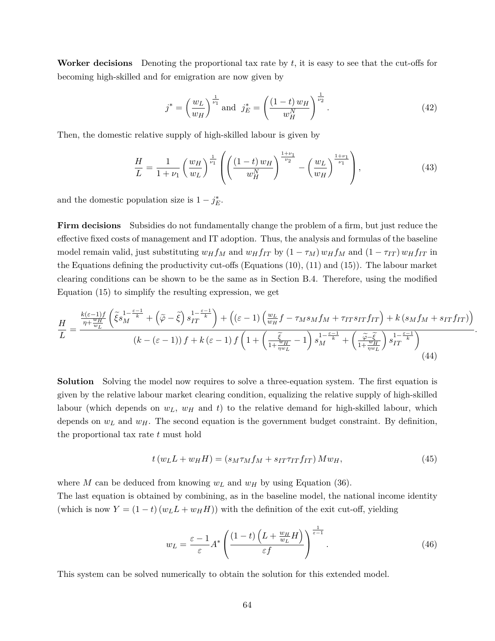**Worker decisions** Denoting the proportional tax rate by *t*, it is easy to see that the cut-offs for becoming high-skilled and for emigration are now given by

$$
j^* = \left(\frac{w_L}{w_H}\right)^{\frac{1}{\nu_1}} \text{ and } j_E^* = \left(\frac{(1-t)w_H}{w_H^N}\right)^{\frac{1}{\nu_2}}.
$$
 (42)

Then, the domestic relative supply of high-skilled labour is given by

$$
\frac{H}{L} = \frac{1}{1+\nu_1} \left(\frac{w_H}{w_L}\right)^{\frac{1}{\nu_1}} \left( \left(\frac{(1-t)w_H}{w_H^N}\right)^{\frac{1+\nu_1}{\nu_2}} - \left(\frac{w_L}{w_H}\right)^{\frac{1+\nu_1}{\nu_1}} \right),\tag{43}
$$

and the domestic population size is  $1 - j_E^*$ .

**Firm decisions** Subsidies do not fundamentally change the problem of a firm, but just reduce the effective fixed costs of management and IT adoption. Thus, the analysis and formulas of the baseline model remain valid, just substituting  $w_H f_M$  and  $w_H f_{IT}$  by  $(1 - \tau_M) w_H f_M$  and  $(1 - \tau_{IT}) w_H f_{IT}$  in the Equations defining the productivity cut-offs (Equations (10), (11) and (15)). The labour market clearing conditions can be shown to be the same as in Section B.4. Therefore, using the modified Equation (15) to simplify the resulting expression, we get

$$
\frac{H}{L} = \frac{\frac{k(\varepsilon - 1)f}{\eta + \frac{w_H}{w_L}} \left( \tilde{\xi} s_M^{\frac{1 - \varepsilon - 1}{k}} + \left( \tilde{\varphi} - \tilde{\xi} \right) s_{IT}^{\frac{1 - \varepsilon - 1}{k}} \right) + \left( (\varepsilon - 1) \left( \frac{w_L}{w_H} f - \tau_M s_M f_M + \tau_{IT} s_{IT} f_{IT} \right) + k \left( s_M f_M + s_{IT} f_{IT} \right) \right)}{(k - (\varepsilon - 1)) f + k (\varepsilon - 1) f \left( 1 + \left( \frac{\tilde{\xi}}{1 + \frac{\tilde{w}_H}{\eta w_L}} - 1 \right) s_M^{\frac{1 - \varepsilon - 1}{k}} + \left( \frac{\tilde{\varphi} - \tilde{\xi}}{1 + \frac{w_H}{\eta w_L}} \right) s_{IT}^{\frac{1 - \varepsilon - 1}{k}} \right)}{(44)}
$$

**Solution** Solving the model now requires to solve a three-equation system. The first equation is given by the relative labour market clearing condition, equalizing the relative supply of high-skilled labour (which depends on *wL*, *w<sup>H</sup>* and *t*) to the relative demand for high-skilled labour, which depends on *w<sup>L</sup>* and *wH*. The second equation is the government budget constraint. By definition, the proportional tax rate *t* must hold

$$
t(w_L L + w_H H) = (s_M \tau_M f_M + s_{IT} \tau_{IT} f_{IT}) M w_H,
$$
\n
$$
(45)
$$

where *M* can be deduced from knowing  $w_L$  and  $w_H$  by using Equation (36).

The last equation is obtained by combining, as in the baseline model, the national income identity (which is now  $Y = (1 - t)(w_L L + w_H H)$ ) with the definition of the exit cut-off, yielding

$$
w_L = \frac{\varepsilon - 1}{\varepsilon} A^* \left( \frac{(1 - t) \left( L + \frac{w_H}{w_L} H \right)}{\varepsilon f} \right)^{\frac{1}{\varepsilon - 1}}.
$$
 (46)

This system can be solved numerically to obtain the solution for this extended model.